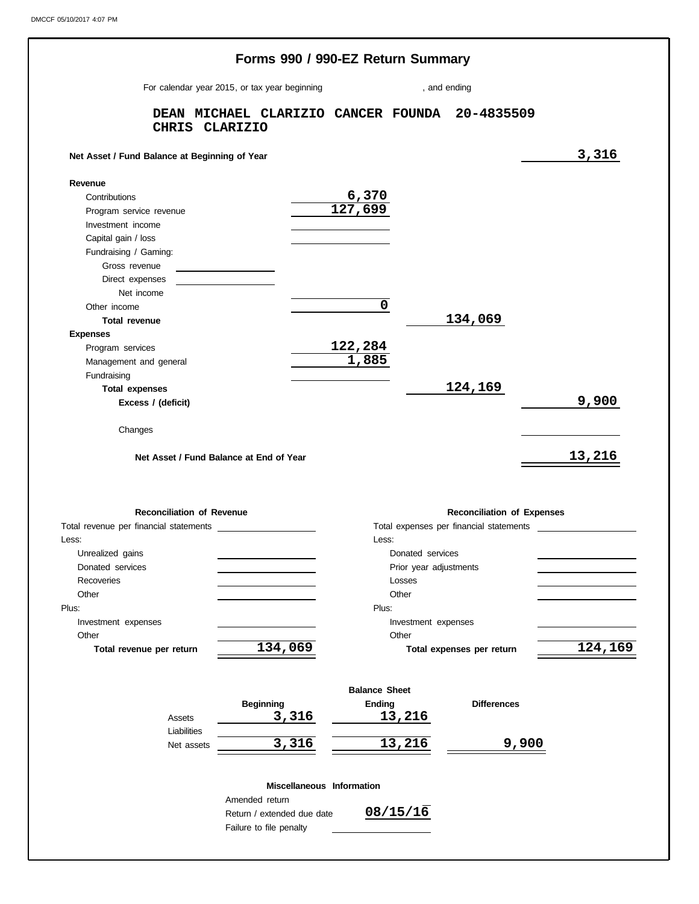|                                               |                                                |                      | Forms 990 / 990-EZ Return Summary |                                         |         |
|-----------------------------------------------|------------------------------------------------|----------------------|-----------------------------------|-----------------------------------------|---------|
|                                               | For calendar year 2015, or tax year beginning  |                      |                                   | , and ending                            |         |
| CHRIS CLARIZIO                                | DEAN MICHAEL CLARIZIO CANCER FOUNDA 20-4835509 |                      |                                   |                                         |         |
| Net Asset / Fund Balance at Beginning of Year |                                                |                      |                                   |                                         | 3,316   |
| Revenue                                       |                                                |                      |                                   |                                         |         |
| Contributions                                 |                                                | 6,370                |                                   |                                         |         |
| Program service revenue                       |                                                | 127,699              |                                   |                                         |         |
| Investment income                             |                                                |                      |                                   |                                         |         |
| Capital gain / loss                           |                                                |                      |                                   |                                         |         |
| Fundraising / Gaming:                         |                                                |                      |                                   |                                         |         |
| Gross revenue                                 | the control of the control of the              |                      |                                   |                                         |         |
| Direct expenses                               |                                                |                      |                                   |                                         |         |
| Net income                                    |                                                |                      |                                   |                                         |         |
| Other income                                  |                                                | 0                    |                                   |                                         |         |
| <b>Total revenue</b>                          |                                                |                      |                                   | 134,069                                 |         |
| <b>Expenses</b>                               |                                                |                      |                                   |                                         |         |
| Program services                              |                                                | 122,284              |                                   |                                         |         |
| Management and general                        |                                                | 1,885                |                                   |                                         |         |
| Fundraising                                   |                                                |                      |                                   |                                         |         |
| <b>Total expenses</b>                         |                                                |                      |                                   | 124,169                                 |         |
| Excess / (deficit)                            |                                                |                      |                                   |                                         | 9,900   |
| Changes                                       | Net Asset / Fund Balance at End of Year        |                      |                                   |                                         | 13,216  |
|                                               |                                                |                      |                                   |                                         |         |
| <b>Reconciliation of Revenue</b>              |                                                |                      |                                   | <b>Reconciliation of Expenses</b>       |         |
| Total revenue per financial statements        |                                                |                      |                                   | Total expenses per financial statements |         |
| Less:                                         |                                                | Less:                |                                   |                                         |         |
| Unrealized gains                              |                                                |                      | Donated services                  |                                         |         |
| Donated services<br>Recoveries                |                                                |                      | Prior year adjustments<br>Losses  |                                         |         |
| Other                                         |                                                |                      | Other                             |                                         |         |
|                                               |                                                | Plus:                |                                   |                                         |         |
| Plus:<br>Investment expenses                  |                                                |                      | Investment expenses               |                                         |         |
| Other                                         |                                                |                      | Other                             |                                         |         |
| Total revenue per return                      | 134,069                                        |                      |                                   | Total expenses per return               |         |
|                                               |                                                | <b>Balance Sheet</b> |                                   |                                         |         |
|                                               |                                                |                      |                                   | <b>Differences</b>                      |         |
| Assets                                        | <b>Beginning</b>                               | <b>Ending</b>        |                                   |                                         |         |
| Liabilities                                   | 3,316                                          |                      | 13,216                            |                                         |         |
| Net assets                                    | 3,316                                          |                      | 13,216                            | <u>9,900</u>                            | 124,169 |
|                                               | Miscellaneous Information<br>Amended return    |                      |                                   |                                         |         |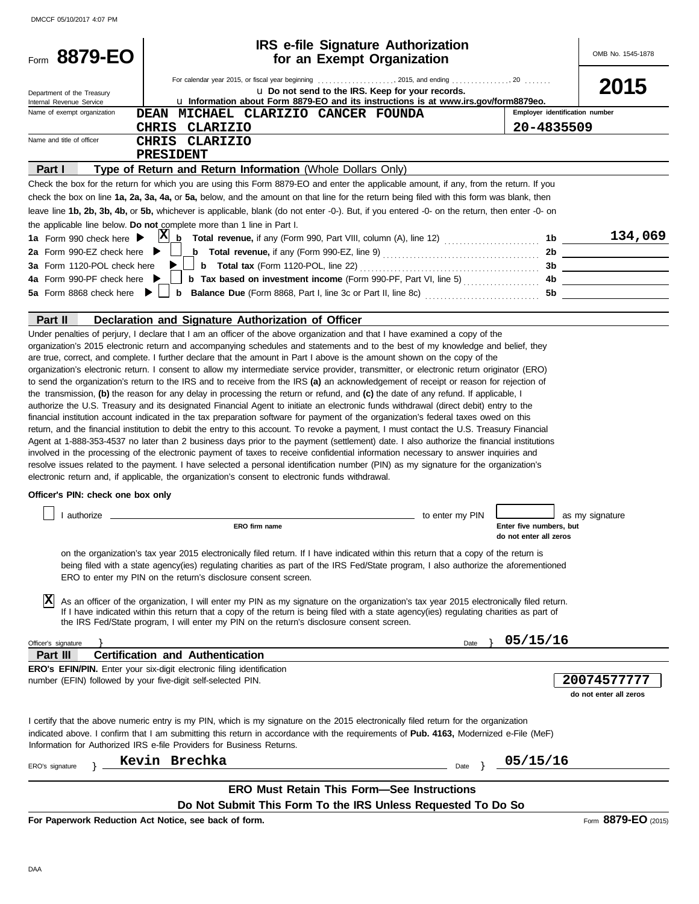| Form 8879-EO                                            | <b>IRS e-file Signature Authorization</b>                                                                                                                                                                                                                                                                                                                                                                                                                                                                                                                                                                                                                                                                                                                                                                                                                                                                                                                                                                                                                                                                                                                                                                                                                                                                                                                                                                                                                                                                                                                                                                                                                                                                                                                                                                                                                                                                                                                                                                                                                                                                                                                                                                                                                                  |                 |                                                   | OMB No. 1545-1878                                                                                                    |
|---------------------------------------------------------|----------------------------------------------------------------------------------------------------------------------------------------------------------------------------------------------------------------------------------------------------------------------------------------------------------------------------------------------------------------------------------------------------------------------------------------------------------------------------------------------------------------------------------------------------------------------------------------------------------------------------------------------------------------------------------------------------------------------------------------------------------------------------------------------------------------------------------------------------------------------------------------------------------------------------------------------------------------------------------------------------------------------------------------------------------------------------------------------------------------------------------------------------------------------------------------------------------------------------------------------------------------------------------------------------------------------------------------------------------------------------------------------------------------------------------------------------------------------------------------------------------------------------------------------------------------------------------------------------------------------------------------------------------------------------------------------------------------------------------------------------------------------------------------------------------------------------------------------------------------------------------------------------------------------------------------------------------------------------------------------------------------------------------------------------------------------------------------------------------------------------------------------------------------------------------------------------------------------------------------------------------------------------|-----------------|---------------------------------------------------|----------------------------------------------------------------------------------------------------------------------|
|                                                         | for an Exempt Organization                                                                                                                                                                                                                                                                                                                                                                                                                                                                                                                                                                                                                                                                                                                                                                                                                                                                                                                                                                                                                                                                                                                                                                                                                                                                                                                                                                                                                                                                                                                                                                                                                                                                                                                                                                                                                                                                                                                                                                                                                                                                                                                                                                                                                                                 |                 |                                                   |                                                                                                                      |
|                                                         |                                                                                                                                                                                                                                                                                                                                                                                                                                                                                                                                                                                                                                                                                                                                                                                                                                                                                                                                                                                                                                                                                                                                                                                                                                                                                                                                                                                                                                                                                                                                                                                                                                                                                                                                                                                                                                                                                                                                                                                                                                                                                                                                                                                                                                                                            |                 |                                                   | 2015                                                                                                                 |
| Department of the Treasury                              | u Do not send to the IRS. Keep for your records.<br>La Information about Form 8879-EO and its instructions is at www.irs.gov/form8879eo.                                                                                                                                                                                                                                                                                                                                                                                                                                                                                                                                                                                                                                                                                                                                                                                                                                                                                                                                                                                                                                                                                                                                                                                                                                                                                                                                                                                                                                                                                                                                                                                                                                                                                                                                                                                                                                                                                                                                                                                                                                                                                                                                   |                 |                                                   |                                                                                                                      |
| Internal Revenue Service<br>Name of exempt organization | DEAN MICHAEL CLARIZIO CANCER FOUNDA                                                                                                                                                                                                                                                                                                                                                                                                                                                                                                                                                                                                                                                                                                                                                                                                                                                                                                                                                                                                                                                                                                                                                                                                                                                                                                                                                                                                                                                                                                                                                                                                                                                                                                                                                                                                                                                                                                                                                                                                                                                                                                                                                                                                                                        |                 | Employer identification number                    |                                                                                                                      |
|                                                         | <b>CLARIZIO</b><br><b>CHRIS</b>                                                                                                                                                                                                                                                                                                                                                                                                                                                                                                                                                                                                                                                                                                                                                                                                                                                                                                                                                                                                                                                                                                                                                                                                                                                                                                                                                                                                                                                                                                                                                                                                                                                                                                                                                                                                                                                                                                                                                                                                                                                                                                                                                                                                                                            |                 | 20-4835509                                        |                                                                                                                      |
| Name and title of officer                               | <b>CHRIS</b><br>CLARIZIO                                                                                                                                                                                                                                                                                                                                                                                                                                                                                                                                                                                                                                                                                                                                                                                                                                                                                                                                                                                                                                                                                                                                                                                                                                                                                                                                                                                                                                                                                                                                                                                                                                                                                                                                                                                                                                                                                                                                                                                                                                                                                                                                                                                                                                                   |                 |                                                   |                                                                                                                      |
|                                                         | <b>PRESIDENT</b>                                                                                                                                                                                                                                                                                                                                                                                                                                                                                                                                                                                                                                                                                                                                                                                                                                                                                                                                                                                                                                                                                                                                                                                                                                                                                                                                                                                                                                                                                                                                                                                                                                                                                                                                                                                                                                                                                                                                                                                                                                                                                                                                                                                                                                                           |                 |                                                   |                                                                                                                      |
| Part I                                                  | Type of Return and Return Information (Whole Dollars Only)                                                                                                                                                                                                                                                                                                                                                                                                                                                                                                                                                                                                                                                                                                                                                                                                                                                                                                                                                                                                                                                                                                                                                                                                                                                                                                                                                                                                                                                                                                                                                                                                                                                                                                                                                                                                                                                                                                                                                                                                                                                                                                                                                                                                                 |                 |                                                   |                                                                                                                      |
|                                                         | Check the box for the return for which you are using this Form 8879-EO and enter the applicable amount, if any, from the return. If you                                                                                                                                                                                                                                                                                                                                                                                                                                                                                                                                                                                                                                                                                                                                                                                                                                                                                                                                                                                                                                                                                                                                                                                                                                                                                                                                                                                                                                                                                                                                                                                                                                                                                                                                                                                                                                                                                                                                                                                                                                                                                                                                    |                 |                                                   |                                                                                                                      |
|                                                         | check the box on line 1a, 2a, 3a, 4a, or 5a, below, and the amount on that line for the return being filed with this form was blank, then                                                                                                                                                                                                                                                                                                                                                                                                                                                                                                                                                                                                                                                                                                                                                                                                                                                                                                                                                                                                                                                                                                                                                                                                                                                                                                                                                                                                                                                                                                                                                                                                                                                                                                                                                                                                                                                                                                                                                                                                                                                                                                                                  |                 |                                                   |                                                                                                                      |
|                                                         | leave line 1b, 2b, 3b, 4b, or 5b, whichever is applicable, blank (do not enter -0-). But, if you entered -0- on the return, then enter -0- on                                                                                                                                                                                                                                                                                                                                                                                                                                                                                                                                                                                                                                                                                                                                                                                                                                                                                                                                                                                                                                                                                                                                                                                                                                                                                                                                                                                                                                                                                                                                                                                                                                                                                                                                                                                                                                                                                                                                                                                                                                                                                                                              |                 |                                                   |                                                                                                                      |
|                                                         | the applicable line below. Do not complete more than 1 line in Part I.                                                                                                                                                                                                                                                                                                                                                                                                                                                                                                                                                                                                                                                                                                                                                                                                                                                                                                                                                                                                                                                                                                                                                                                                                                                                                                                                                                                                                                                                                                                                                                                                                                                                                                                                                                                                                                                                                                                                                                                                                                                                                                                                                                                                     |                 |                                                   |                                                                                                                      |
| 1a Form 990 check here >                                | $X_0$ Total revenue, if any (Form 990, Part VIII, column (A), line 12) $\ldots$                                                                                                                                                                                                                                                                                                                                                                                                                                                                                                                                                                                                                                                                                                                                                                                                                                                                                                                                                                                                                                                                                                                                                                                                                                                                                                                                                                                                                                                                                                                                                                                                                                                                                                                                                                                                                                                                                                                                                                                                                                                                                                                                                                                            |                 |                                                   | 1b $134,069$                                                                                                         |
| 2a Form 990-EZ check here $\blacktriangleright$         | <b>b</b> Total revenue, if any (Form 990-EZ, line 9) $\ldots$ $\ldots$ $\ldots$ $\ldots$ $\ldots$ $\ldots$                                                                                                                                                                                                                                                                                                                                                                                                                                                                                                                                                                                                                                                                                                                                                                                                                                                                                                                                                                                                                                                                                                                                                                                                                                                                                                                                                                                                                                                                                                                                                                                                                                                                                                                                                                                                                                                                                                                                                                                                                                                                                                                                                                 |                 |                                                   | 2b                                                                                                                   |
| 3a Form 1120-POL check here $\blacktriangleright$       | <b>b</b> Total tax (Form 1120-POL, line 22) $\ldots$ $\ldots$ $\ldots$ $\ldots$ $\ldots$ $\ldots$ $\ldots$                                                                                                                                                                                                                                                                                                                                                                                                                                                                                                                                                                                                                                                                                                                                                                                                                                                                                                                                                                                                                                                                                                                                                                                                                                                                                                                                                                                                                                                                                                                                                                                                                                                                                                                                                                                                                                                                                                                                                                                                                                                                                                                                                                 |                 |                                                   |                                                                                                                      |
| 4a Form 990-PF check here ▶                             | <b>b</b> Tax based on investment income (Form 990-PF, Part VI, line 5) $\ldots$                                                                                                                                                                                                                                                                                                                                                                                                                                                                                                                                                                                                                                                                                                                                                                                                                                                                                                                                                                                                                                                                                                                                                                                                                                                                                                                                                                                                                                                                                                                                                                                                                                                                                                                                                                                                                                                                                                                                                                                                                                                                                                                                                                                            |                 | 4b                                                | <u> 1999 - Johann Barbara, martin eta politikar</u>                                                                  |
|                                                         |                                                                                                                                                                                                                                                                                                                                                                                                                                                                                                                                                                                                                                                                                                                                                                                                                                                                                                                                                                                                                                                                                                                                                                                                                                                                                                                                                                                                                                                                                                                                                                                                                                                                                                                                                                                                                                                                                                                                                                                                                                                                                                                                                                                                                                                                            |                 | 5b                                                | <u> 1980 - Jan Barbara Barbara, prima popular popular popular popular popular popular popular popular popular po</u> |
|                                                         |                                                                                                                                                                                                                                                                                                                                                                                                                                                                                                                                                                                                                                                                                                                                                                                                                                                                                                                                                                                                                                                                                                                                                                                                                                                                                                                                                                                                                                                                                                                                                                                                                                                                                                                                                                                                                                                                                                                                                                                                                                                                                                                                                                                                                                                                            |                 |                                                   |                                                                                                                      |
| Part II                                                 | Declaration and Signature Authorization of Officer                                                                                                                                                                                                                                                                                                                                                                                                                                                                                                                                                                                                                                                                                                                                                                                                                                                                                                                                                                                                                                                                                                                                                                                                                                                                                                                                                                                                                                                                                                                                                                                                                                                                                                                                                                                                                                                                                                                                                                                                                                                                                                                                                                                                                         |                 |                                                   |                                                                                                                      |
| Officer's PIN: check one box only<br>authorize<br>ΙX    | are true, correct, and complete. I further declare that the amount in Part I above is the amount shown on the copy of the<br>organization's electronic return. I consent to allow my intermediate service provider, transmitter, or electronic return originator (ERO)<br>to send the organization's return to the IRS and to receive from the IRS (a) an acknowledgement of receipt or reason for rejection of<br>the transmission, (b) the reason for any delay in processing the return or refund, and (c) the date of any refund. If applicable, I<br>authorize the U.S. Treasury and its designated Financial Agent to initiate an electronic funds withdrawal (direct debit) entry to the<br>financial institution account indicated in the tax preparation software for payment of the organization's federal taxes owed on this<br>return, and the financial institution to debit the entry to this account. To revoke a payment, I must contact the U.S. Treasury Financial<br>Agent at 1-888-353-4537 no later than 2 business days prior to the payment (settlement) date. I also authorize the financial institutions<br>involved in the processing of the electronic payment of taxes to receive confidential information necessary to answer inquiries and<br>resolve issues related to the payment. I have selected a personal identification number (PIN) as my signature for the organization's<br>electronic return and, if applicable, the organization's consent to electronic funds withdrawal.<br>ERO firm name<br>on the organization's tax year 2015 electronically filed return. If I have indicated within this return that a copy of the return is<br>being filed with a state agency(ies) regulating charities as part of the IRS Fed/State program, I also authorize the aforementioned<br>ERO to enter my PIN on the return's disclosure consent screen.<br>As an officer of the organization, I will enter my PIN as my signature on the organization's tax year 2015 electronically filed return.<br>If I have indicated within this return that a copy of the return is being filed with a state agency(ies) regulating charities as part of<br>the IRS Fed/State program, I will enter my PIN on the return's disclosure consent screen. | to enter my PIN | Enter five numbers, but<br>do not enter all zeros | as my signature                                                                                                      |
| Officer's signature                                     |                                                                                                                                                                                                                                                                                                                                                                                                                                                                                                                                                                                                                                                                                                                                                                                                                                                                                                                                                                                                                                                                                                                                                                                                                                                                                                                                                                                                                                                                                                                                                                                                                                                                                                                                                                                                                                                                                                                                                                                                                                                                                                                                                                                                                                                                            | Date            | 05/15/16                                          |                                                                                                                      |
| Part III                                                | Certification and Authentication                                                                                                                                                                                                                                                                                                                                                                                                                                                                                                                                                                                                                                                                                                                                                                                                                                                                                                                                                                                                                                                                                                                                                                                                                                                                                                                                                                                                                                                                                                                                                                                                                                                                                                                                                                                                                                                                                                                                                                                                                                                                                                                                                                                                                                           |                 |                                                   |                                                                                                                      |
|                                                         | <b>ERO's EFIN/PIN.</b> Enter your six-digit electronic filing identification<br>number (EFIN) followed by your five-digit self-selected PIN.                                                                                                                                                                                                                                                                                                                                                                                                                                                                                                                                                                                                                                                                                                                                                                                                                                                                                                                                                                                                                                                                                                                                                                                                                                                                                                                                                                                                                                                                                                                                                                                                                                                                                                                                                                                                                                                                                                                                                                                                                                                                                                                               |                 |                                                   | 20074577777<br>do not enter all zeros                                                                                |
|                                                         | I certify that the above numeric entry is my PIN, which is my signature on the 2015 electronically filed return for the organization<br>indicated above. I confirm that I am submitting this return in accordance with the requirements of <b>Pub. 4163</b> , Modernized e-File (MeF)<br>Information for Authorized IRS e-file Providers for Business Returns.                                                                                                                                                                                                                                                                                                                                                                                                                                                                                                                                                                                                                                                                                                                                                                                                                                                                                                                                                                                                                                                                                                                                                                                                                                                                                                                                                                                                                                                                                                                                                                                                                                                                                                                                                                                                                                                                                                             |                 |                                                   |                                                                                                                      |
| ERO's signature                                         | Kevin Brechka                                                                                                                                                                                                                                                                                                                                                                                                                                                                                                                                                                                                                                                                                                                                                                                                                                                                                                                                                                                                                                                                                                                                                                                                                                                                                                                                                                                                                                                                                                                                                                                                                                                                                                                                                                                                                                                                                                                                                                                                                                                                                                                                                                                                                                                              | Date            | 05/15/16                                          |                                                                                                                      |
|                                                         | <b>ERO Must Retain This Form-See Instructions</b>                                                                                                                                                                                                                                                                                                                                                                                                                                                                                                                                                                                                                                                                                                                                                                                                                                                                                                                                                                                                                                                                                                                                                                                                                                                                                                                                                                                                                                                                                                                                                                                                                                                                                                                                                                                                                                                                                                                                                                                                                                                                                                                                                                                                                          |                 |                                                   |                                                                                                                      |
|                                                         | Do Not Submit This Form To the IRS Unless Requested To Do So                                                                                                                                                                                                                                                                                                                                                                                                                                                                                                                                                                                                                                                                                                                                                                                                                                                                                                                                                                                                                                                                                                                                                                                                                                                                                                                                                                                                                                                                                                                                                                                                                                                                                                                                                                                                                                                                                                                                                                                                                                                                                                                                                                                                               |                 |                                                   |                                                                                                                      |

**For Paperwork Reduction Act Notice, see back of form.**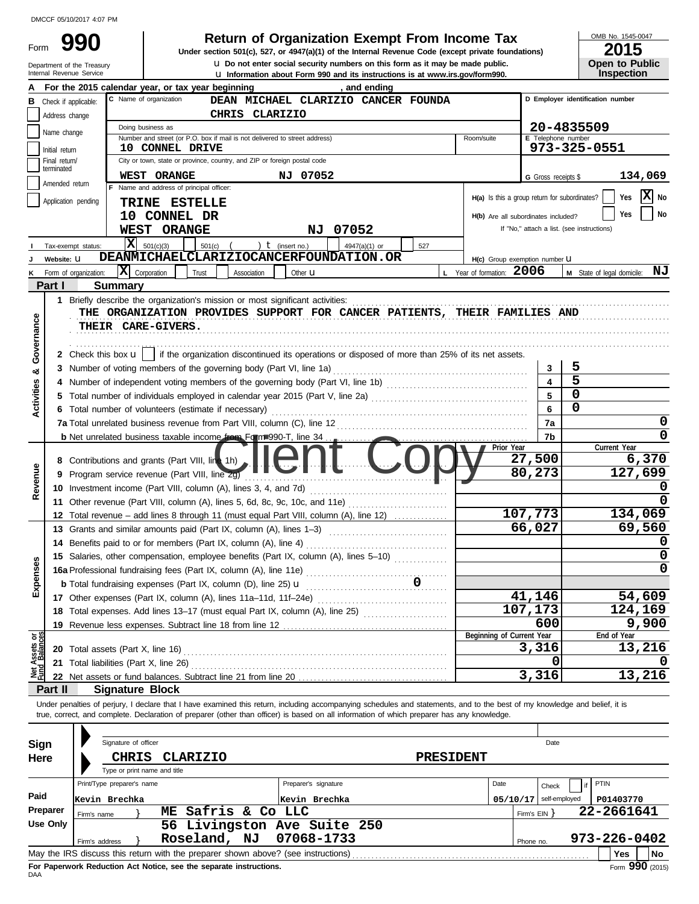| Form |  |
|------|--|
|      |  |

u **Do not enter social security numbers on this form as it may be made public. Open to Public 990 2015**<br>
Under section 501(c), 527, or 4947(a)(1) of the Internal Revenue Code (except private foundations) **2015** 

OMB No. 1545-0047

|                                |                                 | Department of the Treasury<br>Internal Revenue Service |                                       |                                                                                                                                                                            |                |                      | <b>U.</b> Do not enter social security numbers on this form as it may be made public.<br>La Information about Form 990 and its instructions is at www.irs.gov/form990. |                  |                                               |                |                     |                                            | <b>Open to Public</b><br><b>Inspection</b> |         |
|--------------------------------|---------------------------------|--------------------------------------------------------|---------------------------------------|----------------------------------------------------------------------------------------------------------------------------------------------------------------------------|----------------|----------------------|------------------------------------------------------------------------------------------------------------------------------------------------------------------------|------------------|-----------------------------------------------|----------------|---------------------|--------------------------------------------|--------------------------------------------|---------|
|                                |                                 |                                                        |                                       | For the 2015 calendar year, or tax year beginning                                                                                                                          |                |                      | and ending                                                                                                                                                             |                  |                                               |                |                     |                                            |                                            |         |
| В                              | Check if applicable:            |                                                        | C Name of organization                |                                                                                                                                                                            |                |                      | DEAN MICHAEL CLARIZIO CANCER FOUNDA                                                                                                                                    |                  |                                               |                |                     |                                            | D Employer identification number           |         |
|                                | Address change                  |                                                        |                                       |                                                                                                                                                                            | CHRIS CLARIZIO |                      |                                                                                                                                                                        |                  |                                               |                |                     |                                            |                                            |         |
|                                | Name change                     |                                                        | Doing business as                     |                                                                                                                                                                            |                |                      |                                                                                                                                                                        |                  |                                               |                |                     | 20-4835509                                 |                                            |         |
|                                |                                 |                                                        |                                       | Number and street (or P.O. box if mail is not delivered to street address)                                                                                                 |                |                      |                                                                                                                                                                        |                  | Room/suite                                    |                | E Telephone number  | 973-325-0551                               |                                            |         |
|                                | Initial return<br>Final return/ |                                                        |                                       | 10 CONNEL DRIVE<br>City or town, state or province, country, and ZIP or foreign postal code                                                                                |                |                      |                                                                                                                                                                        |                  |                                               |                |                     |                                            |                                            |         |
|                                | terminated                      |                                                        | <b>WEST ORANGE</b>                    |                                                                                                                                                                            |                | NJ 07052             |                                                                                                                                                                        |                  |                                               |                |                     |                                            |                                            |         |
|                                | Amended return                  |                                                        |                                       | F Name and address of principal officer:                                                                                                                                   |                |                      |                                                                                                                                                                        |                  |                                               |                | G Gross receipts \$ |                                            |                                            | 134,069 |
|                                | Application pending             |                                                        |                                       | TRINE ESTELLE                                                                                                                                                              |                |                      |                                                                                                                                                                        |                  | H(a) Is this a group return for subordinates? |                |                     |                                            | Yes                                        | X No    |
|                                |                                 |                                                        |                                       | 10 CONNEL DR                                                                                                                                                               |                |                      |                                                                                                                                                                        |                  | H(b) Are all subordinates included?           |                |                     |                                            | <b>Yes</b>                                 | No      |
|                                |                                 |                                                        | WEST ORANGE                           |                                                                                                                                                                            |                | NJ                   | 07052                                                                                                                                                                  |                  |                                               |                |                     | If "No," attach a list. (see instructions) |                                            |         |
|                                |                                 | Tax-exempt status:                                     | $ \mathbf{x} $<br>501(c)(3)           | 501(c)                                                                                                                                                                     |                | ) $t$ (insert no.)   | 4947(a)(1) or                                                                                                                                                          | 527              |                                               |                |                     |                                            |                                            |         |
|                                | Website: U                      |                                                        |                                       | DEANMICHAELCLARIZIOCANCERFOUNDATION.OR                                                                                                                                     |                |                      |                                                                                                                                                                        |                  | H(c) Group exemption number U                 |                |                     |                                            |                                            |         |
| κ                              |                                 | Form of organization:                                  | $ \mathbf{\overline{X}} $ Corporation | Trust                                                                                                                                                                      | Association    | Other $\mathbf u$    |                                                                                                                                                                        |                  | Year of formation: $2006$                     |                |                     |                                            | M State of legal domicile:                 | ΝJ      |
|                                | Part I                          | <b>Summary</b>                                         |                                       |                                                                                                                                                                            |                |                      |                                                                                                                                                                        |                  |                                               |                |                     |                                            |                                            |         |
|                                |                                 |                                                        |                                       | 1 Briefly describe the organization's mission or most significant activities:                                                                                              |                |                      |                                                                                                                                                                        |                  |                                               |                |                     |                                            |                                            |         |
|                                |                                 |                                                        |                                       | THE ORGANIZATION PROVIDES SUPPORT FOR CANCER PATIENTS, THEIR FAMILIES AND                                                                                                  |                |                      |                                                                                                                                                                        |                  |                                               |                |                     |                                            |                                            |         |
| Governance                     |                                 | THEIR CARE-GIVERS.                                     |                                       |                                                                                                                                                                            |                |                      |                                                                                                                                                                        |                  |                                               |                |                     |                                            |                                            |         |
|                                |                                 |                                                        |                                       |                                                                                                                                                                            |                |                      |                                                                                                                                                                        |                  |                                               |                |                     |                                            |                                            |         |
|                                |                                 |                                                        |                                       | 2 Check this box $\mathbf{u}$   if the organization discontinued its operations or disposed of more than 25% of its net assets.                                            |                |                      |                                                                                                                                                                        |                  |                                               |                |                     |                                            |                                            |         |
| ಯ                              |                                 |                                                        |                                       | 3 Number of voting members of the governing body (Part VI, line 1a)                                                                                                        |                |                      |                                                                                                                                                                        |                  |                                               |                | 3                   | 5                                          |                                            |         |
|                                |                                 |                                                        |                                       |                                                                                                                                                                            |                |                      |                                                                                                                                                                        |                  |                                               |                |                     | 5                                          |                                            |         |
| <b>Activities</b>              |                                 |                                                        |                                       |                                                                                                                                                                            |                |                      |                                                                                                                                                                        |                  |                                               |                | 5                   | $\Omega$                                   |                                            |         |
|                                |                                 |                                                        |                                       | <b>6</b> Total number of volunteers (estimate if necessary)                                                                                                                |                |                      |                                                                                                                                                                        |                  |                                               |                | 6                   | 0                                          |                                            |         |
|                                |                                 |                                                        |                                       | 7a Total unrelated business revenue from Part VIII, column (C), line 12                                                                                                    |                |                      |                                                                                                                                                                        |                  |                                               |                | 7a                  |                                            |                                            | 0       |
|                                |                                 |                                                        |                                       | <b>b</b> Net unrelated business taxable income from Form 990-T, line 34                                                                                                    |                |                      |                                                                                                                                                                        |                  |                                               |                | 7b                  |                                            |                                            | 0       |
|                                |                                 |                                                        |                                       |                                                                                                                                                                            |                |                      |                                                                                                                                                                        |                  | Prior Year                                    |                |                     |                                            | Current Year                               |         |
|                                |                                 |                                                        |                                       | 8 Contributions and grants (Part VIII, line 1h)                                                                                                                            |                | <b>IIAI II</b>       |                                                                                                                                                                        |                  |                                               | 27,500         |                     |                                            |                                            | 6,370   |
| Revenue                        | 9                               |                                                        |                                       | Program service revenue (Part VIII, line 2g)                                                                                                                               |                |                      |                                                                                                                                                                        |                  |                                               | 80,273         |                     |                                            |                                            | 127,699 |
|                                |                                 |                                                        |                                       | 10 Investment income (Part VIII, column (A), lines 3, 4, and 7d)                                                                                                           |                |                      |                                                                                                                                                                        |                  |                                               |                |                     |                                            |                                            |         |
|                                |                                 |                                                        |                                       | 11 Other revenue (Part VIII, column (A), lines 5, 6d, 8c, 9c, 10c, and 11e)                                                                                                |                |                      |                                                                                                                                                                        |                  |                                               |                |                     |                                            |                                            |         |
|                                |                                 |                                                        |                                       | 12 Total revenue – add lines 8 through 11 (must equal Part VIII, column (A), line 12)                                                                                      |                |                      |                                                                                                                                                                        |                  |                                               | 107,773        |                     |                                            |                                            | 134,069 |
|                                |                                 |                                                        |                                       | 13 Grants and similar amounts paid (Part IX, column (A), lines 1-3)                                                                                                        |                |                      |                                                                                                                                                                        |                  |                                               | 66,027         |                     |                                            |                                            | 69,560  |
|                                |                                 |                                                        |                                       | 14 Benefits paid to or for members (Part IX, column (A), line 4)                                                                                                           |                |                      |                                                                                                                                                                        |                  |                                               |                |                     |                                            |                                            |         |
| n<br>န္တ                       |                                 |                                                        |                                       | 15 Salaries, other compensation, employee benefits (Part IX, column (A), lines 5-10)                                                                                       |                |                      |                                                                                                                                                                        |                  |                                               |                |                     |                                            |                                            |         |
|                                |                                 |                                                        |                                       |                                                                                                                                                                            |                |                      |                                                                                                                                                                        |                  |                                               |                |                     |                                            |                                            | 0       |
| Expen                          |                                 |                                                        |                                       |                                                                                                                                                                            |                |                      |                                                                                                                                                                        |                  |                                               |                |                     |                                            |                                            |         |
|                                |                                 |                                                        |                                       |                                                                                                                                                                            |                |                      |                                                                                                                                                                        |                  |                                               | 41,146         |                     |                                            |                                            | 54,609  |
|                                |                                 |                                                        |                                       | 18 Total expenses. Add lines 13-17 (must equal Part IX, column (A), line 25) [                                                                                             |                |                      |                                                                                                                                                                        |                  |                                               | 107,173        |                     |                                            |                                            | 124,169 |
|                                |                                 |                                                        |                                       |                                                                                                                                                                            |                |                      |                                                                                                                                                                        |                  | Beginning of Current Year                     |                | 600                 |                                            | End of Year                                | 9,900   |
|                                |                                 |                                                        |                                       |                                                                                                                                                                            |                |                      |                                                                                                                                                                        |                  |                                               | 3,316          |                     |                                            |                                            | 13,216  |
|                                |                                 | 21 Total liabilities (Part X, line 26)                 |                                       |                                                                                                                                                                            |                |                      |                                                                                                                                                                        |                  |                                               |                | O                   |                                            |                                            |         |
| Net Assets or<br>Fund Balances |                                 |                                                        |                                       |                                                                                                                                                                            |                |                      |                                                                                                                                                                        |                  |                                               | 3,316          |                     |                                            |                                            | 13,216  |
|                                | Part II                         |                                                        | <b>Signature Block</b>                |                                                                                                                                                                            |                |                      |                                                                                                                                                                        |                  |                                               |                |                     |                                            |                                            |         |
|                                |                                 |                                                        |                                       | Under penalties of perjury, I declare that I have examined this return, including accompanying schedules and statements, and to the best of my knowledge and belief, it is |                |                      |                                                                                                                                                                        |                  |                                               |                |                     |                                            |                                            |         |
|                                |                                 |                                                        |                                       | true, correct, and complete. Declaration of preparer (other than officer) is based on all information of which preparer has any knowledge.                                 |                |                      |                                                                                                                                                                        |                  |                                               |                |                     |                                            |                                            |         |
|                                |                                 |                                                        |                                       |                                                                                                                                                                            |                |                      |                                                                                                                                                                        |                  |                                               |                |                     |                                            |                                            |         |
| Sign                           |                                 |                                                        | Signature of officer                  |                                                                                                                                                                            |                |                      |                                                                                                                                                                        |                  |                                               |                | Date                |                                            |                                            |         |
| Here                           |                                 |                                                        | <b>CHRIS</b>                          | <b>CLARIZIO</b>                                                                                                                                                            |                |                      |                                                                                                                                                                        | <b>PRESIDENT</b> |                                               |                |                     |                                            |                                            |         |
|                                |                                 |                                                        | Type or print name and title          |                                                                                                                                                                            |                |                      |                                                                                                                                                                        |                  |                                               |                |                     |                                            |                                            |         |
|                                |                                 | Print/Type preparer's name                             |                                       |                                                                                                                                                                            |                | Preparer's signature |                                                                                                                                                                        |                  | Date                                          |                | Check               | if                                         | PTIN                                       |         |
| Paid                           |                                 | Kevin Brechka                                          |                                       |                                                                                                                                                                            |                | Kevin Brechka        |                                                                                                                                                                        |                  | 05/10/17                                      |                | self-employed       |                                            | P01403770                                  |         |
|                                | Preparer                        | Firm's name                                            |                                       | ME Safris & Co LLC                                                                                                                                                         |                |                      |                                                                                                                                                                        |                  |                                               | Firm's $EIN$ } |                     |                                            | 22-2661641                                 |         |
|                                | Use Only                        |                                                        |                                       | 56 Livingston Ave Suite 250                                                                                                                                                |                |                      |                                                                                                                                                                        |                  |                                               |                |                     |                                            |                                            |         |
|                                |                                 | Firm's address                                         |                                       | Roseland, NJ                                                                                                                                                               |                | 07068-1733           |                                                                                                                                                                        |                  |                                               | Phone no.      |                     |                                            | 973-226-0402                               |         |
|                                |                                 |                                                        |                                       | May the IRS discuss this return with the preparer shown above? (see instructions)                                                                                          |                |                      |                                                                                                                                                                        |                  |                                               |                |                     |                                            | <b>Yes</b>                                 | No      |

| Sign     |             | Signature of officer         |    |                                                                    |                                                                                   |                  |      |              | Date          |                  |
|----------|-------------|------------------------------|----|--------------------------------------------------------------------|-----------------------------------------------------------------------------------|------------------|------|--------------|---------------|------------------|
| Here     |             | <b>CHRIS</b>                 |    | CLARIZIO                                                           |                                                                                   | <b>PRESIDENT</b> |      |              |               |                  |
|          |             | Type or print name and title |    |                                                                    |                                                                                   |                  |      |              |               |                  |
|          |             | Print/Type preparer's name   |    |                                                                    | Preparer's signature                                                              |                  | Date |              | Check         | PTIN             |
| Paid     |             | Kevin Brechka                |    |                                                                    | Kevin Brechka                                                                     |                  |      | 05/10/17     | self-employed | P01403770        |
| Preparer | Firm's name |                              | МE | Safris & Co LLC                                                    |                                                                                   |                  |      | Firm's $EIN$ |               | 22-2661641       |
| Use Only |             |                              |    |                                                                    | 56 Livingston Ave Suite 250                                                       |                  |      |              |               |                  |
|          |             | Firm's address               |    | Roseland, NJ                                                       | 07068-1733                                                                        |                  |      | Phone no.    |               | 973-226-0402     |
|          |             |                              |    |                                                                    | May the IRS discuss this return with the preparer shown above? (see instructions) |                  |      |              |               | No<br><b>Yes</b> |
| DAA      |             |                              |    | For Paperwork Reduction Act Notice, see the separate instructions. |                                                                                   |                  |      |              |               | Form 990 (2015)  |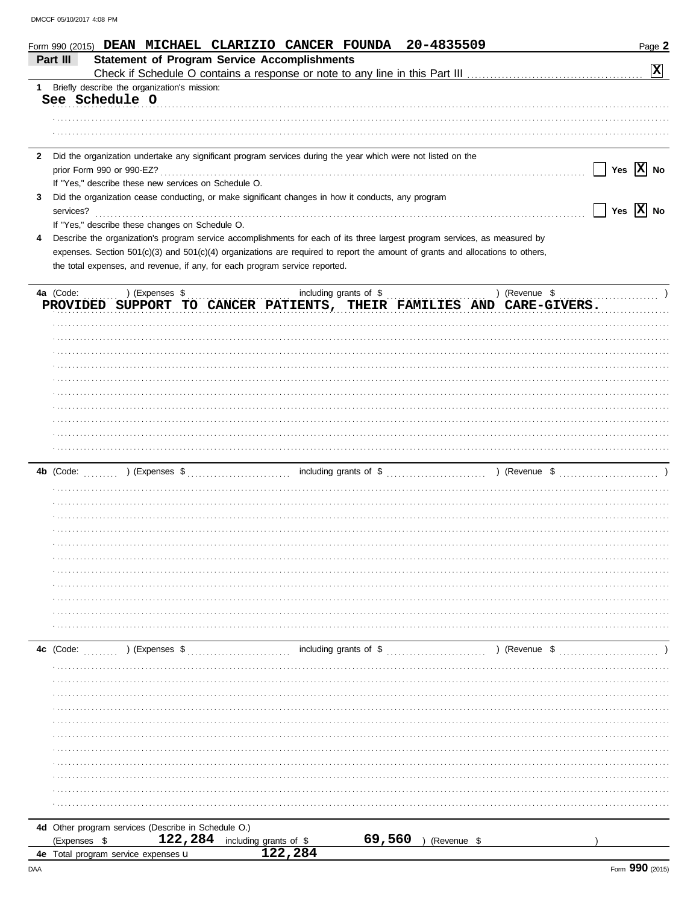|              | Form 990 (2015) DEAN MICHAEL CLARIZIO CANCER FOUNDA 20-4835509                                                                 |                        |                       | Page 2                                            |
|--------------|--------------------------------------------------------------------------------------------------------------------------------|------------------------|-----------------------|---------------------------------------------------|
|              | <b>Statement of Program Service Accomplishments</b><br>Part III                                                                |                        |                       | X                                                 |
| 1            | Briefly describe the organization's mission:                                                                                   |                        |                       |                                                   |
|              | See Schedule O                                                                                                                 |                        |                       |                                                   |
|              |                                                                                                                                |                        |                       |                                                   |
|              |                                                                                                                                |                        |                       |                                                   |
|              |                                                                                                                                |                        |                       |                                                   |
| $\mathbf{z}$ | Did the organization undertake any significant program services during the year which were not listed on the                   |                        |                       |                                                   |
|              |                                                                                                                                |                        |                       | Yes $\overline{X}$ No<br>$\mathbf{I}$             |
|              | If "Yes," describe these new services on Schedule O.                                                                           |                        |                       |                                                   |
| 3            | Did the organization cease conducting, or make significant changes in how it conducts, any program                             |                        |                       |                                                   |
|              | services?<br>If "Yes," describe these changes on Schedule O.                                                                   |                        |                       | $\boxed{\phantom{1}}$ Yes $\boxed{\textbf{X}}$ No |
|              | Describe the organization's program service accomplishments for each of its three largest program services, as measured by     |                        |                       |                                                   |
|              | expenses. Section 501(c)(3) and 501(c)(4) organizations are required to report the amount of grants and allocations to others, |                        |                       |                                                   |
|              | the total expenses, and revenue, if any, for each program service reported.                                                    |                        |                       |                                                   |
|              |                                                                                                                                |                        |                       |                                                   |
|              | 4a (Code:  ) (Expenses \$                                                                                                      | including grants of \$ |                       |                                                   |
|              | PROVIDED SUPPORT TO CANCER PATIENTS, THEIR FAMILIES AND CARE-GIVERS.                                                           |                        |                       |                                                   |
|              |                                                                                                                                |                        |                       |                                                   |
|              |                                                                                                                                |                        |                       |                                                   |
|              |                                                                                                                                |                        |                       |                                                   |
|              |                                                                                                                                |                        |                       |                                                   |
|              |                                                                                                                                |                        |                       |                                                   |
|              |                                                                                                                                |                        |                       |                                                   |
|              |                                                                                                                                |                        |                       |                                                   |
|              |                                                                                                                                |                        |                       |                                                   |
|              |                                                                                                                                |                        |                       |                                                   |
|              |                                                                                                                                |                        |                       |                                                   |
|              |                                                                                                                                |                        |                       |                                                   |
|              |                                                                                                                                |                        |                       |                                                   |
|              |                                                                                                                                |                        |                       |                                                   |
|              |                                                                                                                                |                        |                       |                                                   |
|              |                                                                                                                                |                        |                       |                                                   |
|              |                                                                                                                                |                        |                       |                                                   |
|              |                                                                                                                                |                        |                       |                                                   |
|              |                                                                                                                                |                        |                       |                                                   |
|              |                                                                                                                                |                        |                       |                                                   |
|              |                                                                                                                                |                        |                       |                                                   |
|              |                                                                                                                                |                        |                       |                                                   |
|              |                                                                                                                                |                        |                       |                                                   |
|              | 4c (Code:<br>) (Expenses \$                                                                                                    |                        |                       | ) (Revenue \$                                     |
|              |                                                                                                                                |                        |                       |                                                   |
|              |                                                                                                                                |                        |                       |                                                   |
|              |                                                                                                                                |                        |                       |                                                   |
|              |                                                                                                                                |                        |                       |                                                   |
|              |                                                                                                                                |                        |                       |                                                   |
|              |                                                                                                                                |                        |                       |                                                   |
|              |                                                                                                                                |                        |                       |                                                   |
|              |                                                                                                                                |                        |                       |                                                   |
|              |                                                                                                                                |                        |                       |                                                   |
|              |                                                                                                                                |                        |                       |                                                   |
|              |                                                                                                                                |                        |                       |                                                   |
|              | 4d Other program services (Describe in Schedule O.)                                                                            |                        |                       |                                                   |
|              | 122, 284 including grants of \$<br>(Expenses \$                                                                                |                        | 69,560<br>(Revenue \$ |                                                   |
|              | 4e Total program service expenses u                                                                                            | 122,284                |                       |                                                   |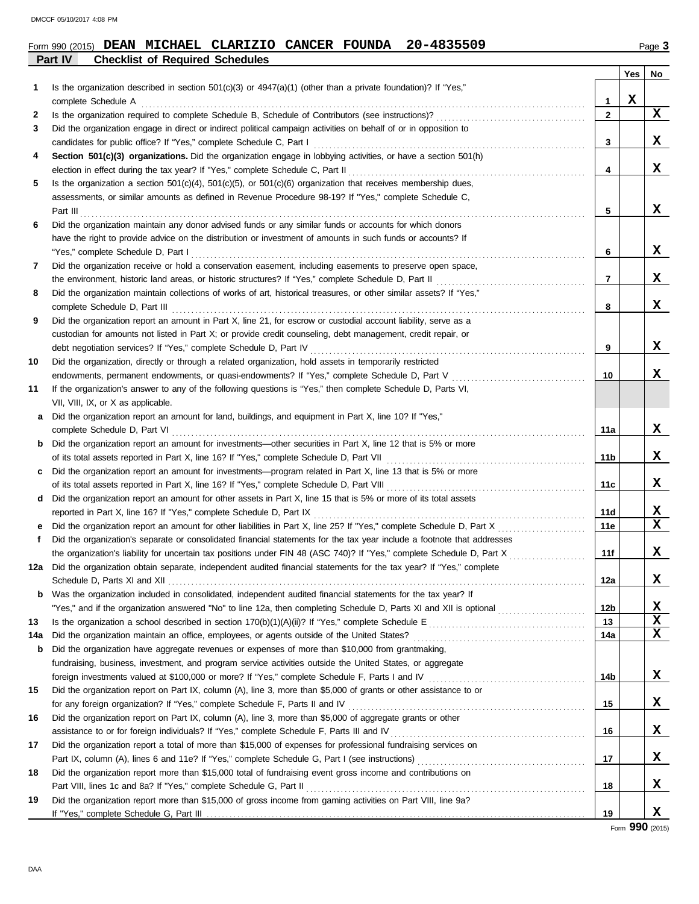### Form 990 (2015) Page **3 DEAN MICHAEL CLARIZIO CANCER FOUNDA 20-4835509**

|     | Part IV<br><b>Checklist of Required Schedules</b>                                                                                                                                                                              |                 |     |    |
|-----|--------------------------------------------------------------------------------------------------------------------------------------------------------------------------------------------------------------------------------|-----------------|-----|----|
|     |                                                                                                                                                                                                                                |                 | Yes | No |
| 1.  | Is the organization described in section $501(c)(3)$ or $4947(a)(1)$ (other than a private foundation)? If "Yes,"                                                                                                              |                 |     |    |
|     | complete Schedule A <b>complete</b> Schedule A <b>complete</b> Schedule A <b>complete</b> Schedule A <b>complete</b> Schedule A                                                                                                | $\mathbf{1}$    | X   |    |
| 2   |                                                                                                                                                                                                                                | $\overline{2}$  |     | X  |
| 3   | Did the organization engage in direct or indirect political campaign activities on behalf of or in opposition to                                                                                                               |                 |     |    |
|     |                                                                                                                                                                                                                                | 3               |     | X  |
| 4   | Section 501(c)(3) organizations. Did the organization engage in lobbying activities, or have a section 501(h)                                                                                                                  |                 |     |    |
|     |                                                                                                                                                                                                                                | 4               |     | X  |
| 5   | Is the organization a section $501(c)(4)$ , $501(c)(5)$ , or $501(c)(6)$ organization that receives membership dues,                                                                                                           |                 |     |    |
|     | assessments, or similar amounts as defined in Revenue Procedure 98-19? If "Yes," complete Schedule C,                                                                                                                          |                 |     |    |
|     |                                                                                                                                                                                                                                | 5               |     | X  |
| 6   | Did the organization maintain any donor advised funds or any similar funds or accounts for which donors                                                                                                                        |                 |     |    |
|     | have the right to provide advice on the distribution or investment of amounts in such funds or accounts? If                                                                                                                    |                 |     |    |
|     | "Yes," complete Schedule D, Part I contains a construction of the Schedule D, Part I contains a complete schedule D, Part I contains a contained by the Schedule D, Part I contains a contained by the Schedule D, Part I cont | 6               |     | X  |
| 7   | Did the organization receive or hold a conservation easement, including easements to preserve open space,                                                                                                                      |                 |     |    |
|     |                                                                                                                                                                                                                                | 7               |     | X  |
| 8   | Did the organization maintain collections of works of art, historical treasures, or other similar assets? If "Yes,"                                                                                                            |                 |     |    |
|     | complete Schedule D, Part III <b>Marting Complete Schedule D, Part III Marting Complete Schedule D</b> , Part III                                                                                                              | 8               |     | X  |
| 9   | Did the organization report an amount in Part X, line 21, for escrow or custodial account liability, serve as a                                                                                                                |                 |     |    |
|     | custodian for amounts not listed in Part X; or provide credit counseling, debt management, credit repair, or                                                                                                                   |                 |     |    |
|     |                                                                                                                                                                                                                                | 9               |     | x  |
| 10  | Did the organization, directly or through a related organization, hold assets in temporarily restricted                                                                                                                        |                 |     |    |
|     | endowments, permanent endowments, or quasi-endowments? If "Yes," complete Schedule D, Part V                                                                                                                                   | 10              |     | X  |
| 11  | If the organization's answer to any of the following questions is "Yes," then complete Schedule D, Parts VI,                                                                                                                   |                 |     |    |
|     | VII, VIII, IX, or X as applicable.                                                                                                                                                                                             |                 |     |    |
|     | a Did the organization report an amount for land, buildings, and equipment in Part X, line 10? If "Yes,"                                                                                                                       |                 |     |    |
|     |                                                                                                                                                                                                                                | 11a             |     | X  |
|     | <b>b</b> Did the organization report an amount for investments—other securities in Part X, line 12 that is 5% or more                                                                                                          |                 |     | X  |
|     |                                                                                                                                                                                                                                | 11 <sub>b</sub> |     |    |
|     | c Did the organization report an amount for investments—program related in Part X, line 13 that is 5% or more                                                                                                                  |                 |     | X  |
|     |                                                                                                                                                                                                                                | 11c             |     |    |
|     | d Did the organization report an amount for other assets in Part X, line 15 that is 5% or more of its total assets                                                                                                             |                 |     | X  |
|     |                                                                                                                                                                                                                                | 11d<br>11e      |     | X  |
| f   | Did the organization's separate or consolidated financial statements for the tax year include a footnote that addresses                                                                                                        |                 |     |    |
|     |                                                                                                                                                                                                                                | 11f             |     | X  |
|     | 12a Did the organization obtain separate, independent audited financial statements for the tax year? If "Yes," complete                                                                                                        |                 |     |    |
|     |                                                                                                                                                                                                                                | 12a             |     | X  |
| b   | Was the organization included in consolidated, independent audited financial statements for the tax year? If                                                                                                                   |                 |     |    |
|     |                                                                                                                                                                                                                                | 12 <sub>b</sub> |     | X  |
| 13  |                                                                                                                                                                                                                                | 13              |     | X  |
| 14a |                                                                                                                                                                                                                                | 14a             |     | X  |
| b   | Did the organization have aggregate revenues or expenses of more than \$10,000 from grantmaking,                                                                                                                               |                 |     |    |
|     | fundraising, business, investment, and program service activities outside the United States, or aggregate                                                                                                                      |                 |     |    |
|     | foreign investments valued at \$100,000 or more? If "Yes," complete Schedule F, Parts I and IV [[[[[[[[[[[[[[[[                                                                                                                | 14b             |     | X  |
| 15  | Did the organization report on Part IX, column (A), line 3, more than \$5,000 of grants or other assistance to or                                                                                                              |                 |     |    |
|     |                                                                                                                                                                                                                                | 15              |     | X  |
| 16  | Did the organization report on Part IX, column (A), line 3, more than \$5,000 of aggregate grants or other                                                                                                                     |                 |     |    |
|     |                                                                                                                                                                                                                                | 16              |     | X  |
| 17  | Did the organization report a total of more than \$15,000 of expenses for professional fundraising services on                                                                                                                 |                 |     |    |
|     |                                                                                                                                                                                                                                | 17              |     | X  |
| 18  | Did the organization report more than \$15,000 total of fundraising event gross income and contributions on                                                                                                                    |                 |     |    |
|     |                                                                                                                                                                                                                                | 18              |     | X  |
| 19  | Did the organization report more than \$15,000 of gross income from gaming activities on Part VIII, line 9a?                                                                                                                   |                 |     |    |
|     |                                                                                                                                                                                                                                | 19              |     | X  |

Form **990** (2015)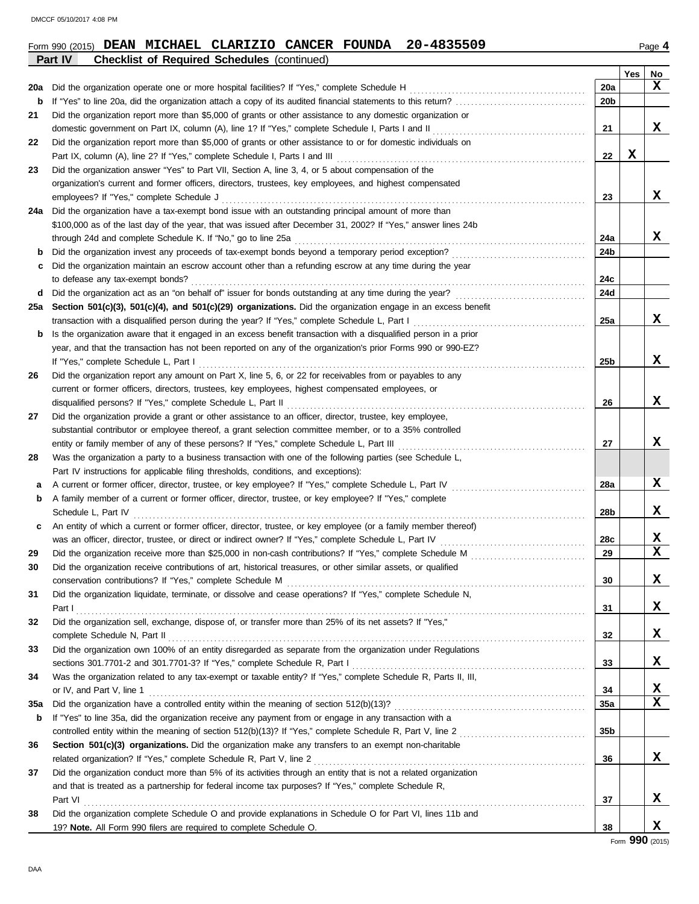|     | 20-4835509<br>Form 990 (2015) DEAN MICHAEL CLARIZIO CANCER FOUNDA                                                |     |     | Page 4 |
|-----|------------------------------------------------------------------------------------------------------------------|-----|-----|--------|
|     | Part IV<br><b>Checklist of Required Schedules (continued)</b>                                                    |     |     |        |
|     |                                                                                                                  |     | Yes | No     |
| 20a | Did the organization operate one or more hospital facilities? If "Yes," complete Schedule H                      | 20a |     | X      |
| b   | If "Yes" to line 20a, did the organization attach a copy of its audited financial statements to this return?     | 20b |     |        |
| 21  | Did the organization report more than \$5,000 of grants or other assistance to any domestic organization or      |     |     |        |
|     | domestic government on Part IX, column (A), line 1? If "Yes," complete Schedule I, Parts I and II                | 21  |     | X      |
| 22  | Did the organization report more than \$5,000 of grants or other assistance to or for domestic individuals on    |     |     |        |
|     | Part IX, column (A), line 2? If "Yes," complete Schedule I, Parts I and III                                      | 22  | X   |        |
| 23  | Did the organization answer "Yes" to Part VII, Section A, line 3, 4, or 5 about compensation of the              |     |     |        |
|     | organization's current and former officers, directors, trustees, key employees, and highest compensated          |     |     |        |
|     | employees? If "Yes," complete Schedule J                                                                         | 23  |     | x      |
| 24a | Did the organization have a tax-exempt bond issue with an outstanding principal amount of more than              |     |     |        |
|     | \$100,000 as of the last day of the year, that was issued after December 31, 2002? If "Yes," answer lines 24b    |     |     |        |
|     | through 24d and complete Schedule K. If "No," go to line 25a                                                     | 24a |     | X      |
| b   | Did the organization invest any proceeds of tax-exempt bonds beyond a temporary period exception?                | 24b |     |        |
| С   | Did the organization maintain an escrow account other than a refunding escrow at any time during the year        |     |     |        |
|     | to defease any tax-exempt bonds?                                                                                 | 24c |     |        |
| d   | Did the organization act as an "on behalf of" issuer for bonds outstanding at any time during the year?<br>.     | 24d |     |        |
| 25a | Section 501(c)(3), 501(c)(4), and 501(c)(29) organizations. Did the organization engage in an excess benefit     |     |     |        |
|     | transaction with a disqualified person during the year? If "Yes," complete Schedule L, Part I                    | 25a |     | x      |
| b   | Is the organization aware that it engaged in an excess benefit transaction with a disqualified person in a prior |     |     |        |
|     | year, and that the transaction has not been reported on any of the organization's prior Forms 990 or 990-EZ?     |     |     |        |
|     | If "Yes," complete Schedule L, Part I                                                                            | 25b |     | X      |
| 26  | Did the organization report any amount on Part X, line 5, 6, or 22 for receivables from or payables to any       |     |     |        |
|     | current or former officers, directors, trustees, key employees, highest compensated employees, or                |     |     |        |
|     | disqualified persons? If "Yes," complete Schedule L, Part II                                                     | 26  |     | X      |
| 27  | Did the organization provide a grant or other assistance to an officer, director, trustee, key employee,         |     |     |        |
|     | substantial contributor or employee thereof, a grant selection committee member, or to a 35% controlled          |     |     |        |
|     | entity or family member of any of these persons? If "Yes," complete Schedule L, Part III                         | 27  |     | X      |
| 28  | Was the organization a party to a business transaction with one of the following parties (see Schedule L,        |     |     |        |
|     | Part IV instructions for applicable filing thresholds, conditions, and exceptions):                              |     |     |        |
| a   | A current or former officer, director, trustee, or key employee? If "Yes," complete Schedule L, Part IV          | 28a |     | X      |
| b   | A family member of a current or former officer, director, trustee, or key employee? If "Yes," complete           |     |     |        |
|     | Schedule L, Part IV                                                                                              | 28b |     | x      |
| С   | An entity of which a current or former officer, director, trustee, or key employee (or a family member thereof)  |     |     |        |
|     | was an officer, director, trustee, or direct or indirect owner? If "Yes," complete Schedule L, Part IV           | 28c |     | X      |
| 29  | Did the organization receive more than \$25,000 in non-cash contributions? If "Yes," complete Schedule M         | 29  |     | X      |
| 30  | Did the organization receive contributions of art, historical treasures, or other similar assets, or qualified   |     |     |        |
|     |                                                                                                                  | 30  |     | X      |
| 31  | Did the organization liquidate, terminate, or dissolve and cease operations? If "Yes," complete Schedule N,      |     |     |        |
|     | Part I                                                                                                           | 31  |     | X      |
| 32  | Did the organization sell, exchange, dispose of, or transfer more than 25% of its net assets? If "Yes,"          |     |     |        |
|     |                                                                                                                  | 32  |     | X      |
| 33  | Did the organization own 100% of an entity disregarded as separate from the organization under Regulations       |     |     |        |
|     |                                                                                                                  | 33  |     | X      |
| 34  | Was the organization related to any tax-exempt or taxable entity? If "Yes," complete Schedule R, Parts II, III,  |     |     |        |
|     | or IV, and Part V, line 1                                                                                        | 34  |     | X      |
| 35a |                                                                                                                  | 35a |     | X      |
| b   | If "Yes" to line 35a, did the organization receive any payment from or engage in any transaction with a          |     |     |        |
|     |                                                                                                                  | 35b |     |        |
| 36  | Section 501(c)(3) organizations. Did the organization make any transfers to an exempt non-charitable             |     |     |        |
|     | related organization? If "Yes," complete Schedule R, Part V, line 2                                              | 36  |     | X      |
| 37  | Did the organization conduct more than 5% of its activities through an entity that is not a related organization |     |     |        |
|     | and that is treated as a partnership for federal income tax purposes? If "Yes," complete Schedule R,             |     |     |        |
|     | Part VI                                                                                                          | 37  |     | X      |
| 38  | Did the organization complete Schedule O and provide explanations in Schedule O for Part VI, lines 11b and       |     |     |        |
|     | 19? Note. All Form 990 filers are required to complete Schedule O.                                               | 38  |     | X      |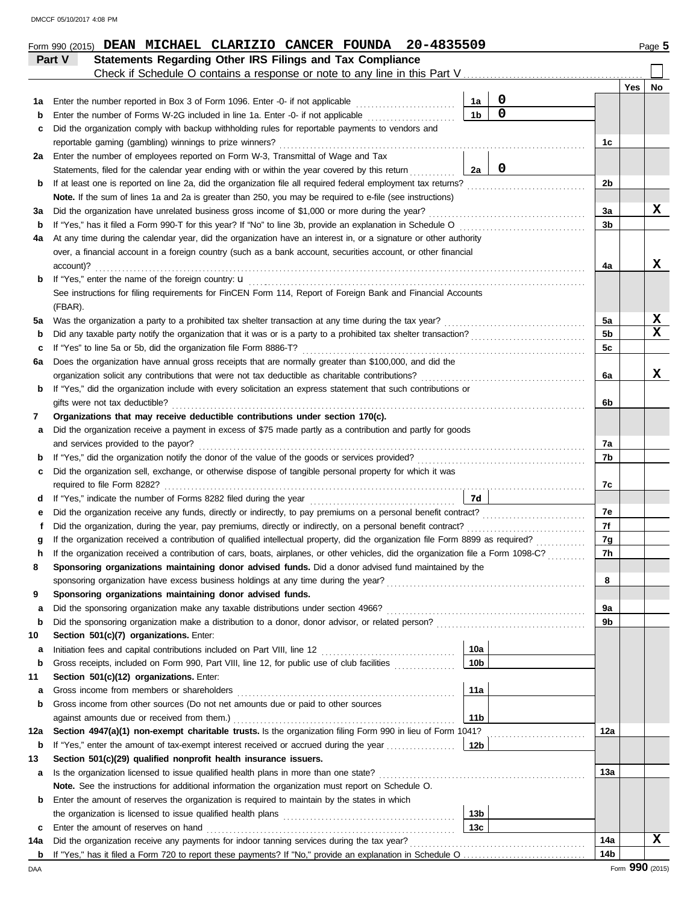|             | Statements Regarding Other IRS Filings and Tax Compliance<br>Part V<br>Check if Schedule O contains a response or note to any line in this Part V                                                                                                                      |                 |             |                |                 |              |
|-------------|------------------------------------------------------------------------------------------------------------------------------------------------------------------------------------------------------------------------------------------------------------------------|-----------------|-------------|----------------|-----------------|--------------|
|             |                                                                                                                                                                                                                                                                        |                 |             |                | Yes             | No           |
| 1a          | Enter the number reported in Box 3 of Form 1096. Enter -0- if not applicable                                                                                                                                                                                           | 1a              | $\mathbf 0$ |                |                 |              |
| b           | Enter the number of Forms W-2G included in line 1a. Enter -0- if not applicable                                                                                                                                                                                        | 1 <sub>b</sub>  | $\mathbf 0$ |                |                 |              |
| c           | Did the organization comply with backup withholding rules for reportable payments to vendors and                                                                                                                                                                       |                 |             |                |                 |              |
|             | reportable gaming (gambling) winnings to prize winners?                                                                                                                                                                                                                |                 |             | 1c             |                 |              |
| 2a          | Enter the number of employees reported on Form W-3, Transmittal of Wage and Tax                                                                                                                                                                                        |                 |             |                |                 |              |
|             | Statements, filed for the calendar year ending with or within the year covered by this return                                                                                                                                                                          | 2a              | $\mathbf 0$ |                |                 |              |
| b           | If at least one is reported on line 2a, did the organization file all required federal employment tax returns?                                                                                                                                                         |                 |             | 2 <sub>b</sub> |                 |              |
|             | Note. If the sum of lines 1a and 2a is greater than 250, you may be required to e-file (see instructions)                                                                                                                                                              |                 |             |                |                 |              |
| За          | Did the organization have unrelated business gross income of \$1,000 or more during the year?                                                                                                                                                                          |                 |             | За             |                 | x            |
| b           | If "Yes," has it filed a Form 990-T for this year? If "No" to line 3b, provide an explanation in Schedule O                                                                                                                                                            |                 |             | 3b             |                 |              |
| 4a          | At any time during the calendar year, did the organization have an interest in, or a signature or other authority                                                                                                                                                      |                 |             |                |                 |              |
|             | over, a financial account in a foreign country (such as a bank account, securities account, or other financial                                                                                                                                                         |                 |             |                |                 | x            |
| b           | account)?<br>If "Yes," enter the name of the foreign country: <b>u</b>                                                                                                                                                                                                 |                 |             | 4a             |                 |              |
|             | See instructions for filing requirements for FinCEN Form 114, Report of Foreign Bank and Financial Accounts                                                                                                                                                            |                 |             |                |                 |              |
|             | (FBAR).                                                                                                                                                                                                                                                                |                 |             |                |                 |              |
| 5a          | Was the organization a party to a prohibited tax shelter transaction at any time during the tax year?                                                                                                                                                                  |                 |             | 5a             |                 | X            |
| b           |                                                                                                                                                                                                                                                                        |                 |             | 5 <sub>b</sub> |                 | $\mathbf{x}$ |
| c           | If "Yes" to line 5a or 5b, did the organization file Form 8886-T?                                                                                                                                                                                                      |                 |             | 5c             |                 |              |
| 6а          | Does the organization have annual gross receipts that are normally greater than \$100,000, and did the                                                                                                                                                                 |                 |             |                |                 |              |
|             | organization solicit any contributions that were not tax deductible as charitable contributions?                                                                                                                                                                       |                 |             | 6a             |                 | x            |
| b           | If "Yes," did the organization include with every solicitation an express statement that such contributions or                                                                                                                                                         |                 |             |                |                 |              |
|             | gifts were not tax deductible?                                                                                                                                                                                                                                         |                 |             | 6b             |                 |              |
| 7           | Organizations that may receive deductible contributions under section 170(c).                                                                                                                                                                                          |                 |             |                |                 |              |
| а           | Did the organization receive a payment in excess of \$75 made partly as a contribution and partly for goods                                                                                                                                                            |                 |             |                |                 |              |
|             | and services provided to the payor?                                                                                                                                                                                                                                    |                 |             | 7a             |                 |              |
| b           |                                                                                                                                                                                                                                                                        |                 |             | 7b             |                 |              |
| c           | Did the organization sell, exchange, or otherwise dispose of tangible personal property for which it was                                                                                                                                                               |                 |             |                |                 |              |
|             |                                                                                                                                                                                                                                                                        |                 |             | 7c             |                 |              |
| d           |                                                                                                                                                                                                                                                                        | 7d              |             |                |                 |              |
| е           |                                                                                                                                                                                                                                                                        |                 |             | 7e             |                 |              |
| f           | Did the organization, during the year, pay premiums, directly or indirectly, on a personal benefit contract?                                                                                                                                                           |                 |             | 7f             |                 |              |
| g           | If the organization received a contribution of qualified intellectual property, did the organization file Form 8899 as required?<br>If the organization received a contribution of cars, boats, airplanes, or other vehicles, did the organization file a Form 1098-C? |                 |             | 7g<br>7h       |                 |              |
| h           | Sponsoring organizations maintaining donor advised funds. Did a donor advised fund maintained by the                                                                                                                                                                   |                 |             |                |                 |              |
|             |                                                                                                                                                                                                                                                                        |                 |             | 8              |                 |              |
| 9           | Sponsoring organizations maintaining donor advised funds.                                                                                                                                                                                                              |                 |             |                |                 |              |
| a           |                                                                                                                                                                                                                                                                        |                 |             | 9a             |                 |              |
| b           |                                                                                                                                                                                                                                                                        |                 |             | 9b             |                 |              |
| 10          | Section 501(c)(7) organizations. Enter:                                                                                                                                                                                                                                |                 |             |                |                 |              |
| а           |                                                                                                                                                                                                                                                                        | 10a             |             |                |                 |              |
| $\mathbf b$ | Gross receipts, included on Form 990, Part VIII, line 12, for public use of club facilities                                                                                                                                                                            | 10 <sub>b</sub> |             |                |                 |              |
| 11          | Section 501(c)(12) organizations. Enter:                                                                                                                                                                                                                               |                 |             |                |                 |              |
| а           | Gross income from members or shareholders                                                                                                                                                                                                                              | 11a             |             |                |                 |              |
| b           | Gross income from other sources (Do not net amounts due or paid to other sources                                                                                                                                                                                       |                 |             |                |                 |              |
|             |                                                                                                                                                                                                                                                                        | 11 <sub>b</sub> |             |                |                 |              |
| 12a         | Section 4947(a)(1) non-exempt charitable trusts. Is the organization filing Form 990 in lieu of Form 1041?                                                                                                                                                             |                 |             | 12a            |                 |              |
| b           |                                                                                                                                                                                                                                                                        |                 |             |                |                 |              |
| 13          | Section 501(c)(29) qualified nonprofit health insurance issuers.                                                                                                                                                                                                       |                 |             |                |                 |              |
| а           | Is the organization licensed to issue qualified health plans in more than one state?                                                                                                                                                                                   |                 |             | 13а            |                 |              |
|             | Note. See the instructions for additional information the organization must report on Schedule O.                                                                                                                                                                      |                 |             |                |                 |              |
| b           | Enter the amount of reserves the organization is required to maintain by the states in which                                                                                                                                                                           |                 |             |                |                 |              |
|             |                                                                                                                                                                                                                                                                        | 13 <sub>b</sub> |             |                |                 |              |
| c           | Enter the amount of reserves on hand                                                                                                                                                                                                                                   | 13 <sub>c</sub> |             |                |                 |              |
| 14a         | Did the organization receive any payments for indoor tanning services during the tax year?                                                                                                                                                                             |                 |             | 14a            |                 | X            |
| b           |                                                                                                                                                                                                                                                                        |                 |             | 14b            |                 |              |
| DAA         |                                                                                                                                                                                                                                                                        |                 |             |                | Form 990 (2015) |              |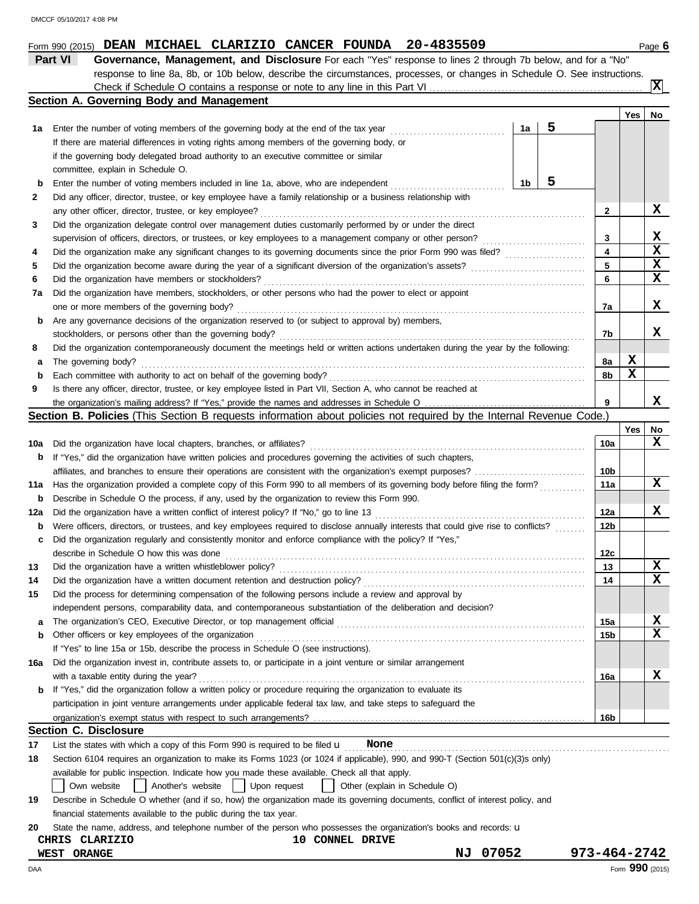|     | Part VI<br>Governance, Management, and Disclosure For each "Yes" response to lines 2 through 7b below, and for a "No"                      |                         |     |          |
|-----|--------------------------------------------------------------------------------------------------------------------------------------------|-------------------------|-----|----------|
|     | response to line 8a, 8b, or 10b below, describe the circumstances, processes, or changes in Schedule O. See instructions.                  |                         |     |          |
|     |                                                                                                                                            |                         |     | <b>x</b> |
|     | <b>Section A. Governing Body and Management</b>                                                                                            |                         |     |          |
|     |                                                                                                                                            |                         | Yes | No       |
|     | 5<br>1a<br>1a Enter the number of voting members of the governing body at the end of the tax year [[[[[[[[[[[[[[[[[[[[[[[                  |                         |     |          |
|     | If there are material differences in voting rights among members of the governing body, or                                                 |                         |     |          |
|     | if the governing body delegated broad authority to an executive committee or similar                                                       |                         |     |          |
|     | committee, explain in Schedule O.                                                                                                          |                         |     |          |
| b   | 5<br>Enter the number of voting members included in line 1a, above, who are independent<br>1b                                              |                         |     |          |
| 2   | Did any officer, director, trustee, or key employee have a family relationship or a business relationship with                             |                         |     |          |
|     |                                                                                                                                            | 2                       |     | x        |
| 3   | Did the organization delegate control over management duties customarily performed by or under the direct                                  |                         |     |          |
|     | supervision of officers, directors, or trustees, or key employees to a management company or other person?                                 | 3                       |     | X        |
| 4   |                                                                                                                                            | $\overline{\mathbf{4}}$ |     | X        |
| 5   |                                                                                                                                            | 5                       |     | X        |
| 6   |                                                                                                                                            | 6                       |     | x        |
| 7a  | Did the organization have members, stockholders, or other persons who had the power to elect or appoint                                    |                         |     |          |
|     |                                                                                                                                            | 7a                      |     | x        |
| b   | Are any governance decisions of the organization reserved to (or subject to approval by) members,                                          |                         |     |          |
|     |                                                                                                                                            | 7b                      |     | x        |
| 8   | Did the organization contemporaneously document the meetings held or written actions undertaken during the year by the following:          |                         |     |          |
| а   | The governing body?                                                                                                                        | 8a                      | X   |          |
| b   |                                                                                                                                            | 8b                      | X   |          |
| 9   | Is there any officer, director, trustee, or key employee listed in Part VII, Section A, who cannot be reached at                           |                         |     |          |
|     |                                                                                                                                            | 9                       |     | x        |
|     | Section B. Policies (This Section B requests information about policies not required by the Internal Revenue Code.)                        |                         |     |          |
|     |                                                                                                                                            |                         | Yes | No       |
| 10a |                                                                                                                                            | 10a                     |     | x        |
| b   | If "Yes," did the organization have written policies and procedures governing the activities of such chapters,                             |                         |     |          |
|     |                                                                                                                                            | 10b                     |     |          |
|     | 11a Has the organization provided a complete copy of this Form 990 to all members of its governing body before filing the form?            | 11a                     |     | x        |
| b   | Describe in Schedule O the process, if any, used by the organization to review this Form 990.                                              |                         |     |          |
| 12a |                                                                                                                                            | 12a                     |     | x        |
| b   | Were officers, directors, or trustees, and key employees required to disclose annually interests that could give rise to conflicts?        | 12 <sub>b</sub>         |     |          |
| c   | Did the organization regularly and consistently monitor and enforce compliance with the policy? If "Yes,"                                  |                         |     |          |
|     |                                                                                                                                            | 12c                     |     |          |
| 13  | Did the organization have a written whistleblower policy?                                                                                  | 13                      |     | X<br>X   |
| 14  |                                                                                                                                            | 14                      |     |          |
| 15  | Did the process for determining compensation of the following persons include a review and approval by                                     |                         |     |          |
|     | independent persons, comparability data, and contemporaneous substantiation of the deliberation and decision?                              |                         |     |          |
| а   |                                                                                                                                            | 15a                     |     | X<br>x   |
| b   | Other officers or key employees of the organization<br>If "Yes" to line 15a or 15b, describe the process in Schedule O (see instructions). | 15b                     |     |          |
| 16a | Did the organization invest in, contribute assets to, or participate in a joint venture or similar arrangement                             |                         |     |          |
|     | with a taxable entity during the year?                                                                                                     | 16a                     |     | x        |
| b   | If "Yes," did the organization follow a written policy or procedure requiring the organization to evaluate its                             |                         |     |          |
|     | participation in joint venture arrangements under applicable federal tax law, and take steps to safeguard the                              |                         |     |          |
|     |                                                                                                                                            | 16b                     |     |          |
|     | <b>Section C. Disclosure</b>                                                                                                               |                         |     |          |
| 17  | List the states with which a copy of this Form 990 is required to be filed $\mathbf u$<br>None                                             |                         |     |          |
| 18  | Section 6104 requires an organization to make its Forms 1023 (or 1024 if applicable), 990, and 990-T (Section 501(c)(3)s only)             |                         |     |          |
|     | available for public inspection. Indicate how you made these available. Check all that apply.                                              |                         |     |          |
|     | Another's website<br>Own website<br>Upon request<br>Other (explain in Schedule O)                                                          |                         |     |          |
| 19  | Describe in Schedule O whether (and if so, how) the organization made its governing documents, conflict of interest policy, and            |                         |     |          |
|     | financial statements available to the public during the tax year.                                                                          |                         |     |          |
| 20  | State the name, address, and telephone number of the person who possesses the organization's books and records: <b>u</b>                   |                         |     |          |
|     | CHRIS CLARIZIO<br><b>10 CONNEL DRIVE</b>                                                                                                   |                         |     |          |
|     | 07052<br>ΝJ<br><b>WEST ORANGE</b>                                                                                                          | $973 - 464 - 2742$      |     |          |
|     |                                                                                                                                            |                         |     |          |

DAA Form **990** (2015)

**Form 990 (2015) DEAN MICHAEL CLARIZIO CANCER FOUNDA 20-4835509 Deane 10 12496 6**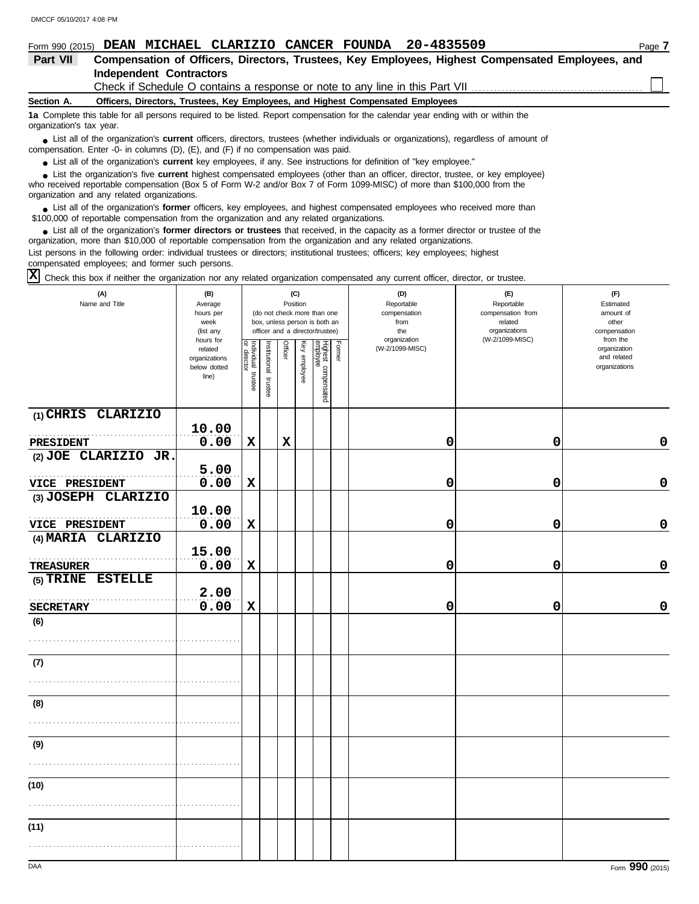### **Section A. Independent Contractors Part VII Compensation of Officers, Directors, Trustees, Key Employees, Highest Compensated Employees, and Form 990 (2015) DEAN MICHAEL CLARIZIO CANCER FOUNDA** 20-4835509 Page 7 **Officers, Directors, Trustees, Key Employees, and Highest Compensated Employees 1a** Complete this table for all persons required to be listed. Report compensation for the calendar year ending with or within the organization's tax year. Check if Schedule O contains a response or note to any line in this Part VII

■ List all of the organization's **current** officers, directors, trustees (whether individuals or organizations), regardless of amount of compensation. Enter -0- in columns (D), (E), and (F) if no compensation was paid.

● List all of the organization's **current** key employees, if any. See instructions for definition of "key employee."

who received reportable compensation (Box 5 of Form W-2 and/or Box 7 of Form 1099-MISC) of more than \$100,000 from the organization and any related organizations. ■ List the organization's five **current** highest compensated employees (other than an officer, director, trustee, or key employee)<br> **•** Pregiund reportable compensation (Box 5 of Ferm W 2 and/or Box 7 of Ferm 1000 MISC) o

■ List all of the organization's **former** officers, key employees, and highest compensated employees who received more than<br> **•** 00.000 of reportable compensation from the examization and any related erganizations \$100,000 of reportable compensation from the organization and any related organizations.

■ List all of the organization's **former directors or trustees** that received, in the capacity as a former director or trustee of the practization more than \$10,000 of reportable compensation from the organization and any organization, more than \$10,000 of reportable compensation from the organization and any related organizations. List persons in the following order: individual trustees or directors; institutional trustees; officers; key employees; highest compensated employees; and former such persons.

Check this box if neither the organization nor any related organization compensated any current officer, director, or trustee. **X**

| (A)<br>Name and Title | (B)<br>Average<br>hours per<br>week<br>(list any<br>hours for |                                   |                       |                | (C)<br>Position | (do not check more than one<br>box, unless person is both an<br>officer and a director/trustee) |        | (D)<br>Reportable<br>compensation<br>from<br>the<br>organization | (E)<br>Reportable<br>compensation from<br>related<br>organizations<br>(W-2/1099-MISC) | (F)<br>Estimated<br>amount of<br>other<br>compensation<br>from the |
|-----------------------|---------------------------------------------------------------|-----------------------------------|-----------------------|----------------|-----------------|-------------------------------------------------------------------------------------------------|--------|------------------------------------------------------------------|---------------------------------------------------------------------------------------|--------------------------------------------------------------------|
|                       | related<br>organizations<br>below dotted<br>line)             | Individual trustee<br>or director | Institutional trustee | <b>Officer</b> | Key employee    | Highest compensated<br>employee                                                                 | Former | (W-2/1099-MISC)                                                  |                                                                                       | organization<br>and related<br>organizations                       |
| (1) CHRIS CLARIZIO    | 10.00                                                         |                                   |                       |                |                 |                                                                                                 |        |                                                                  |                                                                                       |                                                                    |
| PRESIDENT             | 0.00                                                          | $\mathbf x$                       |                       | $\mathbf x$    |                 |                                                                                                 |        | 0                                                                | 0                                                                                     | $\pmb{0}$                                                          |
| (2) JOE CLARIZIO JR.  |                                                               |                                   |                       |                |                 |                                                                                                 |        |                                                                  |                                                                                       |                                                                    |
| VICE PRESIDENT        | 5.00<br>0.00                                                  | $\mathbf x$                       |                       |                |                 |                                                                                                 |        | 0                                                                | 0                                                                                     | $\mathbf 0$                                                        |
| (3) JOSEPH CLARIZIO   |                                                               |                                   |                       |                |                 |                                                                                                 |        |                                                                  |                                                                                       |                                                                    |
|                       | 10.00                                                         |                                   |                       |                |                 |                                                                                                 |        |                                                                  |                                                                                       |                                                                    |
| VICE PRESIDENT        | 0.00                                                          | $\mathbf x$                       |                       |                |                 |                                                                                                 |        | 0                                                                | 0                                                                                     | $\pmb{0}$                                                          |
| (4) MARIA CLARIZIO    | 15.00                                                         |                                   |                       |                |                 |                                                                                                 |        |                                                                  |                                                                                       |                                                                    |
| <b>TREASURER</b>      | 0.00                                                          | $\mathbf x$                       |                       |                |                 |                                                                                                 |        | 0                                                                | 0                                                                                     | $\pmb{0}$                                                          |
| (5) TRINE ESTELLE     |                                                               |                                   |                       |                |                 |                                                                                                 |        |                                                                  |                                                                                       |                                                                    |
|                       | 2.00                                                          |                                   |                       |                |                 |                                                                                                 |        |                                                                  |                                                                                       |                                                                    |
| <b>SECRETARY</b>      | 0.00                                                          | $\mathbf x$                       |                       |                |                 |                                                                                                 |        | 0                                                                | 0                                                                                     | $\pmb{0}$                                                          |
| (6)                   |                                                               |                                   |                       |                |                 |                                                                                                 |        |                                                                  |                                                                                       |                                                                    |
|                       |                                                               |                                   |                       |                |                 |                                                                                                 |        |                                                                  |                                                                                       |                                                                    |
| (7)                   |                                                               |                                   |                       |                |                 |                                                                                                 |        |                                                                  |                                                                                       |                                                                    |
|                       |                                                               |                                   |                       |                |                 |                                                                                                 |        |                                                                  |                                                                                       |                                                                    |
| (8)                   |                                                               |                                   |                       |                |                 |                                                                                                 |        |                                                                  |                                                                                       |                                                                    |
| (9)                   |                                                               |                                   |                       |                |                 |                                                                                                 |        |                                                                  |                                                                                       |                                                                    |
|                       |                                                               |                                   |                       |                |                 |                                                                                                 |        |                                                                  |                                                                                       |                                                                    |
| (10)                  |                                                               |                                   |                       |                |                 |                                                                                                 |        |                                                                  |                                                                                       |                                                                    |
|                       |                                                               |                                   |                       |                |                 |                                                                                                 |        |                                                                  |                                                                                       |                                                                    |
| (11)                  |                                                               |                                   |                       |                |                 |                                                                                                 |        |                                                                  |                                                                                       |                                                                    |
|                       |                                                               |                                   |                       |                |                 |                                                                                                 |        |                                                                  |                                                                                       |                                                                    |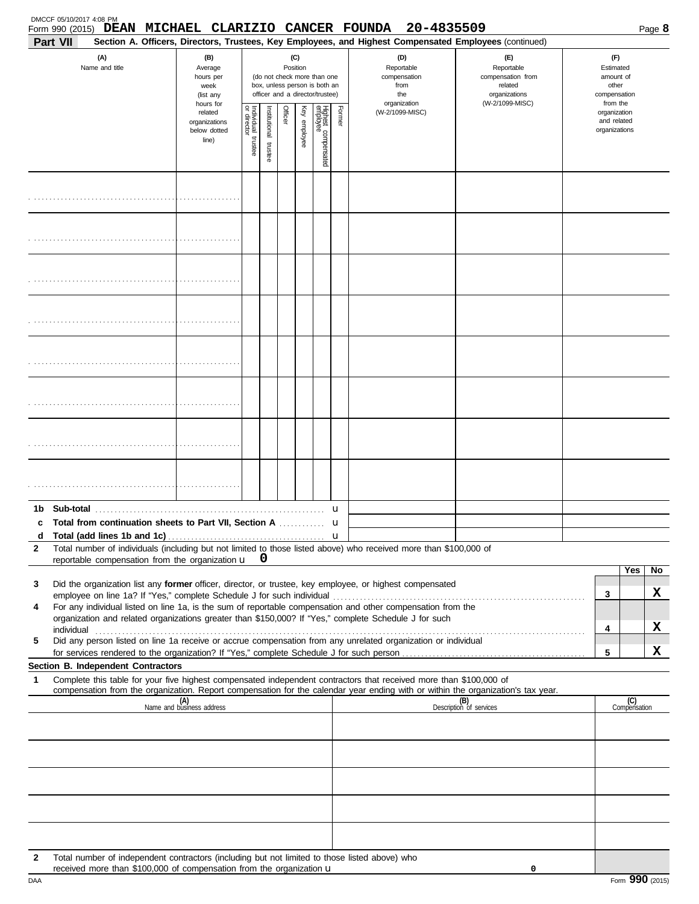| Part VII                           |                                                                        |                                                                                                                    |                          |         |              |                                 |        | Form 990 (2015) DEAN MICHAEL CLARIZIO CANCER FOUNDA 20-4835509<br>Section A. Officers, Directors, Trustees, Key Employees, and Highest Compensated Employees (continued)                                                                               |                                                                                                                                                                                                                                     |   |                                                                    | Page 8 |  |
|------------------------------------|------------------------------------------------------------------------|--------------------------------------------------------------------------------------------------------------------|--------------------------|---------|--------------|---------------------------------|--------|--------------------------------------------------------------------------------------------------------------------------------------------------------------------------------------------------------------------------------------------------------|-------------------------------------------------------------------------------------------------------------------------------------------------------------------------------------------------------------------------------------|---|--------------------------------------------------------------------|--------|--|
| (A)<br>Name and title              | (B)<br>Average<br>hours per<br>week<br>(list any                       | (C)<br>Position<br>(do not check more than one<br>box, unless person is both an<br>officer and a director/trustee) |                          |         |              |                                 |        | (D)<br>Reportable<br>compensation<br>from<br>the<br>organization                                                                                                                                                                                       | (E)<br>Reportable<br>compensation from<br>related<br>organizations<br>(W-2/1099-MISC)                                                                                                                                               |   | (F)<br>Estimated<br>amount of<br>other<br>compensation<br>from the |        |  |
|                                    | hours for<br>related<br>organizations<br>below dotted<br>line)         | Individual 1<br>trustee                                                                                            | Institutional<br>trustee | Officer | Key employee | Highest compensated<br>employee | Former | (W-2/1099-MISC)                                                                                                                                                                                                                                        |                                                                                                                                                                                                                                     |   | organization<br>and related<br>organizations                       |        |  |
|                                    |                                                                        |                                                                                                                    |                          |         |              |                                 |        |                                                                                                                                                                                                                                                        |                                                                                                                                                                                                                                     |   |                                                                    |        |  |
|                                    |                                                                        |                                                                                                                    |                          |         |              |                                 |        |                                                                                                                                                                                                                                                        |                                                                                                                                                                                                                                     |   |                                                                    |        |  |
|                                    |                                                                        |                                                                                                                    |                          |         |              |                                 |        |                                                                                                                                                                                                                                                        |                                                                                                                                                                                                                                     |   |                                                                    |        |  |
|                                    |                                                                        |                                                                                                                    |                          |         |              |                                 |        |                                                                                                                                                                                                                                                        |                                                                                                                                                                                                                                     |   |                                                                    |        |  |
|                                    |                                                                        |                                                                                                                    |                          |         |              |                                 |        |                                                                                                                                                                                                                                                        |                                                                                                                                                                                                                                     |   |                                                                    |        |  |
|                                    |                                                                        |                                                                                                                    |                          |         |              |                                 |        |                                                                                                                                                                                                                                                        |                                                                                                                                                                                                                                     |   |                                                                    |        |  |
|                                    |                                                                        |                                                                                                                    |                          |         |              |                                 |        |                                                                                                                                                                                                                                                        |                                                                                                                                                                                                                                     |   |                                                                    |        |  |
|                                    |                                                                        |                                                                                                                    |                          |         |              |                                 |        |                                                                                                                                                                                                                                                        |                                                                                                                                                                                                                                     |   |                                                                    |        |  |
|                                    | Total from continuation sheets to Part VII, Section A                  |                                                                                                                    |                          |         |              |                                 | u<br>u |                                                                                                                                                                                                                                                        |                                                                                                                                                                                                                                     |   |                                                                    |        |  |
| d                                  |                                                                        |                                                                                                                    |                          |         |              |                                 |        |                                                                                                                                                                                                                                                        |                                                                                                                                                                                                                                     |   |                                                                    |        |  |
| $\mathbf{2}$                       | reportable compensation from the organization u                        |                                                                                                                    | 0                        |         |              |                                 |        | Total number of individuals (including but not limited to those listed above) who received more than \$100,000 of                                                                                                                                      |                                                                                                                                                                                                                                     |   |                                                                    |        |  |
|                                    |                                                                        |                                                                                                                    |                          |         |              |                                 |        |                                                                                                                                                                                                                                                        |                                                                                                                                                                                                                                     |   | Yes                                                                | No     |  |
| 3                                  | employee on line 1a? If "Yes," complete Schedule J for such individual |                                                                                                                    |                          |         |              |                                 |        | Did the organization list any former officer, director, or trustee, key employee, or highest compensated                                                                                                                                               |                                                                                                                                                                                                                                     | 3 |                                                                    | x      |  |
| 4                                  |                                                                        |                                                                                                                    |                          |         |              |                                 |        | For any individual listed on line 1a, is the sum of reportable compensation and other compensation from the<br>organization and related organizations greater than \$150,000? If "Yes," complete Schedule J for such                                   |                                                                                                                                                                                                                                     |   |                                                                    |        |  |
|                                    |                                                                        |                                                                                                                    |                          |         |              |                                 |        |                                                                                                                                                                                                                                                        | individual <b>construction and the construction of the construction</b> of the construction of the construction of the construction of the construction of the construction of the construction of the construction of the construc | 4 |                                                                    | x      |  |
| 5                                  |                                                                        |                                                                                                                    |                          |         |              |                                 |        | Did any person listed on line 1a receive or accrue compensation from any unrelated organization or individual                                                                                                                                          |                                                                                                                                                                                                                                     | 5 |                                                                    | x      |  |
| Section B. Independent Contractors |                                                                        |                                                                                                                    |                          |         |              |                                 |        |                                                                                                                                                                                                                                                        |                                                                                                                                                                                                                                     |   |                                                                    |        |  |
| 1                                  |                                                                        |                                                                                                                    |                          |         |              |                                 |        | Complete this table for your five highest compensated independent contractors that received more than \$100,000 of<br>compensation from the organization. Report compensation for the calendar year ending with or within the organization's tax year. |                                                                                                                                                                                                                                     |   |                                                                    |        |  |
|                                    | (A)<br>Name and business address                                       |                                                                                                                    |                          |         |              |                                 |        |                                                                                                                                                                                                                                                        | (B)<br>Description of services                                                                                                                                                                                                      |   | (C)<br>Compensation                                                |        |  |
|                                    |                                                                        |                                                                                                                    |                          |         |              |                                 |        |                                                                                                                                                                                                                                                        |                                                                                                                                                                                                                                     |   |                                                                    |        |  |
|                                    |                                                                        |                                                                                                                    |                          |         |              |                                 |        |                                                                                                                                                                                                                                                        |                                                                                                                                                                                                                                     |   |                                                                    |        |  |
|                                    |                                                                        |                                                                                                                    |                          |         |              |                                 |        |                                                                                                                                                                                                                                                        |                                                                                                                                                                                                                                     |   |                                                                    |        |  |
|                                    |                                                                        |                                                                                                                    |                          |         |              |                                 |        |                                                                                                                                                                                                                                                        |                                                                                                                                                                                                                                     |   |                                                                    |        |  |
| $\mathbf{2}$                       |                                                                        |                                                                                                                    |                          |         |              |                                 |        | Total number of independent contractors (including but not limited to those listed above) who                                                                                                                                                          |                                                                                                                                                                                                                                     |   |                                                                    |        |  |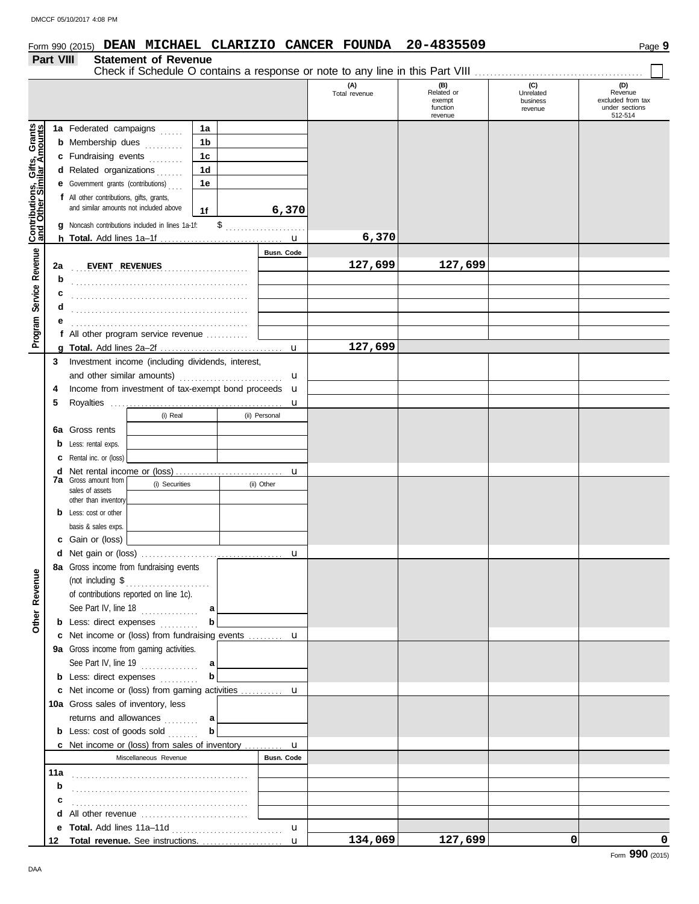### Form 990 (2015) Page **9 DEAN MICHAEL CLARIZIO CANCER FOUNDA 20-4835509**

# **Part VIII Statement of Revenue**

|                              |    |                                                                                     |                                                             |                |  |               | (A)<br>Total revenue | (B)<br>Related or<br>exempt<br>function | (C)<br>Unrelated<br>business<br>revenue | (D)<br>Revenue<br>excluded from tax<br>under sections |
|------------------------------|----|-------------------------------------------------------------------------------------|-------------------------------------------------------------|----------------|--|---------------|----------------------|-----------------------------------------|-----------------------------------------|-------------------------------------------------------|
|                              |    | 1a Federated campaigns                                                              |                                                             | 1a             |  |               |                      | revenue                                 |                                         | 512-514                                               |
|                              |    |                                                                                     |                                                             | 1b             |  |               |                      |                                         |                                         |                                                       |
|                              |    | <b>b</b> Membership dues                                                            |                                                             |                |  |               |                      |                                         |                                         |                                                       |
|                              |    | c Fundraising events                                                                |                                                             | 1 <sub>c</sub> |  |               |                      |                                         |                                         |                                                       |
|                              |    | d Related organizations                                                             |                                                             | 1 <sub>d</sub> |  |               |                      |                                         |                                         |                                                       |
|                              |    | <b>e</b> Government grants (contributions)                                          |                                                             | 1e             |  |               |                      |                                         |                                         |                                                       |
|                              |    | f All other contributions, gifts, grants,<br>and similar amounts not included above |                                                             |                |  |               |                      |                                         |                                         |                                                       |
|                              |    |                                                                                     |                                                             | 1f             |  | 6,370         |                      |                                         |                                         |                                                       |
| Contributions, Gifts, Grants |    |                                                                                     | g Noncash contributions included in lines 1a-1f:            |                |  | $\frac{1}{2}$ |                      |                                         |                                         |                                                       |
|                              |    |                                                                                     |                                                             |                |  | $\mathbf{u}$  | 6,370                |                                         |                                         |                                                       |
| Program Service Revenue      |    |                                                                                     |                                                             |                |  | Busn. Code    |                      |                                         |                                         |                                                       |
|                              | 2a | EVENT REVENUES                                                                      |                                                             |                |  |               | 127,699              | 127,699                                 |                                         |                                                       |
|                              | b  |                                                                                     |                                                             |                |  |               |                      |                                         |                                         |                                                       |
|                              | c  |                                                                                     |                                                             |                |  |               |                      |                                         |                                         |                                                       |
|                              | d  |                                                                                     |                                                             |                |  |               |                      |                                         |                                         |                                                       |
|                              |    |                                                                                     |                                                             |                |  |               |                      |                                         |                                         |                                                       |
|                              |    |                                                                                     | f All other program service revenue                         |                |  |               |                      |                                         |                                         |                                                       |
|                              |    |                                                                                     |                                                             |                |  | $\mathbf{u}$  | 127,699              |                                         |                                         |                                                       |
|                              | 3  |                                                                                     | Investment income (including dividends, interest,           |                |  |               |                      |                                         |                                         |                                                       |
|                              |    |                                                                                     |                                                             |                |  | u             |                      |                                         |                                         |                                                       |
|                              | 4  |                                                                                     | Income from investment of tax-exempt bond proceeds <b>u</b> |                |  |               |                      |                                         |                                         |                                                       |
|                              | 5  |                                                                                     |                                                             |                |  | $\mathbf u$   |                      |                                         |                                         |                                                       |
|                              |    |                                                                                     | (i) Real<br>(ii) Personal                                   |                |  |               |                      |                                         |                                         |                                                       |
|                              |    | 6a Gross rents                                                                      |                                                             |                |  |               |                      |                                         |                                         |                                                       |
|                              |    | <b>b</b> Less: rental exps.                                                         |                                                             |                |  |               |                      |                                         |                                         |                                                       |
|                              |    | C Rental inc. or (loss)                                                             |                                                             |                |  |               |                      |                                         |                                         |                                                       |
|                              |    | $\mathbf{u}$<br><b>7a</b> Gross amount from                                         |                                                             |                |  |               |                      |                                         |                                         |                                                       |
|                              |    | sales of assets                                                                     | (i) Securities                                              |                |  | (ii) Other    |                      |                                         |                                         |                                                       |
|                              |    | other than inventory                                                                |                                                             |                |  |               |                      |                                         |                                         |                                                       |
|                              |    | <b>b</b> Less: cost or other                                                        |                                                             |                |  |               |                      |                                         |                                         |                                                       |
|                              |    | basis & sales exps.                                                                 |                                                             |                |  |               |                      |                                         |                                         |                                                       |
|                              |    | c Gain or (loss)                                                                    |                                                             |                |  |               |                      |                                         |                                         |                                                       |
|                              |    |                                                                                     |                                                             |                |  | $\mathbf u$   |                      |                                         |                                         |                                                       |
| $\mathbf{\omega}$            |    |                                                                                     | 8a Gross income from fundraising events                     |                |  |               |                      |                                         |                                         |                                                       |
|                              |    | (not including \$                                                                   |                                                             |                |  |               |                      |                                         |                                         |                                                       |
|                              |    |                                                                                     | of contributions reported on line 1c).                      |                |  |               |                      |                                         |                                         |                                                       |
|                              |    |                                                                                     | See Part IV, line $18$                                      | a              |  |               |                      |                                         |                                         |                                                       |
| Other Revenu                 |    |                                                                                     | <b>b</b> Less: direct expenses                              | b              |  |               |                      |                                         |                                         |                                                       |
|                              |    |                                                                                     | c Net income or (loss) from fundraising events  u           |                |  |               |                      |                                         |                                         |                                                       |
|                              |    |                                                                                     | 9a Gross income from gaming activities.                     |                |  |               |                      |                                         |                                         |                                                       |
|                              |    |                                                                                     | See Part IV, line $19$                                      | a              |  |               |                      |                                         |                                         |                                                       |
|                              |    |                                                                                     | <b>b</b> Less: direct expenses <i>minimals</i>              | b              |  |               |                      |                                         |                                         |                                                       |
|                              |    |                                                                                     | c Net income or (loss) from gaming activities  u            |                |  |               |                      |                                         |                                         |                                                       |
|                              |    | 10a Gross sales of inventory, less                                                  |                                                             |                |  |               |                      |                                         |                                         |                                                       |
|                              |    |                                                                                     | returns and allowances                                      | a              |  |               |                      |                                         |                                         |                                                       |
|                              |    |                                                                                     | <b>b</b> Less: cost of goods sold                           | $\mathbf{b}$   |  |               |                      |                                         |                                         |                                                       |
|                              |    |                                                                                     | c Net income or (loss) from sales of inventory  u           |                |  |               |                      |                                         |                                         |                                                       |
|                              |    |                                                                                     | Miscellaneous Revenue                                       |                |  | Busn, Code    |                      |                                         |                                         |                                                       |
|                              |    |                                                                                     |                                                             |                |  |               |                      |                                         |                                         |                                                       |
|                              | b  |                                                                                     |                                                             |                |  |               |                      |                                         |                                         |                                                       |
|                              | c  |                                                                                     |                                                             |                |  |               |                      |                                         |                                         |                                                       |
|                              |    |                                                                                     |                                                             |                |  |               |                      |                                         |                                         |                                                       |

**134,069 127,699 0 0**

**e Total.** Add lines 11a–11d . . . . . . . . . . . . . . . . . . . . . . . . . . . . . u **Total revenue.** See instructions. . . . . . . . . . . . . . . . . . . . . . **12**

u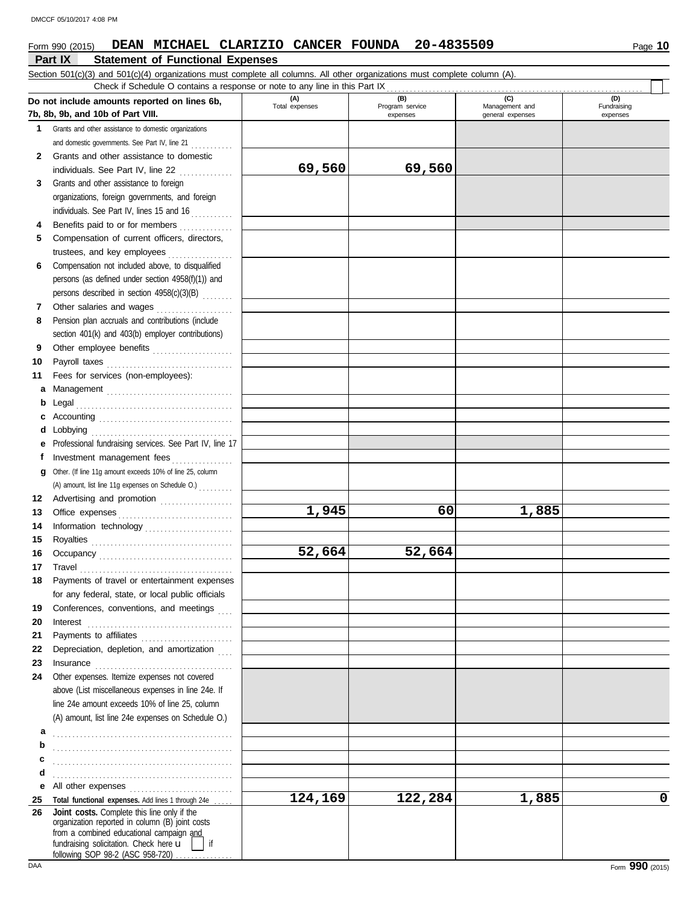### Form 990 (2015) Page **10 DEAN MICHAEL CLARIZIO CANCER FOUNDA 20-4835509**

### **Part IX Statement of Functional Expenses** Section 501(c)(3) and 501(c)(4) organizations must complete all columns. All other organizations must complete column (A). **Do not include amounts reported on lines 6b, 7b, 8b, 9b, and 10b of Part VIII. 1 2 3 4 5 6 7 8 9 10 11 a** Management . . . . . . . . . . . . . . . . . . . . . . . . . . . . . . . . . **b** Legal . . . . . . . . . . . . . . . . . . . . . . . . . . . . . . . . . . . . . . . . . **c** Accounting . . . . . . . . . . . . . . . . . . . . . . . . . . . . . . . . . . . **d e** Professional fundraising services. See Part IV, line 17 **f g** Other. (If line 11g amount exceeds 10% of line 25, column **12** Advertising and promotion . . . . . . . . . . . . . . . . . . . **13 14 15 16 17 18 19 20 21 22 23 24 a b c d e** All other expenses . . . . . . . . . . . . . . . . . . . . . . . . . . . **25 26** Grants and other assistance to domestic organizations and domestic governments. See Part IV, line 21 ............ Grants and other assistance to domestic individuals. See Part IV, line 22 . . . . . . . . . . . . . . Grants and other assistance to foreign organizations, foreign governments, and foreign individuals. See Part IV, lines 15 and 16 Benefits paid to or for members . . . . . . . . . . . . . . . . Compensation of current officers, directors, trustees, and key employees . . . . . . . . . . . . . . . . . Compensation not included above, to disqualified persons (as defined under section 4958(f)(1)) and persons described in section 4958(c)(3)(B) . . . . . . . . Other salaries and wages . . . . . . . . . . . . . . . . . . . . Pension plan accruals and contributions (include section 401(k) and 403(b) employer contributions) Other employee benefits ..................... Payroll taxes . . . . . . . . . . . . . . . . . . . . . . . . . . . . . . . . . Fees for services (non-employees): Lobbying . . . . . . . . . . . . . . . . . . . . . . . . . . . . . . . . . . . . . Investment management fees ................ Office expenses . . . . . . . . . . . . . . . . . . . . . . . . . . . . . . Information technology . . . . . . . . . . . . . . . . . . . . . . . Royalties . . . . . . . . . . . . . . . . . . . . . . . . . . . . . . . . . . . . . Occupancy . . . . . . . . . . . . . . . . . . . . . . . . . . . . . . . . . . . Travel . . . . . . . . . . . . . . . . . . . . . . . . . . . . . . . . . . . . . . . . Payments of travel or entertainment expenses for any federal, state, or local public officials Conferences, conventions, and meetings Interest . . . . . . . . . . . . . . . . . . . . . . . . . . . . . . . . . . . . . . Payments to affiliates . . . . . . . . . . . . . . . . . . . . . . . . Depreciation, depletion, and amortization Insurance . . . . . . . . . . . . . . . . . . . . . . . . . . . . . . . . . . . . Other expenses. Itemize expenses not covered above (List miscellaneous expenses in line 24e. If line 24e amount exceeds 10% of line 25, column (A) amount, list line 24e expenses on Schedule O.) Total functional expenses. Add lines 1 through 24e . fundraising solicitation. Check here  $\mathbf{u}$  | if organization reported in column (B) joint costs from a combined educational campaign and following SOP 98-2 (ASC 958-720) **(A) (B) (C) (D)** Nanagement and expenses and general expenses (D)<br>Fundraising expenses . . . . . . . . . . . . . . . . . . . . . . . . . . . . . . . . . . . . . . . . . . . . . . . . . . . . . . . . . . . . . . . . . . . . . . . . . . . . . . . . . . . . . . . . . . . . . . . . . . . . . . . . . . . . . . . . . . . . . . . . . . . . . . . . . . . . . . . . . . . . . Check if Schedule O contains a response or note to any line in this Part IX **Joint costs.** Complete this line only if the (A) amount, list line 11g expenses on Schedule O.) . . . . . . . . . **69,560 69,560 1,945 60 1,885 52,664 52,664 124,169 122,284 1,885 0**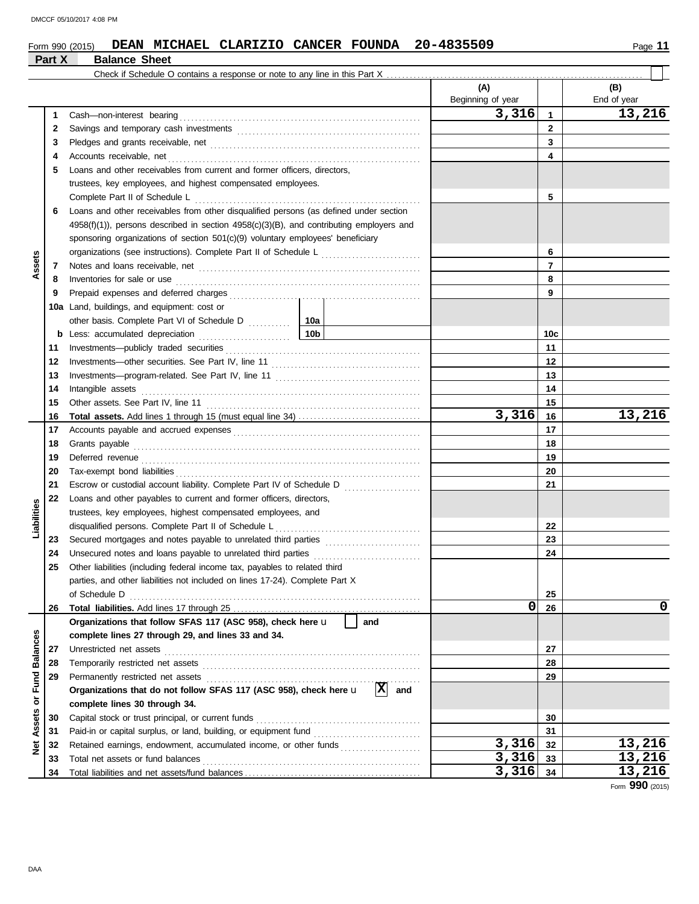### Form 990 (2015) **DEAN MICHAEL CLARIZIO CANCER FOUNDA** 20-4835509 Page 11 **DEAN MICHAEL CLARIZIO CANCER FOUNDA 20-4835509**

|                 | Part X | <b>Balance Sheet</b>                                                                                                                                                                                                                |                 |     |                   |                |             |
|-----------------|--------|-------------------------------------------------------------------------------------------------------------------------------------------------------------------------------------------------------------------------------------|-----------------|-----|-------------------|----------------|-------------|
|                 |        |                                                                                                                                                                                                                                     |                 |     |                   |                |             |
|                 |        |                                                                                                                                                                                                                                     |                 |     | (A)               |                | (B)         |
|                 |        |                                                                                                                                                                                                                                     |                 |     | Beginning of year |                | End of year |
|                 | 1      |                                                                                                                                                                                                                                     |                 |     | 3,316             | $\mathbf{1}$   | 13,216      |
|                 | 2      |                                                                                                                                                                                                                                     |                 |     |                   | $\mathbf{2}$   |             |
|                 | 3      |                                                                                                                                                                                                                                     |                 |     |                   | 3              |             |
|                 | 4      | Accounts receivable, net                                                                                                                                                                                                            |                 |     |                   | 4              |             |
|                 | 5      | Loans and other receivables from current and former officers, directors,                                                                                                                                                            |                 |     |                   |                |             |
|                 |        | trustees, key employees, and highest compensated employees.                                                                                                                                                                         |                 |     |                   |                |             |
|                 |        | Complete Part II of Schedule L                                                                                                                                                                                                      |                 |     |                   | 5              |             |
|                 | 6      | Loans and other receivables from other disqualified persons (as defined under section                                                                                                                                               |                 |     |                   |                |             |
|                 |        | $4958(f)(1)$ , persons described in section $4958(c)(3)(B)$ , and contributing employers and                                                                                                                                        |                 |     |                   |                |             |
|                 |        | sponsoring organizations of section 501(c)(9) voluntary employees' beneficiary                                                                                                                                                      |                 |     |                   |                |             |
|                 |        |                                                                                                                                                                                                                                     |                 | 6   |                   |                |             |
| Assets          | 7      |                                                                                                                                                                                                                                     |                 |     |                   | $\overline{7}$ |             |
|                 | 8      | Inventories for sale or use <i>communication</i> and the contract of the contract of the contract of the contract of the contract of the contract of the contract of the contract of the contract of the contract of the contract o |                 |     |                   | 8              |             |
|                 | 9      |                                                                                                                                                                                                                                     |                 |     |                   | 9              |             |
|                 | 10a    | Land, buildings, and equipment: cost or                                                                                                                                                                                             |                 |     |                   |                |             |
|                 |        | other basis. Complete Part VI of Schedule D [102]                                                                                                                                                                                   |                 |     |                   |                |             |
|                 | b      | Less: accumulated depreciation                                                                                                                                                                                                      | 10 <sub>b</sub> |     |                   | 10c            |             |
|                 | 11     |                                                                                                                                                                                                                                     |                 |     |                   | 11             |             |
|                 | 12     |                                                                                                                                                                                                                                     |                 |     |                   | 12             |             |
|                 | 13     |                                                                                                                                                                                                                                     |                 |     |                   | 13             |             |
|                 | 14     | Intangible assets                                                                                                                                                                                                                   |                 | 14  |                   |                |             |
|                 | 15     |                                                                                                                                                                                                                                     |                 | 15  |                   |                |             |
|                 | 16     |                                                                                                                                                                                                                                     |                 |     | 3,316             | 16             | 13,216      |
|                 | 17     |                                                                                                                                                                                                                                     |                 | 17  |                   |                |             |
|                 | 18     | Grants payable                                                                                                                                                                                                                      |                 | 18  |                   |                |             |
|                 | 19     | Deferred revenue contains and all the container and all the container and all the container and all the containing of the containing of the containing of the containing of the containing of the containing of the containing      |                 |     |                   | 19             |             |
|                 | 20     |                                                                                                                                                                                                                                     |                 |     |                   | 20             |             |
|                 | 21     | Escrow or custodial account liability. Complete Part IV of Schedule D                                                                                                                                                               |                 |     |                   | 21             |             |
|                 | 22     | Loans and other payables to current and former officers, directors,                                                                                                                                                                 |                 |     |                   |                |             |
| Liabilities     |        | trustees, key employees, highest compensated employees, and                                                                                                                                                                         |                 |     |                   |                |             |
|                 |        | disqualified persons. Complete Part II of Schedule L                                                                                                                                                                                |                 |     |                   | 22             |             |
|                 | 23     | Secured mortgages and notes payable to unrelated third parties [[[[[[[[[[[[[[[[[[[[[[[[]]]]]]]]]]                                                                                                                                   |                 |     |                   | 23             |             |
|                 | 24     |                                                                                                                                                                                                                                     |                 |     |                   | 24             |             |
|                 | 25     | Other liabilities (including federal income tax, payables to related third                                                                                                                                                          |                 |     |                   |                |             |
|                 |        | parties, and other liabilities not included on lines 17-24). Complete Part X                                                                                                                                                        |                 |     |                   |                |             |
|                 |        | of Schedule D                                                                                                                                                                                                                       |                 |     |                   | 25             |             |
|                 | 26     |                                                                                                                                                                                                                                     |                 |     | 0                 | 26             | 0           |
|                 |        | Organizations that follow SFAS 117 (ASC 958), check here u                                                                                                                                                                          |                 | and |                   |                |             |
|                 |        | complete lines 27 through 29, and lines 33 and 34.                                                                                                                                                                                  |                 |     |                   |                |             |
| <b>Balances</b> | 27     | Unrestricted net assets                                                                                                                                                                                                             |                 |     |                   | 27             |             |
|                 | 28     |                                                                                                                                                                                                                                     |                 |     |                   | 28             |             |
| Fund            | 29     | Permanently restricted net assets                                                                                                                                                                                                   |                 |     |                   | 29             |             |
|                 |        | Organizations that do not follow SFAS 117 (ASC 958), check here u                                                                                                                                                                   | 図<br>and        |     |                   |                |             |
| Assets or       |        | complete lines 30 through 34.                                                                                                                                                                                                       |                 |     |                   |                |             |
|                 | 30     | Capital stock or trust principal, or current funds                                                                                                                                                                                  |                 | 30  |                   |                |             |
|                 | 31     |                                                                                                                                                                                                                                     |                 |     |                   | 31             |             |
| <b>Net</b>      | 32     | Retained earnings, endowment, accumulated income, or other funds                                                                                                                                                                    |                 |     | 3,316             | 32             | 13,216      |
|                 | 33     | Total net assets or fund balances                                                                                                                                                                                                   |                 |     | 3,316             | 33             | 13,216      |
|                 | 34     |                                                                                                                                                                                                                                     |                 |     | 3,316             | 34             | 13,216      |

Form **990** (2015)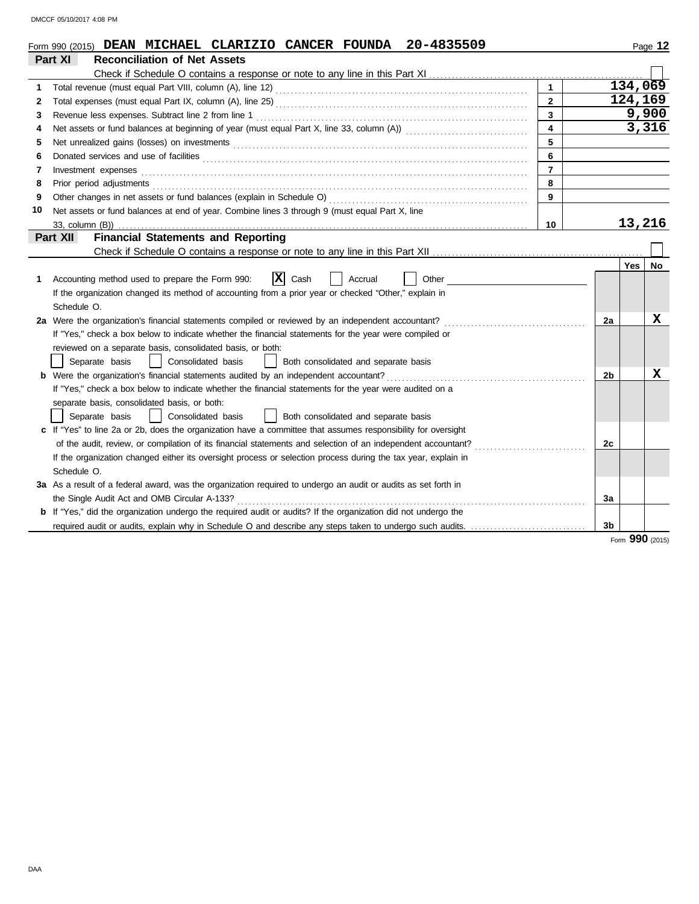DMCCF 05/10/2017 4:08 PM

|              | 20-4835509<br>Form 990 (2015) DEAN MICHAEL CLARIZIO CANCER FOUNDA                                                     |                |            | Page 12         |
|--------------|-----------------------------------------------------------------------------------------------------------------------|----------------|------------|-----------------|
|              | Part XI<br><b>Reconciliation of Net Assets</b>                                                                        |                |            |                 |
|              |                                                                                                                       |                |            |                 |
| 1            |                                                                                                                       |                |            | 134,069         |
| $\mathbf{2}$ | $\mathbf{2}$                                                                                                          |                |            | 124,169         |
| 3            | 3<br>Revenue less expenses. Subtract line 2 from line 1                                                               |                |            | 9,900           |
| 4            | $\overline{\mathbf{4}}$                                                                                               |                |            | 3,316           |
| 5            | 5                                                                                                                     |                |            |                 |
| 6            | Donated services and use of facilities <b>constants and interview of the service of facilities</b><br>6               |                |            |                 |
| 7            | $\overline{7}$<br>Investment expenses                                                                                 |                |            |                 |
| 8            | 8<br>Prior period adjustments                                                                                         |                |            |                 |
| 9            | 9                                                                                                                     |                |            |                 |
| 10           | Net assets or fund balances at end of year. Combine lines 3 through 9 (must equal Part X, line                        |                |            |                 |
|              | 10<br>33, column (B))                                                                                                 |                |            | 13,216          |
|              | <b>Financial Statements and Reporting</b><br>Part XII                                                                 |                |            |                 |
|              |                                                                                                                       |                |            |                 |
|              |                                                                                                                       |                | <b>Yes</b> | No              |
| 1            | $ {\bf x} $<br>Accounting method used to prepare the Form 990:<br>Cash<br>Other<br>Accrual                            |                |            |                 |
|              | If the organization changed its method of accounting from a prior year or checked "Other," explain in                 |                |            |                 |
|              | Schedule O.                                                                                                           |                |            |                 |
|              | 2a Were the organization's financial statements compiled or reviewed by an independent accountant?                    | 2a             |            | x               |
|              | If "Yes," check a box below to indicate whether the financial statements for the year were compiled or                |                |            |                 |
|              | reviewed on a separate basis, consolidated basis, or both:                                                            |                |            |                 |
|              | Separate basis<br>Consolidated basis<br>Both consolidated and separate basis                                          |                |            |                 |
|              | <b>b</b> Were the organization's financial statements audited by an independent accountant?                           | 2b             |            | X               |
|              | If "Yes," check a box below to indicate whether the financial statements for the year were audited on a               |                |            |                 |
|              | separate basis, consolidated basis, or both:                                                                          |                |            |                 |
|              | Consolidated basis<br>Both consolidated and separate basis<br>Separate basis                                          |                |            |                 |
|              | c If "Yes" to line 2a or 2b, does the organization have a committee that assumes responsibility for oversight         |                |            |                 |
|              | of the audit, review, or compilation of its financial statements and selection of an independent accountant?          | 2c             |            |                 |
|              | If the organization changed either its oversight process or selection process during the tax year, explain in         |                |            |                 |
|              | Schedule O.                                                                                                           |                |            |                 |
|              | 3a As a result of a federal award, was the organization required to undergo an audit or audits as set forth in        |                |            |                 |
|              | the Single Audit Act and OMB Circular A-133?                                                                          | 3a             |            |                 |
|              | <b>b</b> If "Yes," did the organization undergo the required audit or audits? If the organization did not undergo the |                |            |                 |
|              | required audit or audits, explain why in Schedule O and describe any steps taken to undergo such audits.              | 3 <sub>b</sub> |            |                 |
|              |                                                                                                                       |                |            | Form 990 (2015) |

DAA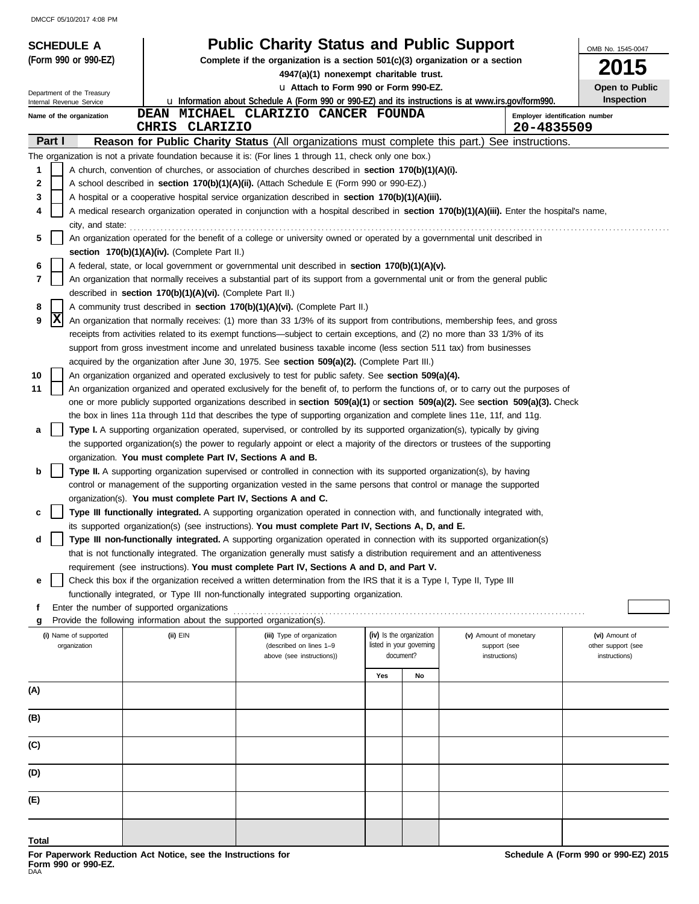DMCCF 05/10/2017 4:08 PM

| <b>SCHEDULE A</b>                                      |                                                                        | <b>Public Charity Status and Public Support</b>                                                                                                                                                                                                             |                                       |    |                                              | OMB No. 1545-0047                   |
|--------------------------------------------------------|------------------------------------------------------------------------|-------------------------------------------------------------------------------------------------------------------------------------------------------------------------------------------------------------------------------------------------------------|---------------------------------------|----|----------------------------------------------|-------------------------------------|
| (Form 990 or 990-EZ)                                   |                                                                        | Complete if the organization is a section $501(c)(3)$ organization or a section                                                                                                                                                                             |                                       |    |                                              | <b>2015</b>                         |
|                                                        |                                                                        | 4947(a)(1) nonexempt charitable trust.<br>La Attach to Form 990 or Form 990-EZ.                                                                                                                                                                             |                                       |    |                                              | Open to Public                      |
| Department of the Treasury<br>Internal Revenue Service |                                                                        | <b>u</b> Information about Schedule A (Form 990 or 990-EZ) and its instructions is at www.irs.gov/form990.                                                                                                                                                  |                                       |    |                                              | <b>Inspection</b>                   |
| Name of the organization                               | CHRIS CLARIZIO                                                         | DEAN MICHAEL CLARIZIO CANCER FOUNDA                                                                                                                                                                                                                         |                                       |    | Employer identification number<br>20-4835509 |                                     |
| Part I                                                 |                                                                        | <b>Reason for Public Charity Status (All organizations must complete this part.) See instructions.</b>                                                                                                                                                      |                                       |    |                                              |                                     |
|                                                        |                                                                        | The organization is not a private foundation because it is: (For lines 1 through 11, check only one box.)                                                                                                                                                   |                                       |    |                                              |                                     |
| 1                                                      |                                                                        | A church, convention of churches, or association of churches described in <b>section 170(b)(1)(A)(i).</b>                                                                                                                                                   |                                       |    |                                              |                                     |
| 2                                                      |                                                                        | A school described in section 170(b)(1)(A)(ii). (Attach Schedule E (Form 990 or 990-EZ).)                                                                                                                                                                   |                                       |    |                                              |                                     |
| 3<br>4                                                 |                                                                        | A hospital or a cooperative hospital service organization described in <b>section 170(b)(1)(A)(iii).</b><br>A medical research organization operated in conjunction with a hospital described in section 170(b)(1)(A)(iii). Enter the hospital's name,      |                                       |    |                                              |                                     |
| city, and state:                                       |                                                                        |                                                                                                                                                                                                                                                             |                                       |    |                                              |                                     |
| 5                                                      | section $170(b)(1)(A)(iv)$ . (Complete Part II.)                       | An organization operated for the benefit of a college or university owned or operated by a governmental unit described in                                                                                                                                   |                                       |    |                                              |                                     |
| 6                                                      |                                                                        | A federal, state, or local government or governmental unit described in <b>section 170(b)(1)(A)(v).</b>                                                                                                                                                     |                                       |    |                                              |                                     |
| 7                                                      |                                                                        | An organization that normally receives a substantial part of its support from a governmental unit or from the general public                                                                                                                                |                                       |    |                                              |                                     |
|                                                        | described in section 170(b)(1)(A)(vi). (Complete Part II.)             |                                                                                                                                                                                                                                                             |                                       |    |                                              |                                     |
| 8<br> X<br>9                                           |                                                                        | A community trust described in section 170(b)(1)(A)(vi). (Complete Part II.)<br>An organization that normally receives: (1) more than 33 1/3% of its support from contributions, membership fees, and gross                                                 |                                       |    |                                              |                                     |
|                                                        |                                                                        | receipts from activities related to its exempt functions—subject to certain exceptions, and (2) no more than 33 1/3% of its                                                                                                                                 |                                       |    |                                              |                                     |
|                                                        |                                                                        | support from gross investment income and unrelated business taxable income (less section 511 tax) from businesses                                                                                                                                           |                                       |    |                                              |                                     |
|                                                        |                                                                        | acquired by the organization after June 30, 1975. See section 509(a)(2). (Complete Part III.)                                                                                                                                                               |                                       |    |                                              |                                     |
| 10                                                     |                                                                        | An organization organized and operated exclusively to test for public safety. See section 509(a)(4).                                                                                                                                                        |                                       |    |                                              |                                     |
| 11                                                     |                                                                        | An organization organized and operated exclusively for the benefit of, to perform the functions of, or to carry out the purposes of                                                                                                                         |                                       |    |                                              |                                     |
|                                                        |                                                                        | one or more publicly supported organizations described in section 509(a)(1) or section 509(a)(2). See section 509(a)(3). Check<br>the box in lines 11a through 11d that describes the type of supporting organization and complete lines 11e, 11f, and 11g. |                                       |    |                                              |                                     |
| а                                                      |                                                                        | Type I. A supporting organization operated, supervised, or controlled by its supported organization(s), typically by giving                                                                                                                                 |                                       |    |                                              |                                     |
|                                                        |                                                                        | the supported organization(s) the power to regularly appoint or elect a majority of the directors or trustees of the supporting                                                                                                                             |                                       |    |                                              |                                     |
|                                                        | organization. You must complete Part IV, Sections A and B.             |                                                                                                                                                                                                                                                             |                                       |    |                                              |                                     |
| b                                                      |                                                                        | <b>Type II.</b> A supporting organization supervised or controlled in connection with its supported organization(s), by having                                                                                                                              |                                       |    |                                              |                                     |
|                                                        |                                                                        | control or management of the supporting organization vested in the same persons that control or manage the supported                                                                                                                                        |                                       |    |                                              |                                     |
| c                                                      | organization(s). You must complete Part IV, Sections A and C.          | <b>Type III functionally integrated.</b> A supporting organization operated in connection with, and functionally integrated with,                                                                                                                           |                                       |    |                                              |                                     |
|                                                        |                                                                        | its supported organization(s) (see instructions). You must complete Part IV, Sections A, D, and E.                                                                                                                                                          |                                       |    |                                              |                                     |
| a                                                      |                                                                        | Type III non-functionally integrated. A supporting organization operated in connection with its supported organization(s)                                                                                                                                   |                                       |    |                                              |                                     |
|                                                        |                                                                        | that is not functionally integrated. The organization generally must satisfy a distribution requirement and an attentiveness                                                                                                                                |                                       |    |                                              |                                     |
|                                                        |                                                                        | requirement (see instructions). You must complete Part IV, Sections A and D, and Part V.                                                                                                                                                                    |                                       |    |                                              |                                     |
| е                                                      |                                                                        | Check this box if the organization received a written determination from the IRS that it is a Type I, Type II, Type III                                                                                                                                     |                                       |    |                                              |                                     |
| f                                                      | Enter the number of supported organizations                            | functionally integrated, or Type III non-functionally integrated supporting organization.                                                                                                                                                                   |                                       |    |                                              |                                     |
| g                                                      | Provide the following information about the supported organization(s). |                                                                                                                                                                                                                                                             |                                       |    |                                              |                                     |
| (i) Name of supported                                  | (ii) EIN                                                               | (iii) Type of organization                                                                                                                                                                                                                                  | (iv) Is the organization              |    | (v) Amount of monetary                       | (vi) Amount of                      |
| organization                                           |                                                                        | (described on lines 1-9<br>above (see instructions))                                                                                                                                                                                                        | listed in your governing<br>document? |    | support (see<br>instructions)                | other support (see<br>instructions) |
|                                                        |                                                                        |                                                                                                                                                                                                                                                             |                                       |    |                                              |                                     |
| (A)                                                    |                                                                        |                                                                                                                                                                                                                                                             | Yes                                   | No |                                              |                                     |
|                                                        |                                                                        |                                                                                                                                                                                                                                                             |                                       |    |                                              |                                     |
| (B)                                                    |                                                                        |                                                                                                                                                                                                                                                             |                                       |    |                                              |                                     |
| (C)                                                    |                                                                        |                                                                                                                                                                                                                                                             |                                       |    |                                              |                                     |
| (D)                                                    |                                                                        |                                                                                                                                                                                                                                                             |                                       |    |                                              |                                     |
| (E)                                                    |                                                                        |                                                                                                                                                                                                                                                             |                                       |    |                                              |                                     |
|                                                        |                                                                        |                                                                                                                                                                                                                                                             |                                       |    |                                              |                                     |
| Total                                                  |                                                                        |                                                                                                                                                                                                                                                             |                                       |    |                                              |                                     |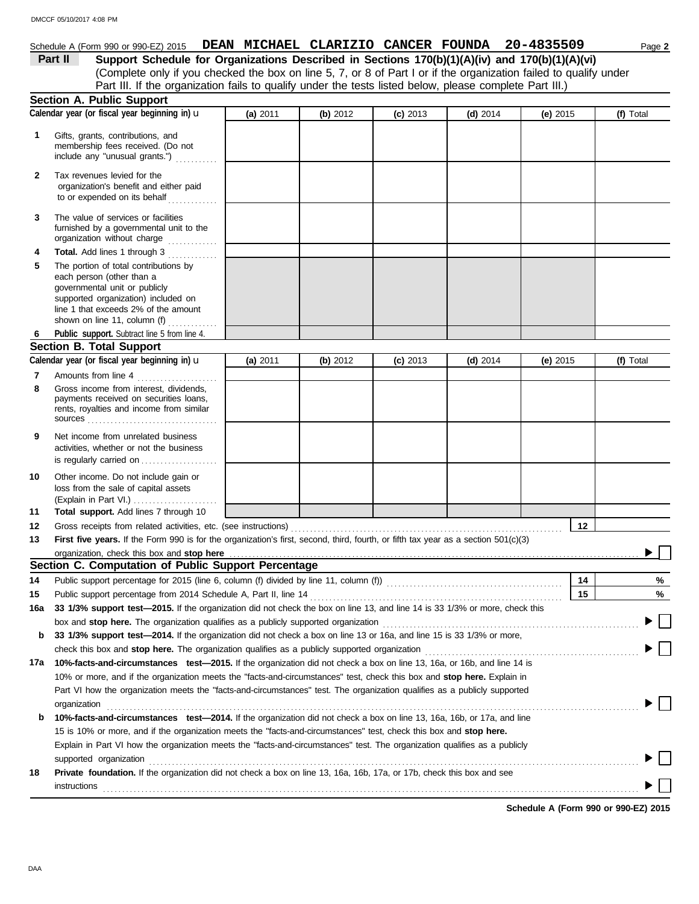### Schedule A (Form 990 or 990-EZ) 2015 **DEAN MICHAEL CLARIZIO CANCER FOUNDA** 20-4835509 Page 2

(Complete only if you checked the box on line 5, 7, or 8 of Part I or if the organization failed to qualify under **Part II Support Schedule for Organizations Described in Sections 170(b)(1)(A)(iv) and 170(b)(1)(A)(vi)** Part III. If the organization fails to qualify under the tests listed below, please complete Part III.)

|             | <b>Section A. Public Support</b>                                                                                                                                                                                                                   |            |          |            |            |            |           |
|-------------|----------------------------------------------------------------------------------------------------------------------------------------------------------------------------------------------------------------------------------------------------|------------|----------|------------|------------|------------|-----------|
|             | Calendar year (or fiscal year beginning in) u                                                                                                                                                                                                      | (a) 2011   | (b) 2012 | $(c)$ 2013 | $(d)$ 2014 | (e) 2015   | (f) Total |
| $\mathbf 1$ | Gifts, grants, contributions, and<br>membership fees received. (Do not<br>include any "unusual grants.")                                                                                                                                           |            |          |            |            |            |           |
| 2           | Tax revenues levied for the<br>organization's benefit and either paid<br>to or expended on its behalf                                                                                                                                              |            |          |            |            |            |           |
| 3           | The value of services or facilities<br>furnished by a governmental unit to the<br>organization without charge                                                                                                                                      |            |          |            |            |            |           |
| 4<br>5      | Total. Add lines 1 through 3<br>The portion of total contributions by<br>each person (other than a<br>governmental unit or publicly<br>supported organization) included on<br>line 1 that exceeds 2% of the amount<br>shown on line 11, column (f) |            |          |            |            |            |           |
| 6           | Public support. Subtract line 5 from line 4.                                                                                                                                                                                                       |            |          |            |            |            |           |
|             | <b>Section B. Total Support</b>                                                                                                                                                                                                                    |            |          |            |            |            |           |
|             | Calendar year (or fiscal year beginning in) u                                                                                                                                                                                                      | (a) $2011$ | (b) 2012 | $(c)$ 2013 | $(d)$ 2014 | (e) $2015$ | (f) Total |
| 7           | Amounts from line 4                                                                                                                                                                                                                                |            |          |            |            |            |           |
| 8           | Gross income from interest, dividends,<br>payments received on securities loans,<br>rents, royalties and income from similar                                                                                                                       |            |          |            |            |            |           |
| 9           | Net income from unrelated business<br>activities, whether or not the business<br>is regularly carried on                                                                                                                                           |            |          |            |            |            |           |
| 10          | Other income. Do not include gain or<br>loss from the sale of capital assets<br>(Explain in Part VI.)                                                                                                                                              |            |          |            |            |            |           |
| 11          | Total support. Add lines 7 through 10                                                                                                                                                                                                              |            |          |            |            |            |           |
| 12          | Gross receipts from related activities, etc. (see instructions)                                                                                                                                                                                    |            |          |            |            | 12         |           |
| 13          | First five years. If the Form 990 is for the organization's first, second, third, fourth, or fifth tax year as a section $501(c)(3)$                                                                                                               |            |          |            |            |            |           |
|             | organization, check this box and stop here                                                                                                                                                                                                         |            |          |            |            |            |           |
|             | Section C. Computation of Public Support Percentage                                                                                                                                                                                                |            |          |            |            |            |           |
| 14          | Public support percentage for 2015 (line 6, column (f) divided by line 11, column (f)) [[[[[[[[[[[[[[[[[[[[[[                                                                                                                                      |            |          |            |            | 14         | %         |
| 15          | Public support percentage from 2014 Schedule A, Part II, line 14                                                                                                                                                                                   |            |          |            |            | 15         | %         |
|             | 16a 33 1/3% support test-2015. If the organization did not check the box on line 13, and line 14 is 33 1/3% or more, check this                                                                                                                    |            |          |            |            |            |           |
|             | box and stop here. The organization qualifies as a publicly supported organization                                                                                                                                                                 |            |          |            |            |            |           |
| b           | 33 1/3% support test-2014. If the organization did not check a box on line 13 or 16a, and line 15 is 33 1/3% or more,                                                                                                                              |            |          |            |            |            |           |
|             | check this box and stop here. The organization qualifies as a publicly supported organization                                                                                                                                                      |            |          |            |            |            |           |
| 17a         | 10%-facts-and-circumstances test-2015. If the organization did not check a box on line 13, 16a, or 16b, and line 14 is                                                                                                                             |            |          |            |            |            |           |
|             | 10% or more, and if the organization meets the "facts-and-circumstances" test, check this box and stop here. Explain in                                                                                                                            |            |          |            |            |            |           |
|             | Part VI how the organization meets the "facts-and-circumstances" test. The organization qualifies as a publicly supported                                                                                                                          |            |          |            |            |            |           |
|             | organization                                                                                                                                                                                                                                       |            |          |            |            |            |           |
| b           | 10%-facts-and-circumstances test-2014. If the organization did not check a box on line 13, 16a, 16b, or 17a, and line                                                                                                                              |            |          |            |            |            |           |
|             | 15 is 10% or more, and if the organization meets the "facts-and-circumstances" test, check this box and stop here.                                                                                                                                 |            |          |            |            |            |           |
|             | Explain in Part VI how the organization meets the "facts-and-circumstances" test. The organization qualifies as a publicly                                                                                                                         |            |          |            |            |            |           |
|             | supported organization                                                                                                                                                                                                                             |            |          |            |            |            |           |
| 18          | Private foundation. If the organization did not check a box on line 13, 16a, 16b, 17a, or 17b, check this box and see                                                                                                                              |            |          |            |            |            |           |
|             | instructions                                                                                                                                                                                                                                       |            |          |            |            |            |           |
|             |                                                                                                                                                                                                                                                    |            |          |            |            |            |           |

**Schedule A (Form 990 or 990-EZ) 2015**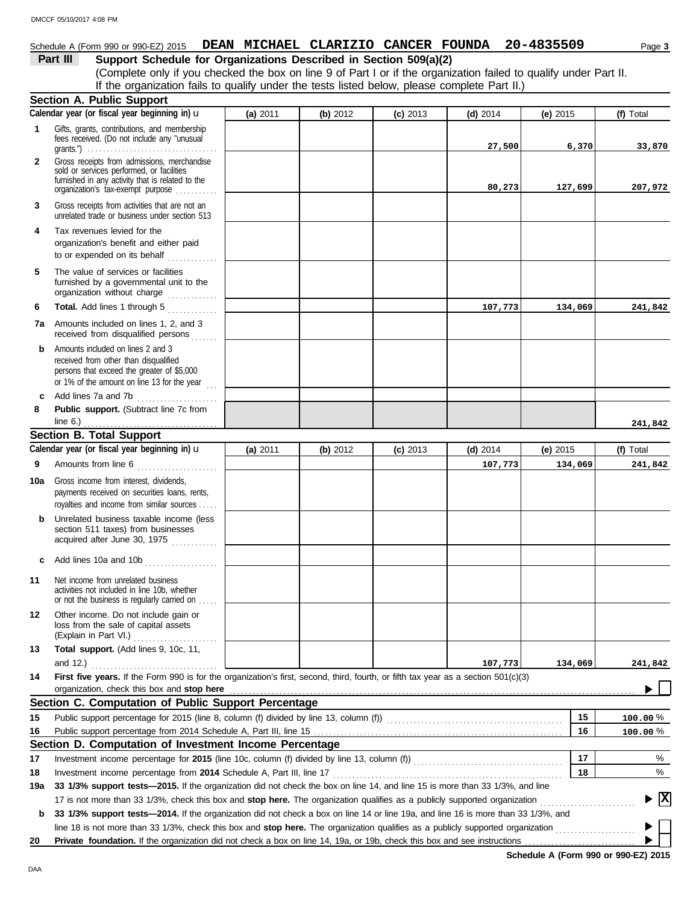### Schedule A (Form 990 or 990-EZ) 2015 **DEAN MICHAEL CLARIZIO CANCER FOUNDA** 20-4835509 Page 3

### **Part III Support Schedule for Organizations Described in Section 509(a)(2)**

(Complete only if you checked the box on line 9 of Part I or if the organization failed to qualify under Part II. If the organization fails to qualify under the tests listed below, please complete Part II.)

|              | <b>Section A. Public Support</b>                                                                                                                                                                                                                                |          |          |            |            |            |              |
|--------------|-----------------------------------------------------------------------------------------------------------------------------------------------------------------------------------------------------------------------------------------------------------------|----------|----------|------------|------------|------------|--------------|
|              | Calendar year (or fiscal year beginning in) u                                                                                                                                                                                                                   | (a) 2011 | (b) 2012 | $(c)$ 2013 | $(d)$ 2014 | $(e)$ 2015 | (f) Total    |
| $\mathbf 1$  | Gifts, grants, contributions, and membership<br>fees received. (Do not include any "unusual<br>grants.") $\ldots \ldots \ldots \ldots \ldots \ldots \ldots \ldots \ldots \ldots \ldots \ldots$                                                                  |          |          |            | 27,500     | 6,370      | 33,870       |
| $\mathbf{2}$ | Gross receipts from admissions, merchandise<br>sold or services performed, or facilities<br>furnished in any activity that is related to the<br>organization's tax-exempt purpose                                                                               |          |          |            | 80,273     | 127,699    | 207,972      |
| 3            | Gross receipts from activities that are not an<br>unrelated trade or business under section 513                                                                                                                                                                 |          |          |            |            |            |              |
| 4            | Tax revenues levied for the<br>organization's benefit and either paid<br>to or expended on its behalf                                                                                                                                                           |          |          |            |            |            |              |
| 5            | The value of services or facilities<br>furnished by a governmental unit to the<br>organization without charge                                                                                                                                                   |          |          |            |            |            |              |
| 6            | Total. Add lines 1 through 5<br><u>.</u>                                                                                                                                                                                                                        |          |          |            | 107,773    | 134,069    | 241,842      |
| 7a           | Amounts included on lines 1, 2, and 3<br>received from disqualified persons<br>a a a a a                                                                                                                                                                        |          |          |            |            |            |              |
| b            | Amounts included on lines 2 and 3<br>received from other than disqualified<br>persons that exceed the greater of \$5,000<br>or 1% of the amount on line 13 for the year $\ldots$                                                                                |          |          |            |            |            |              |
| c            | Add lines 7a and 7b                                                                                                                                                                                                                                             |          |          |            |            |            |              |
| 8            | Public support. (Subtract line 7c from<br>line $6.$ )                                                                                                                                                                                                           |          |          |            |            |            |              |
|              | <b>Section B. Total Support</b>                                                                                                                                                                                                                                 |          |          |            |            |            | 241,842      |
|              | Calendar year (or fiscal year beginning in) $\mathbf u$                                                                                                                                                                                                         | (a) 2011 | (b) 2012 | $(c)$ 2013 | $(d)$ 2014 | (e) $2015$ | (f) Total    |
| 9            | Amounts from line 6                                                                                                                                                                                                                                             |          |          |            | 107,773    | 134,069    | 241,842      |
| 10a          | Gross income from interest, dividends,<br>payments received on securities loans, rents,<br>royalties and income from similar sources                                                                                                                            |          |          |            |            |            |              |
| b            | Unrelated business taxable income (less<br>section 511 taxes) from businesses<br>acquired after June 30, 1975                                                                                                                                                   |          |          |            |            |            |              |
| C            | Add lines 10a and 10b                                                                                                                                                                                                                                           |          |          |            |            |            |              |
| 11           | Net income from unrelated business<br>activities not included in line 10b, whether<br>or not the business is regularly carried on                                                                                                                               |          |          |            |            |            |              |
| 12           | Other income. Do not include gain or<br>loss from the sale of capital assets<br>(Explain in Part VI.)                                                                                                                                                           |          |          |            |            |            |              |
| 13           | Total support. (Add lines 9, 10c, 11,<br>and $12.$ )                                                                                                                                                                                                            |          |          |            | 107,773    | 134,069    | 241,842      |
| 14           | First five years. If the Form 990 is for the organization's first, second, third, fourth, or fifth tax year as a section 501(c)(3)                                                                                                                              |          |          |            |            |            |              |
|              |                                                                                                                                                                                                                                                                 |          |          |            |            |            |              |
|              | Section C. Computation of Public Support Percentage                                                                                                                                                                                                             |          |          |            |            |            |              |
| 15           |                                                                                                                                                                                                                                                                 |          |          |            |            | 15         | $100.00\,\%$ |
| 16           |                                                                                                                                                                                                                                                                 |          |          |            |            | 16         | $100.00\,\%$ |
|              | Section D. Computation of Investment Income Percentage                                                                                                                                                                                                          |          |          |            |            |            |              |
| 17           |                                                                                                                                                                                                                                                                 |          |          |            |            | 17         | %            |
| 18           |                                                                                                                                                                                                                                                                 |          |          |            |            | 18         | %            |
| 19a          | 33 1/3% support tests-2015. If the organization did not check the box on line 14, and line 15 is more than 33 1/3%, and line                                                                                                                                    |          |          |            |            |            | $\mathbf{x}$ |
| b            | 17 is not more than 33 1/3%, check this box and stop here. The organization qualifies as a publicly supported organization<br>33 1/3% support tests—2014. If the organization did not check a box on line 14 or line 19a, and line 16 is more than 33 1/3%, and |          |          |            |            |            |              |
|              | line 18 is not more than 33 1/3%, check this box and stop here. The organization qualifies as a publicly supported organization                                                                                                                                 |          |          |            |            |            |              |
| 20           | Private foundation. If the organization did not check a box on line 14, 19a, or 19b, check this box and see instructions                                                                                                                                        |          |          |            |            |            |              |
|              |                                                                                                                                                                                                                                                                 |          |          |            |            |            |              |

**Schedule A (Form 990 or 990-EZ) 2015**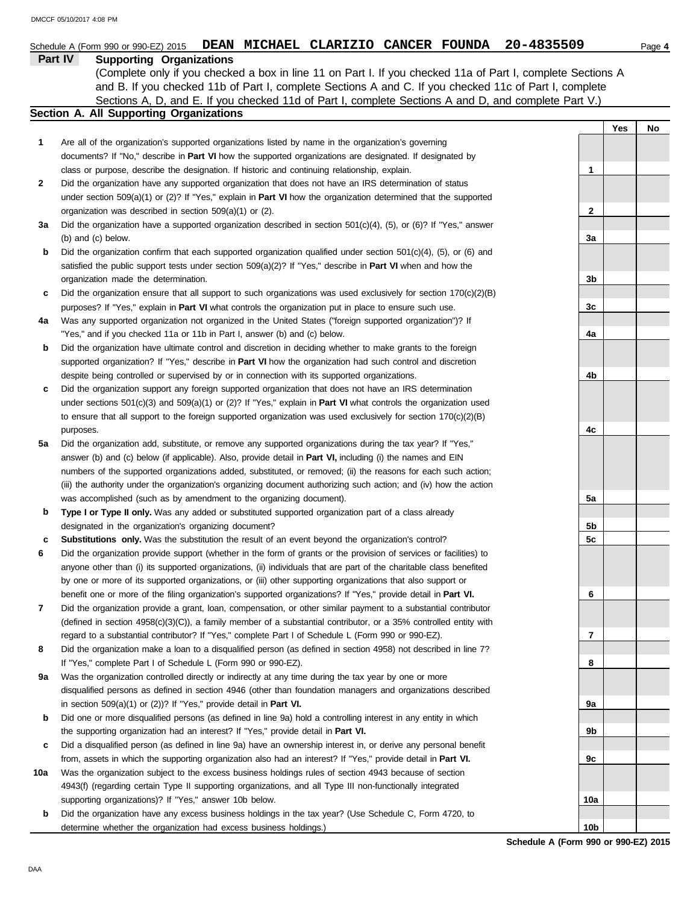|     | MICHAEL CLARIZIO CANCER FOUNDA<br>20-4835509<br><b>DEAN</b><br>Schedule A (Form 990 or 990-EZ) 2015                        |     |     | Page 4 |
|-----|----------------------------------------------------------------------------------------------------------------------------|-----|-----|--------|
|     | Part IV<br><b>Supporting Organizations</b>                                                                                 |     |     |        |
|     | (Complete only if you checked a box in line 11 on Part I. If you checked 11a of Part I, complete Sections A                |     |     |        |
|     | and B. If you checked 11b of Part I, complete Sections A and C. If you checked 11c of Part I, complete                     |     |     |        |
|     | Sections A, D, and E. If you checked 11d of Part I, complete Sections A and D, and complete Part V.)                       |     |     |        |
|     | Section A. All Supporting Organizations                                                                                    |     |     |        |
|     |                                                                                                                            |     | Yes | No     |
| 1   | Are all of the organization's supported organizations listed by name in the organization's governing                       |     |     |        |
|     | documents? If "No," describe in Part VI how the supported organizations are designated. If designated by                   |     |     |        |
|     | class or purpose, describe the designation. If historic and continuing relationship, explain.                              | 1   |     |        |
| 2   | Did the organization have any supported organization that does not have an IRS determination of status                     |     |     |        |
|     | under section 509(a)(1) or (2)? If "Yes," explain in <b>Part VI</b> how the organization determined that the supported     |     |     |        |
|     | organization was described in section 509(a)(1) or (2).                                                                    | 2   |     |        |
| За  | Did the organization have a supported organization described in section $501(c)(4)$ , (5), or (6)? If "Yes," answer        |     |     |        |
|     | (b) and (c) below.                                                                                                         | За  |     |        |
| b   | Did the organization confirm that each supported organization qualified under section $501(c)(4)$ , $(5)$ , or $(6)$ and   |     |     |        |
|     | satisfied the public support tests under section $509(a)(2)$ ? If "Yes," describe in <b>Part VI</b> when and how the       |     |     |        |
|     | organization made the determination.                                                                                       | 3b  |     |        |
| c   | Did the organization ensure that all support to such organizations was used exclusively for section $170(c)(2)(B)$         |     |     |        |
|     | purposes? If "Yes," explain in Part VI what controls the organization put in place to ensure such use.                     | 3c  |     |        |
| 4a  | Was any supported organization not organized in the United States ("foreign supported organization")? If                   |     |     |        |
|     | "Yes," and if you checked 11a or 11b in Part I, answer (b) and (c) below.                                                  | 4a  |     |        |
| b   | Did the organization have ultimate control and discretion in deciding whether to make grants to the foreign                |     |     |        |
|     | supported organization? If "Yes," describe in Part VI how the organization had such control and discretion                 |     |     |        |
|     | despite being controlled or supervised by or in connection with its supported organizations.                               | 4b  |     |        |
| c   | Did the organization support any foreign supported organization that does not have an IRS determination                    |     |     |        |
|     | under sections $501(c)(3)$ and $509(a)(1)$ or (2)? If "Yes," explain in <b>Part VI</b> what controls the organization used |     |     |        |
|     | to ensure that all support to the foreign supported organization was used exclusively for section $170(c)(2)(B)$           |     |     |        |
|     | purposes.                                                                                                                  | 4c  |     |        |
| 5a  | Did the organization add, substitute, or remove any supported organizations during the tax year? If "Yes,"                 |     |     |        |
|     | answer (b) and (c) below (if applicable). Also, provide detail in <b>Part VI</b> , including (i) the names and EIN         |     |     |        |
|     | numbers of the supported organizations added, substituted, or removed; (ii) the reasons for each such action;              |     |     |        |
|     | (iii) the authority under the organization's organizing document authorizing such action; and (iv) how the action          |     |     |        |
|     | was accomplished (such as by amendment to the organizing document).                                                        | 5a  |     |        |
| b   | Type I or Type II only. Was any added or substituted supported organization part of a class already                        |     |     |        |
|     | designated in the organization's organizing document?                                                                      | 5b  |     |        |
| c   | <b>Substitutions only.</b> Was the substitution the result of an event beyond the organization's control?                  | 5c  |     |        |
| 6   | Did the organization provide support (whether in the form of grants or the provision of services or facilities) to         |     |     |        |
|     | anyone other than (i) its supported organizations, (ii) individuals that are part of the charitable class benefited        |     |     |        |
|     | by one or more of its supported organizations, or (iii) other supporting organizations that also support or                |     |     |        |
|     | benefit one or more of the filing organization's supported organizations? If "Yes," provide detail in Part VI.             | 6   |     |        |
| 7   | Did the organization provide a grant, loan, compensation, or other similar payment to a substantial contributor            |     |     |        |
|     | (defined in section 4958(c)(3)(C)), a family member of a substantial contributor, or a 35% controlled entity with          |     |     |        |
|     | regard to a substantial contributor? If "Yes," complete Part I of Schedule L (Form 990 or 990-EZ).                         | 7   |     |        |
| 8   | Did the organization make a loan to a disqualified person (as defined in section 4958) not described in line 7?            |     |     |        |
|     | If "Yes," complete Part I of Schedule L (Form 990 or 990-EZ).                                                              | 8   |     |        |
| 9a  | Was the organization controlled directly or indirectly at any time during the tax year by one or more                      |     |     |        |
|     | disqualified persons as defined in section 4946 (other than foundation managers and organizations described                |     |     |        |
|     | in section $509(a)(1)$ or $(2)$ ? If "Yes," provide detail in <b>Part VI.</b>                                              | 9а  |     |        |
| b   | Did one or more disqualified persons (as defined in line 9a) hold a controlling interest in any entity in which            |     |     |        |
|     | the supporting organization had an interest? If "Yes," provide detail in Part VI.                                          | 9b  |     |        |
| c   | Did a disqualified person (as defined in line 9a) have an ownership interest in, or derive any personal benefit            |     |     |        |
|     | from, assets in which the supporting organization also had an interest? If "Yes," provide detail in Part VI.               | 9с  |     |        |
| 10a | Was the organization subject to the excess business holdings rules of section 4943 because of section                      |     |     |        |
|     | 4943(f) (regarding certain Type II supporting organizations, and all Type III non-functionally integrated                  |     |     |        |
|     | supporting organizations)? If "Yes," answer 10b below.                                                                     | 10a |     |        |

**b** Did the organization have any excess business holdings in the tax year? (Use Schedule C, Form 4720, to determine whether the organization had excess business holdings.)

**Schedule A (Form 990 or 990-EZ) 2015 10b**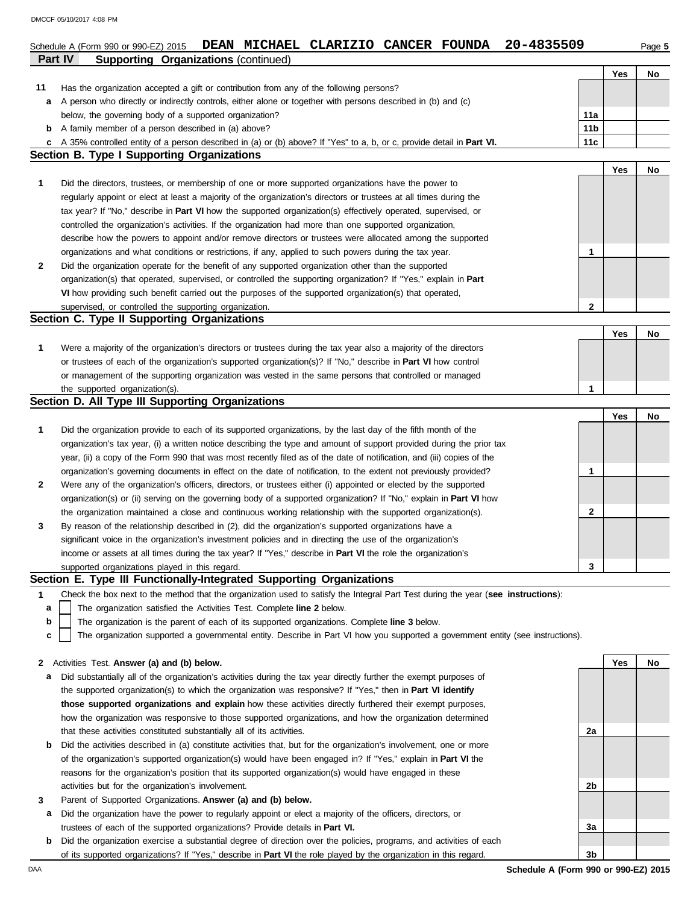|         | 20-4835509<br>Schedule A (Form 990 or 990-EZ) 2015 DEAN MICHAEL CLARIZIO CANCER FOUNDA                                                                                                                                    |                 |            | Page 5 |
|---------|---------------------------------------------------------------------------------------------------------------------------------------------------------------------------------------------------------------------------|-----------------|------------|--------|
| Part IV | <b>Supporting Organizations (continued)</b>                                                                                                                                                                               |                 |            |        |
|         |                                                                                                                                                                                                                           |                 | <b>Yes</b> | No     |
| 11      | Has the organization accepted a gift or contribution from any of the following persons?                                                                                                                                   |                 |            |        |
| а       | A person who directly or indirectly controls, either alone or together with persons described in (b) and (c)                                                                                                              |                 |            |        |
|         | below, the governing body of a supported organization?                                                                                                                                                                    | 11a             |            |        |
|         | <b>b</b> A family member of a person described in (a) above?                                                                                                                                                              | 11 <sub>b</sub> |            |        |
| c       | A 35% controlled entity of a person described in (a) or (b) above? If "Yes" to a, b, or c, provide detail in Part VI.                                                                                                     | 11c             |            |        |
|         | <b>Section B. Type I Supporting Organizations</b>                                                                                                                                                                         |                 |            |        |
| 1       |                                                                                                                                                                                                                           |                 | Yes        | No     |
|         | Did the directors, trustees, or membership of one or more supported organizations have the power to<br>regularly appoint or elect at least a majority of the organization's directors or trustees at all times during the |                 |            |        |
|         | tax year? If "No," describe in Part VI how the supported organization(s) effectively operated, supervised, or                                                                                                             |                 |            |        |
|         | controlled the organization's activities. If the organization had more than one supported organization,                                                                                                                   |                 |            |        |
|         | describe how the powers to appoint and/or remove directors or trustees were allocated among the supported                                                                                                                 |                 |            |        |
|         | organizations and what conditions or restrictions, if any, applied to such powers during the tax year.                                                                                                                    | 1               |            |        |
| 2       | Did the organization operate for the benefit of any supported organization other than the supported                                                                                                                       |                 |            |        |
|         | organization(s) that operated, supervised, or controlled the supporting organization? If "Yes," explain in Part                                                                                                           |                 |            |        |
|         | VI how providing such benefit carried out the purposes of the supported organization(s) that operated,                                                                                                                    |                 |            |        |
|         | supervised, or controlled the supporting organization.                                                                                                                                                                    | $\mathbf{2}$    |            |        |
|         | Section C. Type II Supporting Organizations                                                                                                                                                                               |                 |            |        |
|         |                                                                                                                                                                                                                           |                 | Yes        | No     |
| 1       | Were a majority of the organization's directors or trustees during the tax year also a majority of the directors                                                                                                          |                 |            |        |
|         | or trustees of each of the organization's supported organization(s)? If "No," describe in <b>Part VI</b> how control                                                                                                      |                 |            |        |
|         | or management of the supporting organization was vested in the same persons that controlled or managed                                                                                                                    |                 |            |        |
|         | the supported organization(s).                                                                                                                                                                                            | 1               |            |        |
|         | Section D. All Type III Supporting Organizations                                                                                                                                                                          |                 |            |        |
|         |                                                                                                                                                                                                                           |                 | Yes        | No     |
| 1       | Did the organization provide to each of its supported organizations, by the last day of the fifth month of the                                                                                                            |                 |            |        |
|         | organization's tax year, (i) a written notice describing the type and amount of support provided during the prior tax                                                                                                     |                 |            |        |
|         | year, (ii) a copy of the Form 990 that was most recently filed as of the date of notification, and (iii) copies of the                                                                                                    |                 |            |        |
|         | organization's governing documents in effect on the date of notification, to the extent not previously provided?                                                                                                          | 1               |            |        |
| 2       | Were any of the organization's officers, directors, or trustees either (i) appointed or elected by the supported                                                                                                          |                 |            |        |
|         | organization(s) or (ii) serving on the governing body of a supported organization? If "No," explain in <b>Part VI</b> how                                                                                                 |                 |            |        |
|         | the organization maintained a close and continuous working relationship with the supported organization(s).                                                                                                               | $\mathbf{2}$    |            |        |
| 3       | By reason of the relationship described in (2), did the organization's supported organizations have a                                                                                                                     |                 |            |        |
|         | significant voice in the organization's investment policies and in directing the use of the organization's                                                                                                                |                 |            |        |
|         | income or assets at all times during the tax year? If "Yes," describe in Part VI the role the organization's                                                                                                              |                 |            |        |
|         | supported organizations played in this regard.<br>Section E. Type III Functionally-Integrated Supporting Organizations                                                                                                    | 3               |            |        |
| 1       | Check the box next to the method that the organization used to satisfy the Integral Part Test during the year (see instructions):                                                                                         |                 |            |        |
| a       | The organization satisfied the Activities Test. Complete line 2 below.                                                                                                                                                    |                 |            |        |
| b       | The organization is the parent of each of its supported organizations. Complete line 3 below.                                                                                                                             |                 |            |        |
| C       | The organization supported a governmental entity. Describe in Part VI how you supported a government entity (see instructions).                                                                                           |                 |            |        |
|         |                                                                                                                                                                                                                           |                 |            |        |
| 2       | Activities Test. Answer (a) and (b) below.                                                                                                                                                                                |                 | Yes        | No     |
| а       | Did substantially all of the organization's activities during the tax year directly further the exempt purposes of                                                                                                        |                 |            |        |
|         | the supported organization(s) to which the organization was responsive? If "Yes," then in Part VI identify                                                                                                                |                 |            |        |
|         | those supported organizations and explain how these activities directly furthered their exempt purposes,                                                                                                                  |                 |            |        |
|         | how the organization was responsive to those supported organizations, and how the organization determined                                                                                                                 |                 |            |        |
|         | that these activities constituted substantially all of its activities.                                                                                                                                                    | 2a              |            |        |
| b       | Did the activities described in (a) constitute activities that, but for the organization's involvement, one or more                                                                                                       |                 |            |        |
|         | of the organization's supported organization(s) would have been engaged in? If "Yes," explain in Part VI the                                                                                                              |                 |            |        |
|         | reasons for the organization's position that its supported organization(s) would have engaged in these                                                                                                                    |                 |            |        |
|         | activities but for the organization's involvement.                                                                                                                                                                        | 2b              |            |        |
| 3       | Parent of Supported Organizations. Answer (a) and (b) below.                                                                                                                                                              |                 |            |        |
| а       | Did the organization have the power to regularly appoint or elect a majority of the officers, directors, or                                                                                                               |                 |            |        |
|         | trustees of each of the supported organizations? Provide details in Part VI.                                                                                                                                              | За              |            |        |
| b       | Did the organization exercise a substantial degree of direction over the policies, programs, and activities of each                                                                                                       |                 |            |        |
|         | of its supported organizations? If "Yes," describe in Part VI the role played by the organization in this regard.                                                                                                         | 3b              |            |        |

DAA **Schedule A (Form 990 or 990-EZ) 2015**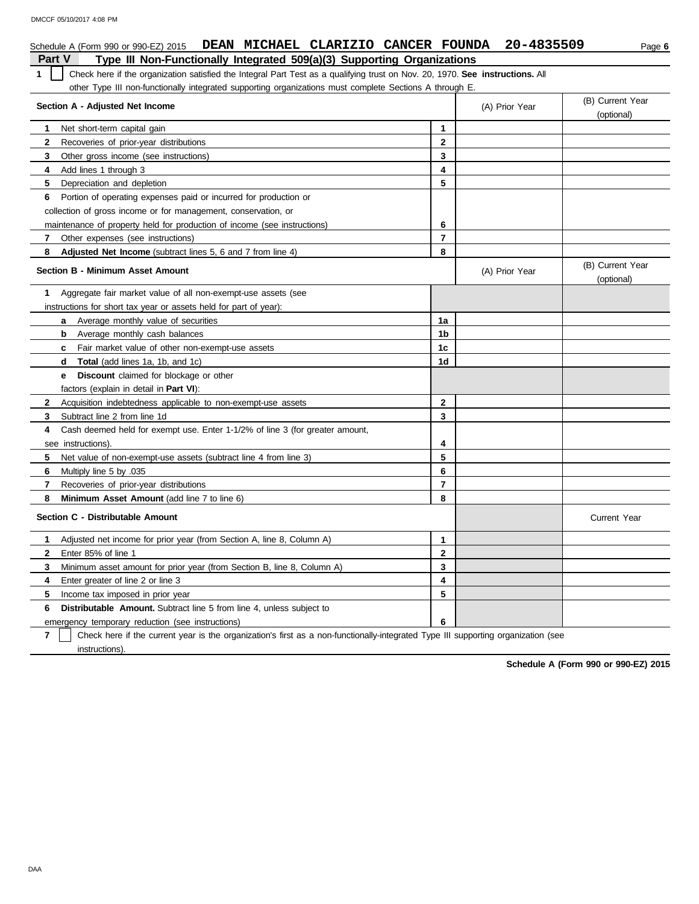| Schedule A (Form 990 or 990-EZ) 2015 DEAN MICHAEL CLARIZIO CANCER FOUNDA                                                           |                                    | 20-4835509     | Page 6                         |  |  |  |  |
|------------------------------------------------------------------------------------------------------------------------------------|------------------------------------|----------------|--------------------------------|--|--|--|--|
| Type III Non-Functionally Integrated 509(a)(3) Supporting Organizations<br><b>Part V</b>                                           |                                    |                |                                |  |  |  |  |
| Check here if the organization satisfied the Integral Part Test as a qualifying trust on Nov. 20, 1970. See instructions. All<br>1 |                                    |                |                                |  |  |  |  |
| other Type III non-functionally integrated supporting organizations must complete Sections A through E.                            |                                    |                |                                |  |  |  |  |
| Section A - Adjusted Net Income                                                                                                    | (B) Current Year<br>(A) Prior Year |                |                                |  |  |  |  |
|                                                                                                                                    |                                    |                | (optional)                     |  |  |  |  |
| 1<br>Net short-term capital gain                                                                                                   | 1                                  |                |                                |  |  |  |  |
| 2<br>Recoveries of prior-year distributions                                                                                        | $\mathbf{2}$                       |                |                                |  |  |  |  |
| 3<br>Other gross income (see instructions)                                                                                         | 3                                  |                |                                |  |  |  |  |
| 4<br>Add lines 1 through 3                                                                                                         | 4                                  |                |                                |  |  |  |  |
| 5<br>Depreciation and depletion                                                                                                    | 5                                  |                |                                |  |  |  |  |
| 6<br>Portion of operating expenses paid or incurred for production or                                                              |                                    |                |                                |  |  |  |  |
| collection of gross income or for management, conservation, or                                                                     |                                    |                |                                |  |  |  |  |
| maintenance of property held for production of income (see instructions)                                                           | 6                                  |                |                                |  |  |  |  |
| 7<br>Other expenses (see instructions)                                                                                             | $\overline{7}$                     |                |                                |  |  |  |  |
| 8<br><b>Adjusted Net Income</b> (subtract lines 5, 6 and 7 from line 4)                                                            | 8                                  |                |                                |  |  |  |  |
| Section B - Minimum Asset Amount                                                                                                   |                                    | (A) Prior Year | (B) Current Year<br>(optional) |  |  |  |  |
| Aggregate fair market value of all non-exempt-use assets (see<br>1                                                                 |                                    |                |                                |  |  |  |  |
| instructions for short tax year or assets held for part of year):                                                                  |                                    |                |                                |  |  |  |  |
| Average monthly value of securities<br>a                                                                                           | 1a                                 |                |                                |  |  |  |  |
| Average monthly cash balances<br>b                                                                                                 | 1b                                 |                |                                |  |  |  |  |
| Fair market value of other non-exempt-use assets<br>c.                                                                             | 1c                                 |                |                                |  |  |  |  |
| <b>Total</b> (add lines 1a, 1b, and 1c)<br>d                                                                                       | 1d                                 |                |                                |  |  |  |  |
| <b>Discount</b> claimed for blockage or other<br>е                                                                                 |                                    |                |                                |  |  |  |  |
| factors (explain in detail in Part VI):                                                                                            |                                    |                |                                |  |  |  |  |
| $\mathbf{2}$<br>Acquisition indebtedness applicable to non-exempt-use assets                                                       | $\mathbf{2}$                       |                |                                |  |  |  |  |
| Subtract line 2 from line 1d<br>3                                                                                                  | 3                                  |                |                                |  |  |  |  |
| Cash deemed held for exempt use. Enter 1-1/2% of line 3 (for greater amount,<br>4                                                  |                                    |                |                                |  |  |  |  |
| see instructions).                                                                                                                 | 4                                  |                |                                |  |  |  |  |
| 5<br>Net value of non-exempt-use assets (subtract line 4 from line 3)                                                              | 5                                  |                |                                |  |  |  |  |
| 6<br>Multiply line 5 by .035                                                                                                       | 6                                  |                |                                |  |  |  |  |
| $\overline{7}$<br>Recoveries of prior-year distributions                                                                           | $\overline{7}$                     |                |                                |  |  |  |  |
| 8<br>Minimum Asset Amount (add line 7 to line 6)                                                                                   | 8                                  |                |                                |  |  |  |  |
| Section C - Distributable Amount                                                                                                   |                                    |                | <b>Current Year</b>            |  |  |  |  |
| Adjusted net income for prior year (from Section A, line 8, Column A)<br>1                                                         | $\mathbf{1}$                       |                |                                |  |  |  |  |
| $\mathbf{2}$<br>Enter 85% of line 1                                                                                                | $\mathbf{2}$                       |                |                                |  |  |  |  |
| 3<br>Minimum asset amount for prior year (from Section B, line 8, Column A)                                                        | 3                                  |                |                                |  |  |  |  |
| 4<br>Enter greater of line 2 or line 3                                                                                             | 4                                  |                |                                |  |  |  |  |
| 5<br>Income tax imposed in prior year                                                                                              | 5                                  |                |                                |  |  |  |  |
| Distributable Amount. Subtract line 5 from line 4, unless subject to<br>6                                                          |                                    |                |                                |  |  |  |  |
| emergency temporary reduction (see instructions)                                                                                   | 6                                  |                |                                |  |  |  |  |

**7** instructions). Check here if the current year is the organization's first as a non-functionally-integrated Type III supporting organization (see

**Schedule A (Form 990 or 990-EZ) 2015**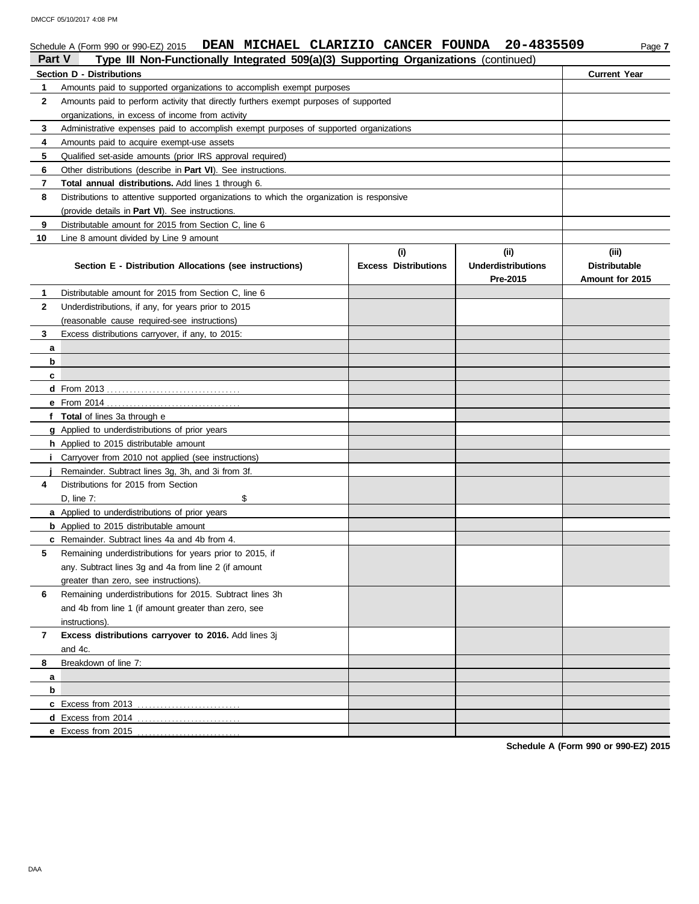DMCCF 05/10/2017 4:08 PM

## Schedule A (Form 990 or 990-EZ) 2015 **DEAN MICHAEL CLARIZIO CANCER FOUNDA** 20-4835509 Page 7 **Schedule A (Form 990 or 990-EZ) 2015 DEAN MICHAEL CLARI**<br>**Part V Type III Non-Functionally Integrated 500(a)(3) S**

| <b>Part V</b> | Type III Non-Functionally Integrated 509(a)(3) Supporting Organizations (continued)        |                                    |                                               |                                                  |
|---------------|--------------------------------------------------------------------------------------------|------------------------------------|-----------------------------------------------|--------------------------------------------------|
|               | <b>Section D - Distributions</b>                                                           | <b>Current Year</b>                |                                               |                                                  |
| 1.            | Amounts paid to supported organizations to accomplish exempt purposes                      |                                    |                                               |                                                  |
| 2             | Amounts paid to perform activity that directly furthers exempt purposes of supported       |                                    |                                               |                                                  |
|               | organizations, in excess of income from activity                                           |                                    |                                               |                                                  |
| 3             | Administrative expenses paid to accomplish exempt purposes of supported organizations      |                                    |                                               |                                                  |
| 4             | Amounts paid to acquire exempt-use assets                                                  |                                    |                                               |                                                  |
| 5             | Qualified set-aside amounts (prior IRS approval required)                                  |                                    |                                               |                                                  |
| 6             | Other distributions (describe in <b>Part VI</b> ). See instructions.                       |                                    |                                               |                                                  |
| 7             | Total annual distributions. Add lines 1 through 6.                                         |                                    |                                               |                                                  |
| 8             | Distributions to attentive supported organizations to which the organization is responsive |                                    |                                               |                                                  |
|               | (provide details in Part VI). See instructions.                                            |                                    |                                               |                                                  |
| 9             | Distributable amount for 2015 from Section C, line 6                                       |                                    |                                               |                                                  |
| 10            | Line 8 amount divided by Line 9 amount                                                     |                                    |                                               |                                                  |
|               | Section E - Distribution Allocations (see instructions)                                    | (i)<br><b>Excess Distributions</b> | (ii)<br><b>Underdistributions</b><br>Pre-2015 | (iii)<br><b>Distributable</b><br>Amount for 2015 |
| 1.            | Distributable amount for 2015 from Section C, line 6                                       |                                    |                                               |                                                  |
| $\mathbf{2}$  | Underdistributions, if any, for years prior to 2015                                        |                                    |                                               |                                                  |
|               | (reasonable cause required-see instructions)                                               |                                    |                                               |                                                  |
| 3             | Excess distributions carryover, if any, to 2015:                                           |                                    |                                               |                                                  |
| a             |                                                                                            |                                    |                                               |                                                  |
| b             |                                                                                            |                                    |                                               |                                                  |
| c             |                                                                                            |                                    |                                               |                                                  |
|               |                                                                                            |                                    |                                               |                                                  |
|               |                                                                                            |                                    |                                               |                                                  |
|               | f Total of lines 3a through e                                                              |                                    |                                               |                                                  |
|               | g Applied to underdistributions of prior years                                             |                                    |                                               |                                                  |
|               | h Applied to 2015 distributable amount                                                     |                                    |                                               |                                                  |
|               | <i>i</i> Carryover from 2010 not applied (see instructions)                                |                                    |                                               |                                                  |
|               | Remainder. Subtract lines 3g, 3h, and 3i from 3f.                                          |                                    |                                               |                                                  |
| 4             | Distributions for 2015 from Section                                                        |                                    |                                               |                                                  |
|               | D, line $7$ :<br>\$                                                                        |                                    |                                               |                                                  |
|               | <b>a</b> Applied to underdistributions of prior years                                      |                                    |                                               |                                                  |
|               | <b>b</b> Applied to 2015 distributable amount                                              |                                    |                                               |                                                  |
|               | <b>c</b> Remainder. Subtract lines 4a and 4b from 4.                                       |                                    |                                               |                                                  |
| 5             | Remaining underdistributions for years prior to 2015, if                                   |                                    |                                               |                                                  |
|               | any. Subtract lines 3g and 4a from line 2 (if amount                                       |                                    |                                               |                                                  |
|               | greater than zero, see instructions).                                                      |                                    |                                               |                                                  |
| 6             | Remaining underdistributions for 2015. Subtract lines 3h                                   |                                    |                                               |                                                  |
|               | and 4b from line 1 (if amount greater than zero, see                                       |                                    |                                               |                                                  |
|               | instructions).                                                                             |                                    |                                               |                                                  |
| $\mathbf{7}$  | Excess distributions carryover to 2016. Add lines 3j<br>and 4c.                            |                                    |                                               |                                                  |
| 8             | Breakdown of line 7:                                                                       |                                    |                                               |                                                  |
| a             |                                                                                            |                                    |                                               |                                                  |
| b             |                                                                                            |                                    |                                               |                                                  |
|               | c Excess from 2013                                                                         |                                    |                                               |                                                  |
|               | d Excess from 2014                                                                         |                                    |                                               |                                                  |
|               | e Excess from 2015                                                                         |                                    |                                               |                                                  |
|               |                                                                                            |                                    |                                               |                                                  |

**Schedule A (Form 990 or 990-EZ) 2015**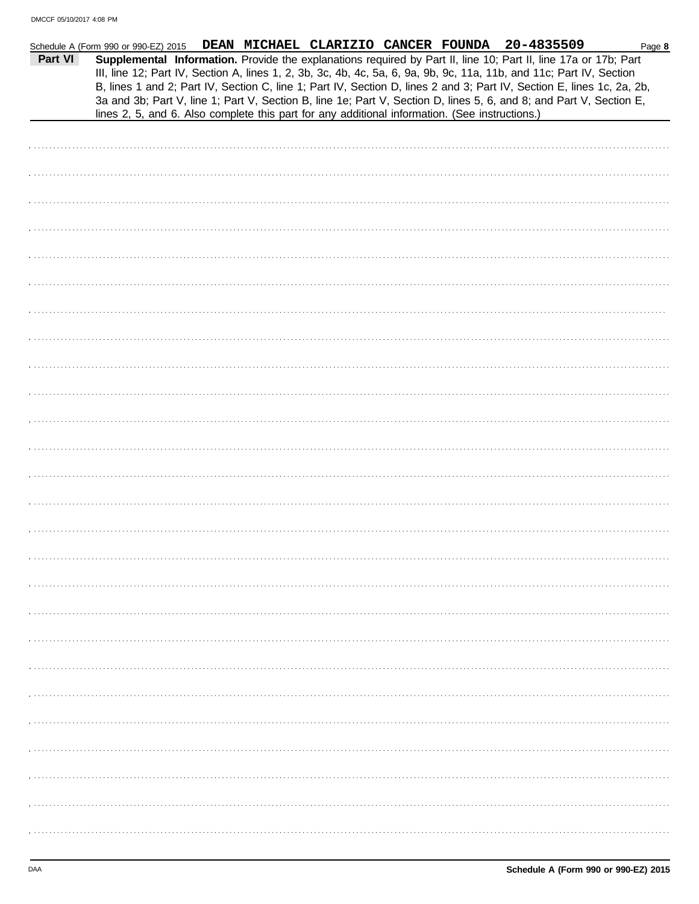| Part VI | DEAN MICHAEL CLARIZIO CANCER FOUNDA 20-4835509<br>Schedule A (Form 990 or 990-EZ) 2015<br>Page 8<br>Supplemental Information. Provide the explanations required by Part II, line 10; Part II, line 17a or 17b; Part<br>III, line 12; Part IV, Section A, lines 1, 2, 3b, 3c, 4b, 4c, 5a, 6, 9a, 9b, 9c, 11a, 11b, and 11c; Part IV, Section<br>B, lines 1 and 2; Part IV, Section C, line 1; Part IV, Section D, lines 2 and 3; Part IV, Section E, lines 1c, 2a, 2b,<br>3a and 3b; Part V, line 1; Part V, Section B, line 1e; Part V, Section D, lines 5, 6, and 8; and Part V, Section E, |
|---------|----------------------------------------------------------------------------------------------------------------------------------------------------------------------------------------------------------------------------------------------------------------------------------------------------------------------------------------------------------------------------------------------------------------------------------------------------------------------------------------------------------------------------------------------------------------------------------------------|
|         | lines 2, 5, and 6. Also complete this part for any additional information. (See instructions.)                                                                                                                                                                                                                                                                                                                                                                                                                                                                                               |
|         |                                                                                                                                                                                                                                                                                                                                                                                                                                                                                                                                                                                              |
|         |                                                                                                                                                                                                                                                                                                                                                                                                                                                                                                                                                                                              |
|         |                                                                                                                                                                                                                                                                                                                                                                                                                                                                                                                                                                                              |
|         |                                                                                                                                                                                                                                                                                                                                                                                                                                                                                                                                                                                              |
|         |                                                                                                                                                                                                                                                                                                                                                                                                                                                                                                                                                                                              |
|         |                                                                                                                                                                                                                                                                                                                                                                                                                                                                                                                                                                                              |
|         |                                                                                                                                                                                                                                                                                                                                                                                                                                                                                                                                                                                              |
|         |                                                                                                                                                                                                                                                                                                                                                                                                                                                                                                                                                                                              |
|         |                                                                                                                                                                                                                                                                                                                                                                                                                                                                                                                                                                                              |
|         |                                                                                                                                                                                                                                                                                                                                                                                                                                                                                                                                                                                              |
|         |                                                                                                                                                                                                                                                                                                                                                                                                                                                                                                                                                                                              |
|         |                                                                                                                                                                                                                                                                                                                                                                                                                                                                                                                                                                                              |
|         |                                                                                                                                                                                                                                                                                                                                                                                                                                                                                                                                                                                              |
|         |                                                                                                                                                                                                                                                                                                                                                                                                                                                                                                                                                                                              |
|         |                                                                                                                                                                                                                                                                                                                                                                                                                                                                                                                                                                                              |
|         |                                                                                                                                                                                                                                                                                                                                                                                                                                                                                                                                                                                              |
|         |                                                                                                                                                                                                                                                                                                                                                                                                                                                                                                                                                                                              |
|         |                                                                                                                                                                                                                                                                                                                                                                                                                                                                                                                                                                                              |
|         |                                                                                                                                                                                                                                                                                                                                                                                                                                                                                                                                                                                              |
|         |                                                                                                                                                                                                                                                                                                                                                                                                                                                                                                                                                                                              |
|         |                                                                                                                                                                                                                                                                                                                                                                                                                                                                                                                                                                                              |
|         |                                                                                                                                                                                                                                                                                                                                                                                                                                                                                                                                                                                              |
|         |                                                                                                                                                                                                                                                                                                                                                                                                                                                                                                                                                                                              |
|         |                                                                                                                                                                                                                                                                                                                                                                                                                                                                                                                                                                                              |
|         |                                                                                                                                                                                                                                                                                                                                                                                                                                                                                                                                                                                              |
|         |                                                                                                                                                                                                                                                                                                                                                                                                                                                                                                                                                                                              |
|         |                                                                                                                                                                                                                                                                                                                                                                                                                                                                                                                                                                                              |
|         |                                                                                                                                                                                                                                                                                                                                                                                                                                                                                                                                                                                              |
|         |                                                                                                                                                                                                                                                                                                                                                                                                                                                                                                                                                                                              |
|         |                                                                                                                                                                                                                                                                                                                                                                                                                                                                                                                                                                                              |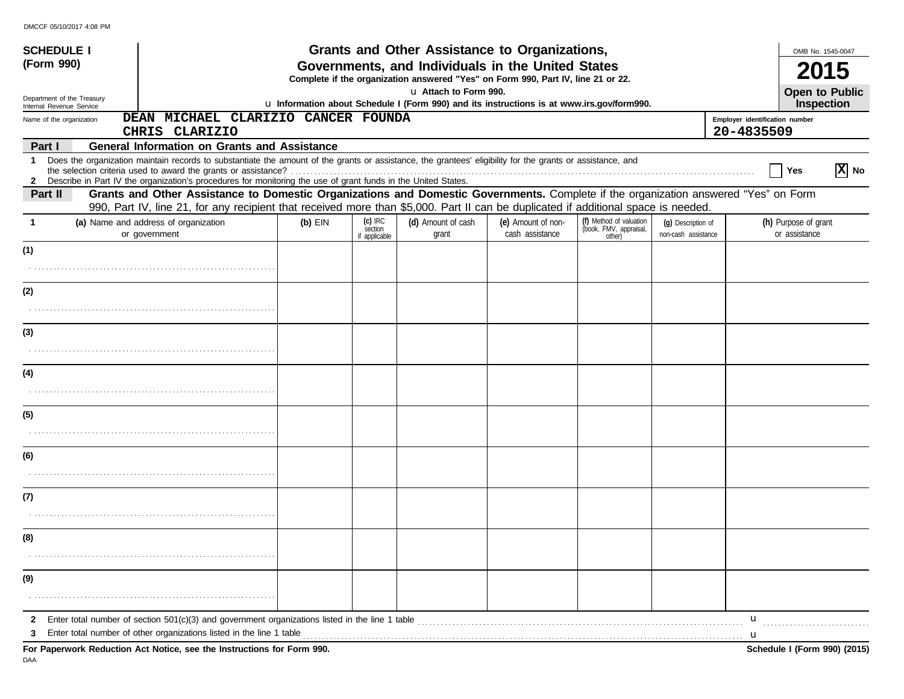| <b>SCHEDULE I</b><br>(Form 990)                                                                                                                                                          |                                                                                                                                                                                                                                                                               | Grants and Other Assistance to Organizations,<br>Governments, and Individuals in the United States<br>Complete if the organization answered "Yes" on Form 990, Part IV, line 21 or 22. | OMB No. 1545-0047                     |                             |                                       |                                                             |                                           |                                       |
|------------------------------------------------------------------------------------------------------------------------------------------------------------------------------------------|-------------------------------------------------------------------------------------------------------------------------------------------------------------------------------------------------------------------------------------------------------------------------------|----------------------------------------------------------------------------------------------------------------------------------------------------------------------------------------|---------------------------------------|-----------------------------|---------------------------------------|-------------------------------------------------------------|-------------------------------------------|---------------------------------------|
| Department of the Treasury                                                                                                                                                               |                                                                                                                                                                                                                                                                               |                                                                                                                                                                                        |                                       | u Attach to Form 990.       |                                       |                                                             |                                           | <b>Open to Public</b>                 |
| u Information about Schedule I (Form 990) and its instructions is at www.irs.gov/form990.<br>Internal Revenue Service<br>DEAN MICHAEL CLARIZIO CANCER FOUNDA<br>Name of the organization |                                                                                                                                                                                                                                                                               |                                                                                                                                                                                        |                                       |                             |                                       | <b>Inspection</b><br>Employer identification number         |                                           |                                       |
| Part I                                                                                                                                                                                   | CHRIS CLARIZIO<br><b>General Information on Grants and Assistance</b>                                                                                                                                                                                                         |                                                                                                                                                                                        |                                       |                             |                                       |                                                             |                                           | 20-4835509                            |
| $\mathbf 1$                                                                                                                                                                              | Does the organization maintain records to substantiate the amount of the grants or assistance, the grantees' eligibility for the grants or assistance, and<br>2 Describe in Part IV the organization's procedures for monitoring the use of grant funds in the United States. |                                                                                                                                                                                        |                                       |                             |                                       |                                                             |                                           | $ \mathbf{X} $ No<br>Yes              |
| Part II                                                                                                                                                                                  | Grants and Other Assistance to Domestic Organizations and Domestic Governments. Complete if the organization answered "Yes" on Form<br>990, Part IV, line 21, for any recipient that received more than \$5,000. Part II can be duplicated if additional space is needed.     |                                                                                                                                                                                        |                                       |                             |                                       |                                                             |                                           |                                       |
| -1                                                                                                                                                                                       | (a) Name and address of organization<br>or government                                                                                                                                                                                                                         | $(b)$ EIN                                                                                                                                                                              | $(c)$ IRC<br>section<br>if applicable | (d) Amount of cash<br>grant | (e) Amount of non-<br>cash assistance | (f) Method of valuation<br>(book, FMV, appraisal,<br>other) | (q) Description of<br>non-cash assistance | (h) Purpose of grant<br>or assistance |
| (1)                                                                                                                                                                                      |                                                                                                                                                                                                                                                                               |                                                                                                                                                                                        |                                       |                             |                                       |                                                             |                                           |                                       |
|                                                                                                                                                                                          |                                                                                                                                                                                                                                                                               |                                                                                                                                                                                        |                                       |                             |                                       |                                                             |                                           |                                       |
| (2)                                                                                                                                                                                      |                                                                                                                                                                                                                                                                               |                                                                                                                                                                                        |                                       |                             |                                       |                                                             |                                           |                                       |
|                                                                                                                                                                                          |                                                                                                                                                                                                                                                                               |                                                                                                                                                                                        |                                       |                             |                                       |                                                             |                                           |                                       |
| (3)                                                                                                                                                                                      |                                                                                                                                                                                                                                                                               |                                                                                                                                                                                        |                                       |                             |                                       |                                                             |                                           |                                       |
| (4)                                                                                                                                                                                      |                                                                                                                                                                                                                                                                               |                                                                                                                                                                                        |                                       |                             |                                       |                                                             |                                           |                                       |
|                                                                                                                                                                                          |                                                                                                                                                                                                                                                                               |                                                                                                                                                                                        |                                       |                             |                                       |                                                             |                                           |                                       |
| (5)                                                                                                                                                                                      |                                                                                                                                                                                                                                                                               |                                                                                                                                                                                        |                                       |                             |                                       |                                                             |                                           |                                       |
| (6)                                                                                                                                                                                      |                                                                                                                                                                                                                                                                               |                                                                                                                                                                                        |                                       |                             |                                       |                                                             |                                           |                                       |
|                                                                                                                                                                                          |                                                                                                                                                                                                                                                                               |                                                                                                                                                                                        |                                       |                             |                                       |                                                             |                                           |                                       |
| (7)                                                                                                                                                                                      |                                                                                                                                                                                                                                                                               |                                                                                                                                                                                        |                                       |                             |                                       |                                                             |                                           |                                       |
| (8)                                                                                                                                                                                      |                                                                                                                                                                                                                                                                               |                                                                                                                                                                                        |                                       |                             |                                       |                                                             |                                           |                                       |
|                                                                                                                                                                                          |                                                                                                                                                                                                                                                                               |                                                                                                                                                                                        |                                       |                             |                                       |                                                             |                                           |                                       |
| (9)                                                                                                                                                                                      |                                                                                                                                                                                                                                                                               |                                                                                                                                                                                        |                                       |                             |                                       |                                                             |                                           |                                       |
| $\mathbf{2}$                                                                                                                                                                             | Enter total number of section $501(c)(3)$ and government organizations listed in the line 1 table<br>Enter total number of other organizations listed in the line 1 table                                                                                                     |                                                                                                                                                                                        |                                       |                             |                                       |                                                             |                                           | u                                     |
| 3                                                                                                                                                                                        | For Paperwork Reduction Act Notice, see the Instructions for Form 990.                                                                                                                                                                                                        |                                                                                                                                                                                        |                                       |                             |                                       |                                                             |                                           | u<br>Schedule I (Form 990) (2015)     |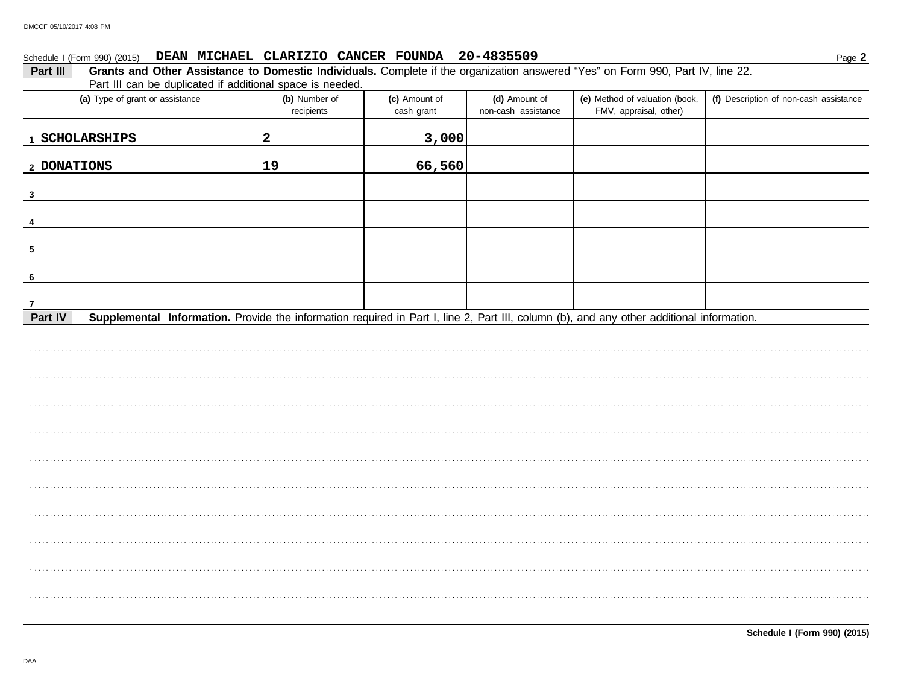$\overline{\phantom{a}}$ 

 $\overline{\phantom{a}}$ 

## Schedule I (Form 990) (2015) DEAN MICHAEL CLARIZIO CANCER FOUNDA 20-4835509

| 3,000<br>$\mathbf{2}$<br>1 SCHOLARSHIPS<br>66,560<br>19<br>2 DONATIONS<br>$\overline{\mathbf{3}}$<br>$\overline{4}$<br>$\overline{\mathbf{5}}$<br>6<br>$\mathbf{7}$<br>Part IV<br>Supplemental Information. Provide the information required in Part I, line 2, Part III, column (b), and any other additional information. | (a) Type of grant or assistance | (b) Number of<br>recipients | (c) Amount of<br>cash grant | (d) Amount of<br>non-cash assistance | (e) Method of valuation (book,<br>FMV, appraisal, other) | (f) Description of non-cash assistance |
|-----------------------------------------------------------------------------------------------------------------------------------------------------------------------------------------------------------------------------------------------------------------------------------------------------------------------------|---------------------------------|-----------------------------|-----------------------------|--------------------------------------|----------------------------------------------------------|----------------------------------------|
|                                                                                                                                                                                                                                                                                                                             |                                 |                             |                             |                                      |                                                          |                                        |
|                                                                                                                                                                                                                                                                                                                             |                                 |                             |                             |                                      |                                                          |                                        |
|                                                                                                                                                                                                                                                                                                                             |                                 |                             |                             |                                      |                                                          |                                        |
|                                                                                                                                                                                                                                                                                                                             |                                 |                             |                             |                                      |                                                          |                                        |
|                                                                                                                                                                                                                                                                                                                             |                                 |                             |                             |                                      |                                                          |                                        |
|                                                                                                                                                                                                                                                                                                                             |                                 |                             |                             |                                      |                                                          |                                        |
|                                                                                                                                                                                                                                                                                                                             |                                 |                             |                             |                                      |                                                          |                                        |
|                                                                                                                                                                                                                                                                                                                             |                                 |                             |                             |                                      |                                                          |                                        |
|                                                                                                                                                                                                                                                                                                                             |                                 |                             |                             |                                      |                                                          |                                        |
|                                                                                                                                                                                                                                                                                                                             |                                 |                             |                             |                                      |                                                          |                                        |
|                                                                                                                                                                                                                                                                                                                             |                                 |                             |                             |                                      |                                                          |                                        |
|                                                                                                                                                                                                                                                                                                                             |                                 |                             |                             |                                      |                                                          |                                        |
|                                                                                                                                                                                                                                                                                                                             |                                 |                             |                             |                                      |                                                          |                                        |
|                                                                                                                                                                                                                                                                                                                             |                                 |                             |                             |                                      |                                                          |                                        |
|                                                                                                                                                                                                                                                                                                                             |                                 |                             |                             |                                      |                                                          |                                        |
|                                                                                                                                                                                                                                                                                                                             |                                 |                             |                             |                                      |                                                          |                                        |
|                                                                                                                                                                                                                                                                                                                             |                                 |                             |                             |                                      |                                                          |                                        |
|                                                                                                                                                                                                                                                                                                                             |                                 |                             |                             |                                      |                                                          |                                        |

 $\overline{\phantom{a}}$ 

Ξ

 $\overline{\phantom{a}}$ 

Page 2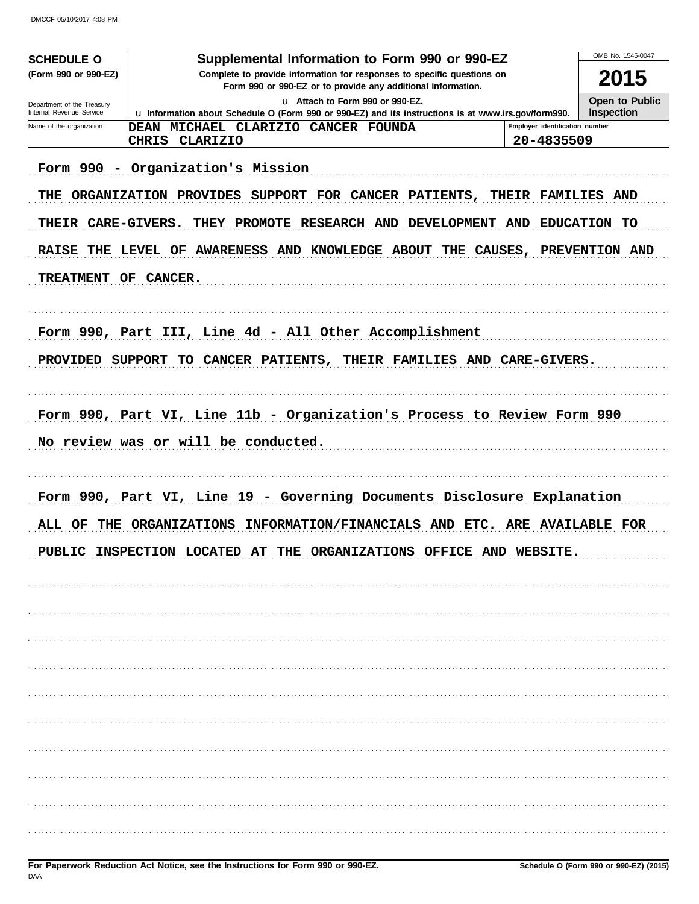DMCCF 05/10/2017 4:08 PM

| <b>SCHEDULE O</b>                                      | Supplemental Information to Form 990 or 990-EZ                                                                                             |                                            | OMB No. 1545-0047 |
|--------------------------------------------------------|--------------------------------------------------------------------------------------------------------------------------------------------|--------------------------------------------|-------------------|
| (Form 990 or 990-EZ)                                   | Complete to provide information for responses to specific questions on                                                                     | 2015                                       |                   |
| Department of the Treasury<br>Internal Revenue Service |                                                                                                                                            | <b>Open to Public</b><br><b>Inspection</b> |                   |
| Name of the organization                               | u Information about Schedule O (Form 990 or 990-EZ) and its instructions is at www.irs.gov/form990.<br>DEAN MICHAEL CLARIZIO CANCER FOUNDA | Employer identification number             |                   |
|                                                        | CLARIZIO<br><b>CHRIS</b>                                                                                                                   | 20-4835509                                 |                   |
|                                                        | Form 990 - Organization's Mission                                                                                                          |                                            |                   |
|                                                        | THE ORGANIZATION PROVIDES SUPPORT FOR CANCER PATIENTS, THEIR FAMILIES AND                                                                  |                                            |                   |
| THEIR CARE-GIVERS.                                     | THEY PROMOTE RESEARCH AND DEVELOPMENT AND EDUCATION TO                                                                                     |                                            |                   |
|                                                        | RAISE THE LEVEL OF AWARENESS AND KNOWLEDGE ABOUT THE CAUSES, PREVENTION AND                                                                |                                            |                   |
| TREATMENT OF CANCER.                                   |                                                                                                                                            |                                            |                   |
|                                                        |                                                                                                                                            |                                            |                   |
|                                                        | Form 990, Part III, Line 4d - All Other Accomplishment                                                                                     |                                            |                   |
|                                                        | PROVIDED SUPPORT TO CANCER PATIENTS, THEIR FAMILIES AND CARE-GIVERS.                                                                       |                                            |                   |
|                                                        |                                                                                                                                            |                                            |                   |
|                                                        | Form 990, Part VI, Line 11b - Organization's Process to Review Form 990                                                                    |                                            |                   |
|                                                        | No review was or will be conducted.                                                                                                        |                                            |                   |
|                                                        |                                                                                                                                            |                                            |                   |
|                                                        |                                                                                                                                            |                                            |                   |
|                                                        | Form 990, Part VI, Line 19 - Governing Documents Disclosure Explanation                                                                    |                                            |                   |
| ALL OF                                                 | INFORMATION/FINANCIALS AND ETC. ARE AVAILABLE FOR<br><b>THE ORGANIZATIONS</b>                                                              |                                            |                   |
| PITRT.TO                                               | THE ORGANIZATIONS OFFICE AND WEBSITE<br>TNSPROTION LOCATED AT                                                                              |                                            |                   |
|                                                        |                                                                                                                                            |                                            |                   |
|                                                        |                                                                                                                                            |                                            |                   |
|                                                        |                                                                                                                                            |                                            |                   |
|                                                        |                                                                                                                                            |                                            |                   |
|                                                        |                                                                                                                                            |                                            |                   |
|                                                        |                                                                                                                                            |                                            |                   |
|                                                        |                                                                                                                                            |                                            |                   |
|                                                        |                                                                                                                                            |                                            |                   |
|                                                        |                                                                                                                                            |                                            |                   |
|                                                        |                                                                                                                                            |                                            |                   |
|                                                        |                                                                                                                                            |                                            |                   |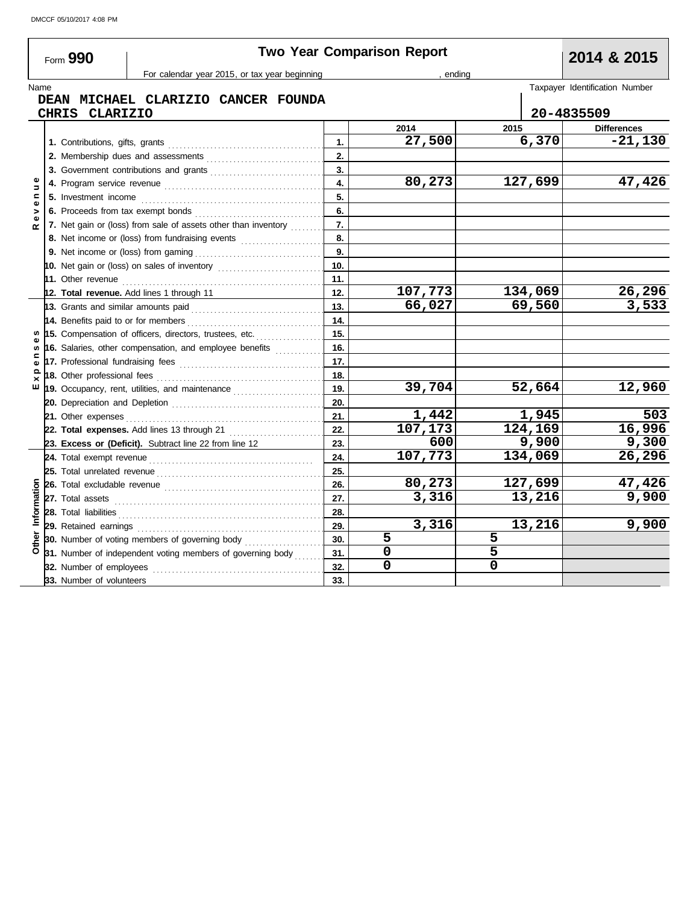**31.**

|              | Form 990                    | <b>Two Year Comparison Report</b>                                                                                                                                                                                                   |           |              |             |                                |  |  |  |
|--------------|-----------------------------|-------------------------------------------------------------------------------------------------------------------------------------------------------------------------------------------------------------------------------------|-----------|--------------|-------------|--------------------------------|--|--|--|
|              |                             | For calendar year 2015, or tax year beginning                                                                                                                                                                                       |           | ending       |             |                                |  |  |  |
|              | Name                        | DEAN MICHAEL CLARIZIO CANCER FOUNDA                                                                                                                                                                                                 |           |              |             | Taxpayer Identification Number |  |  |  |
|              | CHRIS CLARIZIO              |                                                                                                                                                                                                                                     |           |              |             | 20-4835509                     |  |  |  |
|              |                             |                                                                                                                                                                                                                                     |           | 2014         | 2015        | <b>Differences</b>             |  |  |  |
|              |                             |                                                                                                                                                                                                                                     | 1.        | 27,500       | 6,370       | $-21,130$                      |  |  |  |
|              |                             |                                                                                                                                                                                                                                     | 2.        |              |             |                                |  |  |  |
|              |                             | 3. Government contributions and grants                                                                                                                                                                                              | 3.        |              |             |                                |  |  |  |
|              |                             |                                                                                                                                                                                                                                     | 4.        | 80,273       | 127,699     | 47,426                         |  |  |  |
| 5<br>Ξ       |                             |                                                                                                                                                                                                                                     | 5.        |              |             |                                |  |  |  |
|              |                             |                                                                                                                                                                                                                                     | 6.        |              |             |                                |  |  |  |
|              |                             | 7. Net gain or (loss) from sale of assets other than inventory                                                                                                                                                                      | 7.        |              |             |                                |  |  |  |
|              |                             | 8. Net income or (loss) from fundraising events                                                                                                                                                                                     | 8.        |              |             |                                |  |  |  |
|              |                             |                                                                                                                                                                                                                                     | 9.        |              |             |                                |  |  |  |
|              |                             |                                                                                                                                                                                                                                     | 10.       |              |             |                                |  |  |  |
|              |                             | 11. Other revenue <i>communication</i> and the contract of the contract of the contract of the contract of the contract of the contract of the contract of the contract of the contract of the contract of the contract of the cont | 11.       |              |             |                                |  |  |  |
|              |                             | 12. Total revenue. Add lines 1 through 11                                                                                                                                                                                           | 12.       | 107,773      | 134,069     | 26,296                         |  |  |  |
|              |                             |                                                                                                                                                                                                                                     | 13.       | 66,027       | 69,560      | 3,533                          |  |  |  |
|              |                             |                                                                                                                                                                                                                                     | 14.       |              |             |                                |  |  |  |
| w            |                             | 15. Compensation of officers, directors, trustees, etc.                                                                                                                                                                             | 15.       |              |             |                                |  |  |  |
|              |                             | 16. Salaries, other compensation, and employee benefits                                                                                                                                                                             | 16.       |              |             |                                |  |  |  |
| $\mathbf{r}$ |                             |                                                                                                                                                                                                                                     | 17.       |              |             |                                |  |  |  |
| ௨<br>×       | 18. Other professional fees |                                                                                                                                                                                                                                     | 18.       |              |             |                                |  |  |  |
| ш            |                             | 19. Occupancy, rent, utilities, and maintenance <i>[[[[[[[[[[[[[[[[[[[[[[[[]]]]</i>                                                                                                                                                 | 19.       | 39,704       | 52,664      | 12,960                         |  |  |  |
|              |                             |                                                                                                                                                                                                                                     | 20.       |              |             |                                |  |  |  |
|              |                             |                                                                                                                                                                                                                                     | 21.       | 1,442        | 1,945       | 503                            |  |  |  |
|              |                             | 22. Total expenses. Add lines 13 through 21                                                                                                                                                                                         | 22.       | 107,173      | 124,169     | 16,996                         |  |  |  |
|              |                             | 23. Excess or (Deficit). Subtract line 22 from line 12                                                                                                                                                                              | 23.       | 600          | 9,900       | 9,300                          |  |  |  |
|              |                             |                                                                                                                                                                                                                                     | 24.       | 107,773      | 134,069     | 26,296                         |  |  |  |
|              |                             |                                                                                                                                                                                                                                     | 25.       |              |             |                                |  |  |  |
|              |                             | 26. Total excludable revenue <i>communically</i> contained a set of the set of the set of the set of the set of the set of the set of the set of the set of the set of the set of the set of the set of the set of the set of the s | 26.       | 80,273       | 127,699     | 47,426                         |  |  |  |
|              |                             |                                                                                                                                                                                                                                     | 27.       | 3,316        | 13,216      | 9,900                          |  |  |  |
| Information  |                             |                                                                                                                                                                                                                                     | 28.       |              |             |                                |  |  |  |
|              | 29. Retained earnings       |                                                                                                                                                                                                                                     | 29.       | 3,316<br>5   | 13,216<br>5 | 9,900                          |  |  |  |
|              |                             | 30. Number of voting members of governing body<br>24 Number of independent voting members of governing body                                                                                                                         | 30.<br>24 | <sup>n</sup> | 5           |                                |  |  |  |
|              |                             |                                                                                                                                                                                                                                     |           |              |             |                                |  |  |  |

**32. 31. 30.** **5 5 0 5 0 0**

**30.** Number of voting members of governing body ..................... 31. Number of independent voting members of governing body

**32.** Number of employees . . . . . . . . . . . . . . . . . . . . . . . . . . . . . . . . . . . . . . . . . . . . .

**33.** Number of volunteers **33.**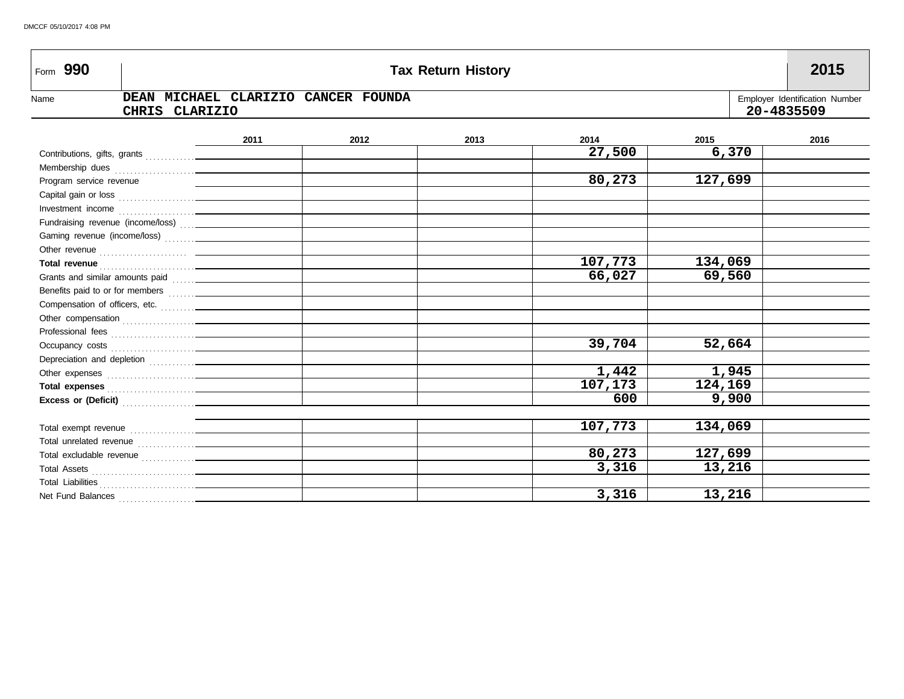| Form 990                |                                                                                                                                                                                                                                    |      |                                     | <b>Tax Return History</b> |         |         | 2015                                         |
|-------------------------|------------------------------------------------------------------------------------------------------------------------------------------------------------------------------------------------------------------------------------|------|-------------------------------------|---------------------------|---------|---------|----------------------------------------------|
| Name                    | <b>CLARIZIO</b><br><b>CHRIS</b>                                                                                                                                                                                                    |      | DEAN MICHAEL CLARIZIO CANCER FOUNDA |                           |         |         | Employer Identification Number<br>20-4835509 |
|                         |                                                                                                                                                                                                                                    | 2011 | 2012                                | 2013                      | 2014    | 2015    | 2016                                         |
|                         |                                                                                                                                                                                                                                    |      |                                     |                           | 27,500  | 6,370   |                                              |
|                         |                                                                                                                                                                                                                                    |      |                                     |                           |         |         |                                              |
| Program service revenue |                                                                                                                                                                                                                                    |      |                                     |                           | 80,273  | 127,699 |                                              |
|                         |                                                                                                                                                                                                                                    |      |                                     |                           |         |         |                                              |
|                         |                                                                                                                                                                                                                                    |      |                                     |                           |         |         |                                              |
|                         | Fundraising revenue (income/loss)  __________                                                                                                                                                                                      |      |                                     |                           |         |         |                                              |
|                         |                                                                                                                                                                                                                                    |      |                                     |                           |         |         |                                              |
|                         |                                                                                                                                                                                                                                    |      |                                     |                           |         |         |                                              |
|                         |                                                                                                                                                                                                                                    |      |                                     |                           | 107,773 | 134,069 |                                              |
|                         |                                                                                                                                                                                                                                    |      |                                     |                           | 66,027  | 69,560  |                                              |
|                         |                                                                                                                                                                                                                                    |      |                                     |                           |         |         |                                              |
|                         |                                                                                                                                                                                                                                    |      |                                     |                           |         |         |                                              |
|                         |                                                                                                                                                                                                                                    |      |                                     |                           |         |         |                                              |
|                         |                                                                                                                                                                                                                                    |      |                                     |                           |         |         |                                              |
|                         |                                                                                                                                                                                                                                    |      |                                     |                           | 39,704  | 52,664  |                                              |
|                         |                                                                                                                                                                                                                                    |      |                                     |                           |         |         |                                              |
|                         |                                                                                                                                                                                                                                    |      |                                     |                           | 1,442   | 1,945   |                                              |
|                         | Total expenses <b>contained contained a state of the state of the state of the state of the state of the state of the state of the state of the state of the state of the state of the state of the state of the state of the </b> |      |                                     |                           | 107,173 | 124,169 |                                              |
|                         | Excess or (Deficit) <b>Excess</b> or (Deficit)                                                                                                                                                                                     |      |                                     |                           | 600     | 9,900   |                                              |
|                         |                                                                                                                                                                                                                                    |      |                                     |                           |         |         |                                              |
|                         |                                                                                                                                                                                                                                    |      |                                     |                           | 107,773 | 134,069 |                                              |
|                         |                                                                                                                                                                                                                                    |      |                                     |                           |         |         |                                              |
|                         |                                                                                                                                                                                                                                    |      |                                     |                           | 80,273  | 127,699 |                                              |
|                         |                                                                                                                                                                                                                                    |      |                                     |                           | 3,316   | 13,216  |                                              |
|                         |                                                                                                                                                                                                                                    |      |                                     |                           |         |         |                                              |
| Net Fund Balances       |                                                                                                                                                                                                                                    |      |                                     |                           | 3,316   | 13,216  |                                              |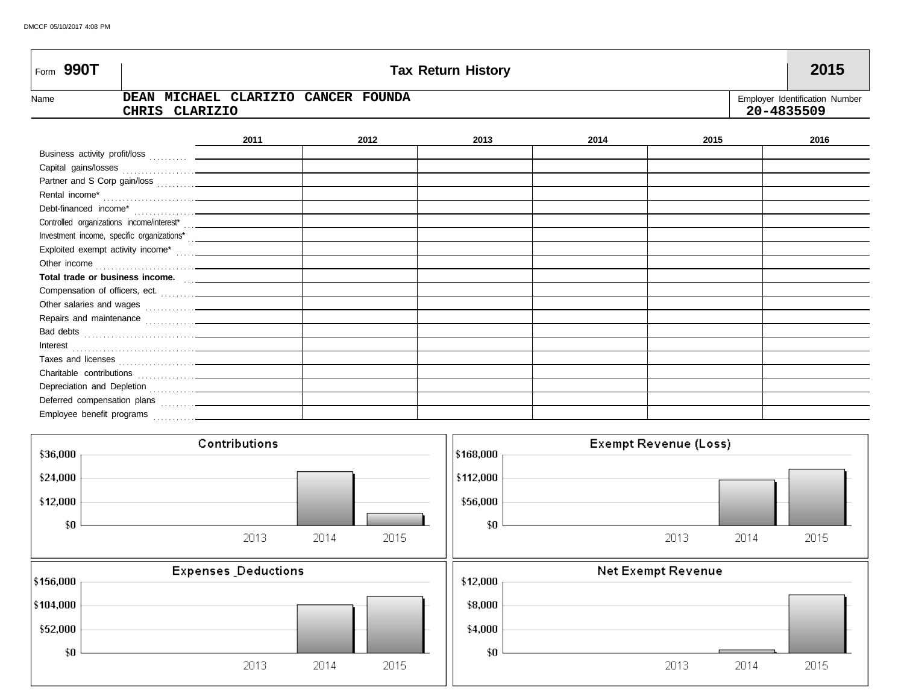| Form 990T      |                                                       |               |      |      | <b>Tax Return History</b> |      |                              | 2015                                         |
|----------------|-------------------------------------------------------|---------------|------|------|---------------------------|------|------------------------------|----------------------------------------------|
| Name           | DEAN MICHAEL CLARIZIO CANCER FOUNDA<br>CHRIS CLARIZIO |               |      |      |                           |      |                              | Employer Identification Number<br>20-4835509 |
|                |                                                       | 2011          |      | 2012 | 2013                      | 2014 | 2015                         | 2016                                         |
|                |                                                       |               |      |      |                           |      |                              |                                              |
|                |                                                       |               |      |      |                           |      |                              |                                              |
|                |                                                       |               |      |      |                           |      |                              |                                              |
| Rental income* |                                                       |               |      |      |                           |      |                              |                                              |
|                |                                                       |               |      |      |                           |      |                              |                                              |
|                |                                                       |               |      |      |                           |      |                              |                                              |
|                |                                                       |               |      |      |                           |      |                              |                                              |
|                |                                                       |               |      |      |                           |      |                              |                                              |
|                |                                                       |               |      |      |                           |      |                              |                                              |
|                | Total trade or business income.                       |               |      |      |                           |      |                              |                                              |
|                |                                                       |               |      |      |                           |      |                              |                                              |
|                |                                                       |               |      |      |                           |      |                              |                                              |
|                |                                                       |               |      |      |                           |      |                              |                                              |
|                |                                                       |               |      |      |                           |      |                              |                                              |
|                |                                                       |               |      |      |                           |      |                              |                                              |
|                |                                                       |               |      |      |                           |      |                              |                                              |
|                |                                                       |               |      |      |                           |      |                              |                                              |
|                |                                                       |               |      |      |                           |      |                              |                                              |
|                |                                                       |               |      |      |                           |      |                              |                                              |
|                |                                                       |               |      |      |                           |      |                              |                                              |
|                |                                                       | Contributions |      |      |                           |      | <b>Exempt Revenue (Loss)</b> |                                              |
| \$36,000       |                                                       |               |      |      | \$168,000                 |      |                              |                                              |
| \$24,000       |                                                       |               |      |      | \$112,000                 |      |                              |                                              |
| \$12,000       |                                                       |               |      |      | \$56,000                  |      |                              |                                              |
| \$0            |                                                       |               |      |      | \$0                       |      |                              |                                              |
|                |                                                       | 2013          | 2014 | 2015 |                           |      | 2013                         | 2014<br>2015                                 |

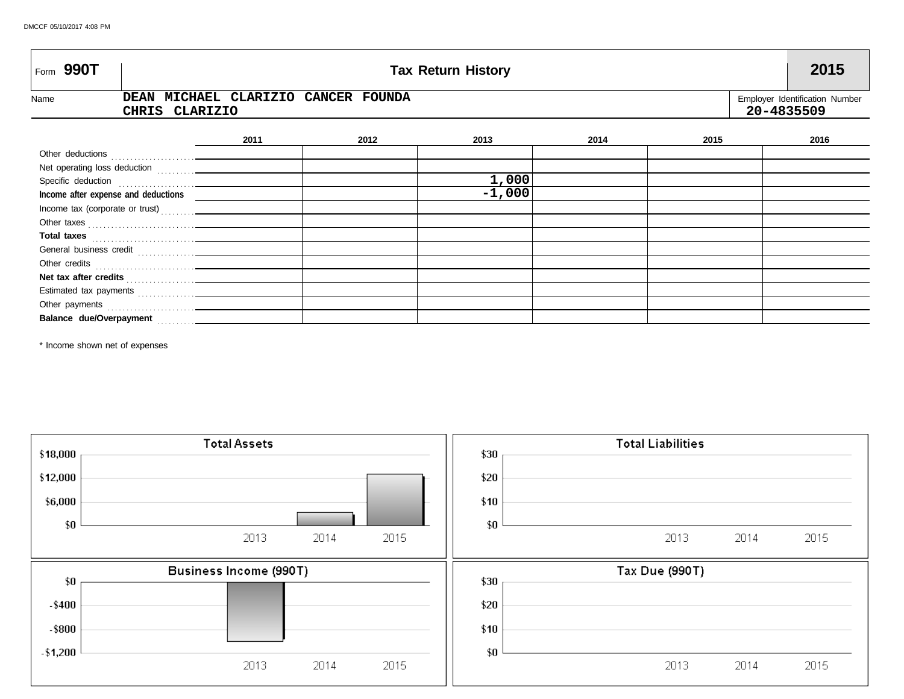| Form 990T | <b>Tax Return History</b> |                |                                     |  |      |          |      |      |            | 2015                           |
|-----------|---------------------------|----------------|-------------------------------------|--|------|----------|------|------|------------|--------------------------------|
| Name      |                           | CHRIS CLARIZIO | DEAN MICHAEL CLARIZIO CANCER FOUNDA |  |      |          |      |      | 20-4835509 | Employer Identification Number |
|           |                           |                | 2011                                |  | 2012 | 2013     | 2014 | 2015 |            | 2016                           |
|           |                           |                |                                     |  |      |          |      |      |            |                                |
|           |                           |                |                                     |  |      |          |      |      |            |                                |
|           |                           |                |                                     |  |      | 1,000    |      |      |            |                                |
|           |                           |                |                                     |  |      | $-1,000$ |      |      |            |                                |
|           |                           |                |                                     |  |      |          |      |      |            |                                |
|           |                           |                |                                     |  |      |          |      |      |            |                                |
|           |                           |                |                                     |  |      |          |      |      |            |                                |
|           |                           |                |                                     |  |      |          |      |      |            |                                |
|           |                           |                |                                     |  |      |          |      |      |            |                                |
|           |                           |                |                                     |  |      |          |      |      |            |                                |
|           |                           |                |                                     |  |      |          |      |      |            |                                |
|           |                           |                |                                     |  |      |          |      |      |            |                                |
|           |                           |                |                                     |  |      |          |      |      |            |                                |

\* Income shown net of expenses